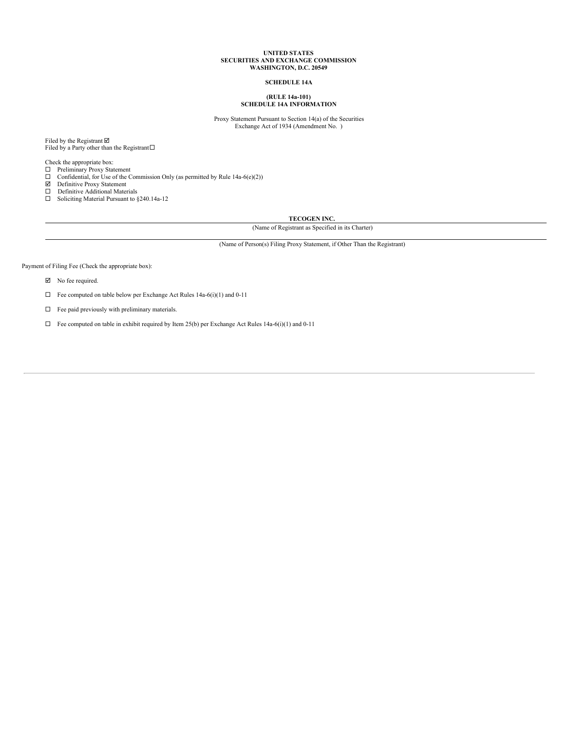#### **UNITED STATES SECURITIES AND EXCHANGE COMMISSION WASHINGTON, D.C. 20549**

## **SCHEDULE 14A**

### **(RULE 14a-101) SCHEDULE 14A INFORMATION**

Proxy Statement Pursuant to Section 14(a) of the Securities Exchange Act of 1934 (Amendment No. )

Filed by the Registrant  $\boxtimes$ Filed by a Party other than the Registrant $\square$ 

Check the appropriate box:

 $\Box$  Preliminary Proxy Statement

□ Confidential, for Use of the Commission Only (as permitted by Rule 14a-6(e)(2)) <br>  $\Box$  Definitive Proxy Statement

□ Definitive Additional Materials<br>□ Soliciting Material Pursuant to  $§240.14a-12$ 

**TECOGEN INC.**

(Name of Registrant as Specified in its Charter)

(Name of Person(s) Filing Proxy Statement, if Other Than the Registrant)

Payment of Filing Fee (Check the appropriate box):

 $\nabla$  No fee required.

 $\Box$  Fee computed on table below per Exchange Act Rules 14a-6(i)(1) and 0-11

 $\Box$  Fee paid previously with preliminary materials.

 $\Box$  Fee computed on table in exhibit required by Item 25(b) per Exchange Act Rules 14a-6(i)(1) and 0-11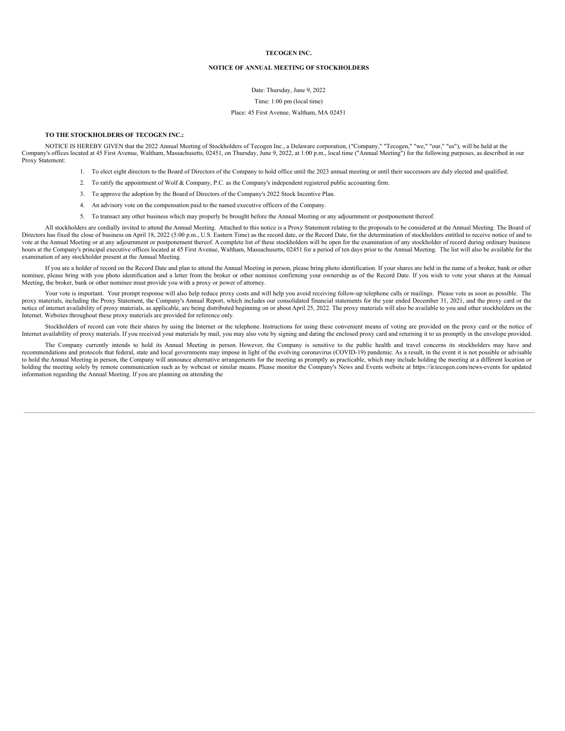**TECOGEN INC.**

#### **NOTICE OF ANNUAL MEETING OF STOCKHOLDERS**

Date: Thursday, June 9, 2022

Time: 1:00 pm (local time)

#### Place: 45 First Avenue, Waltham, MA 02451

### **TO THE STOCKHOLDERS OF TECOGEN INC.:**

NOTICE IS HEREBY GIVEN that the 2022 Annual Meeting of Stockholders of Tecogen Inc., a Delaware corporation, ("Company," "Tecogen," "we," "our," "us"), will be held at the Company's offices located at 45 First Avenue, Waltham, Massachusetts, 02451, on Thursday, June 9, 2022, at 1:00 p.m., local time ("Annual Meeting") for the following purposes, as described in our Proxy Statement:

- 1. To elect eight directors to the Board of Directors of the Company to hold office until the 2023 annual meeting or until their successors are duly elected and qualified.
- 2. To ratify the appointment of Wolf & Company, P.C. as the Company's independent registered public accounting firm.
- 3. To approve the adoption by the Board of Directors of the Company's 2022 Stock Incentive Plan.
- 4. An advisory vote on the compensation paid to the named executive officers of the Company.
- 5. To transact any other business which may properly be brought before the Annual Meeting or any adjournment or postponement thereof.

All stockholders are cordially invited to attend the Annual Meeting. Attached to this notice is a Proxy Statement relating to the proposals to be considered at the Annual Meeting. The Board of Directors has fixed the close of business on April 18, 2022 (5:00 p.m., U.S. Eastern Time) as the record date, or the Record Date, for the determination of stockholders entitled to receive notice of and to vote at the Annual Meeting or at any adjournment or postponement thereof. A complete list of these stockholders will be open for the examination of any stockholder of record during ordinary business hours at the Company's principal executive offices located at 45 First Avenue, Waltham, Massachusetts, 02451 for a period of ten days prior to the Annual Meeting. The list will also be available for the examination of any stockholder present at the Annual Meeting.

If you are a holder of record on the Record Date and plan to attend the Annual Meeting in person, please bring photo identification. If your shares are held in the name of a broker, bank or other nominee, please bring with you photo identification and a letter from the broker or other nominee confirming your ownership as of the Record Date. If you wish to vote your shares at the Annual Meeting, the broker, bank or other nominee must provide you with a proxy or power of attorney.

Your vote is important. Your prompt response will also help reduce proxy costs and will help you avoid receiving follow-up telephone calls or mailings. Please vote as soon as possible. The proxy materials, including the Proxy Statement, the Company's Annual Report, which includes our consolidated financial statements for the year ended December 31, 2021, and the proxy card or the notice of internet availability of proxy materials, as applicable, are being distributed beginning on or about April 25, 2022. The proxy materials will also be available to you and other stockholders on the Internet. Websites throughout these proxy materials are provided for reference only.

Stockholders of record can vote their shares by using the Internet or the telephone. Instructions for using these convenient means of voting are provided on the proxy card or the notice of Internet availability of proxy materials. If you received your materials by mail, you may also vote by signing and dating the enclosed proxy card and returning it to us promptly in the envelope provided.

The Company currently intends to hold its Annual Meeting in person. However, the Company is sensitive to the public health and travel concerns its stockholders may have and recommendations and protocols that federal, state and local governments may impose in light of the evolving coronavirus (COVID-19) pandemic. As a result, in the event it is not possible or advisable to hold the Annual Meeting in person, the Company will announce alternative arrangements for the meeting as promptly as practicable, which may include holding the meeting at a different location or holding the meeting solely by remote communication such as by webcast or similar means. Please monitor the Company's News and Events website at https://ir.tecogen.com/news-events for updated information regarding the Annual Meeting. If you are planning on attending the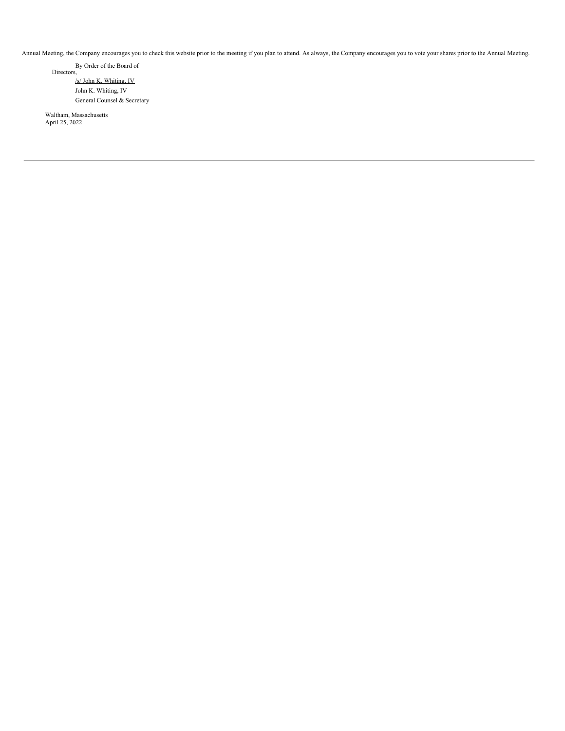Annual Meeting, the Company encourages you to check this website prior to the meeting if you plan to attend. As always, the Company encourages you to vote your shares prior to the Annual Meeting.

By Order of the Board of Directors, /s/ John K. Whiting, IV John K. Whiting, IV

General Counsel & Secretary

Waltham, Massachusetts April 25, 2022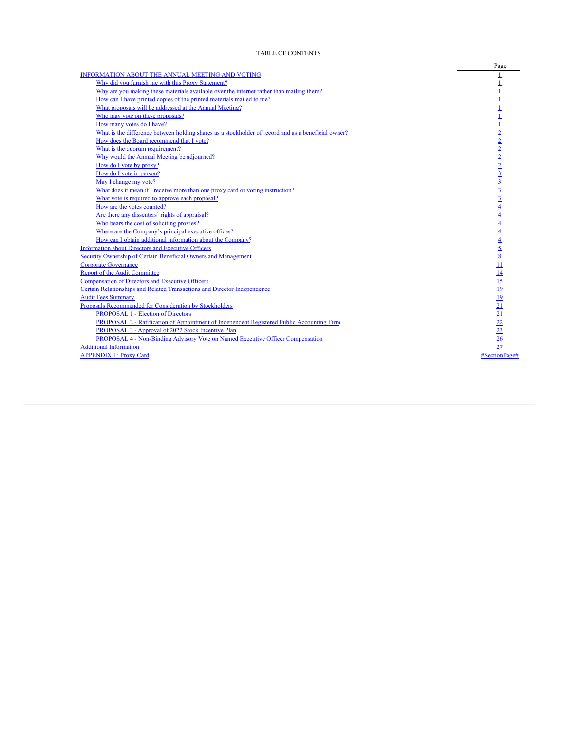## TABLE OF CONTENTS

<span id="page-3-0"></span>

|                                                                                                     | Page                                      |
|-----------------------------------------------------------------------------------------------------|-------------------------------------------|
| INFORMATION ABOUT THE ANNUAL MEETING AND VOTING                                                     |                                           |
| Why did you furnish me with this Proxy Statement?                                                   |                                           |
| Why are you making these materials available over the internet rather than mailing them?            |                                           |
| How can I have printed copies of the printed materials mailed to me?                                |                                           |
| What proposals will be addressed at the Annual Meeting?                                             |                                           |
| Who may vote on these proposals?                                                                    |                                           |
| How many votes do I have?                                                                           |                                           |
| What is the difference between holding shares as a stockholder of record and as a beneficial owner? |                                           |
| How does the Board recommend that I vote?                                                           | $\frac{2}{2}$ $\frac{2}{2}$ $\frac{2}{3}$ |
| What is the quorum requirement?                                                                     |                                           |
| Why would the Annual Meeting be adjourned?                                                          |                                           |
| How do I vote by proxy?                                                                             |                                           |
| How do I vote in person?                                                                            |                                           |
| May I change my vote?                                                                               | $\overline{3}$                            |
| What does it mean if I receive more than one proxy card or voting instruction?                      | $\overline{3}$                            |
| What vote is required to approve each proposal?                                                     | $\overline{3}$                            |
| How are the votes counted?                                                                          |                                           |
| Are there any dissenters' rights of appraisal?                                                      |                                           |
| Who bears the cost of soliciting proxies?                                                           |                                           |
| Where are the Company's principal executive offices?                                                |                                           |
| How can I obtain additional information about the Company?                                          |                                           |
| Information about Directors and Executive Officers                                                  | 5                                         |
| Security Ownership of Certain Beneficial Owners and Management                                      | $\overline{8}$                            |
| <b>Corporate Governance</b>                                                                         |                                           |
| <b>Report of the Audit Committee</b>                                                                |                                           |
| <b>Compensation of Directors and Executive Officers</b>                                             | 15                                        |
| Certain Relationships and Related Transactions and Director Independence                            | 19                                        |
| <b>Audit Fees Summary</b>                                                                           | <u> 19</u>                                |
| Proposals Recommended for Consideration by Stockholders                                             | 21                                        |
| <b>PROPOSAL 1 - Election of Directors</b>                                                           | 21                                        |
| PROPOSAL 2 - Ratification of Appointment of Independent Registered Public Accounting Firm           | <u>22</u>                                 |
| PROPOSAL 3 - Approval of 2022 Stock Incentive Plan                                                  |                                           |
| PROPOSAL 4 - Non-Binding Advisory Vote on Named Executive Officer Compensation                      | $\frac{23}{26}$                           |
| <b>Additional Information</b>                                                                       | 27                                        |
| <b>APPENDIX I: Proxy Card</b>                                                                       | #SectionPage#                             |
|                                                                                                     |                                           |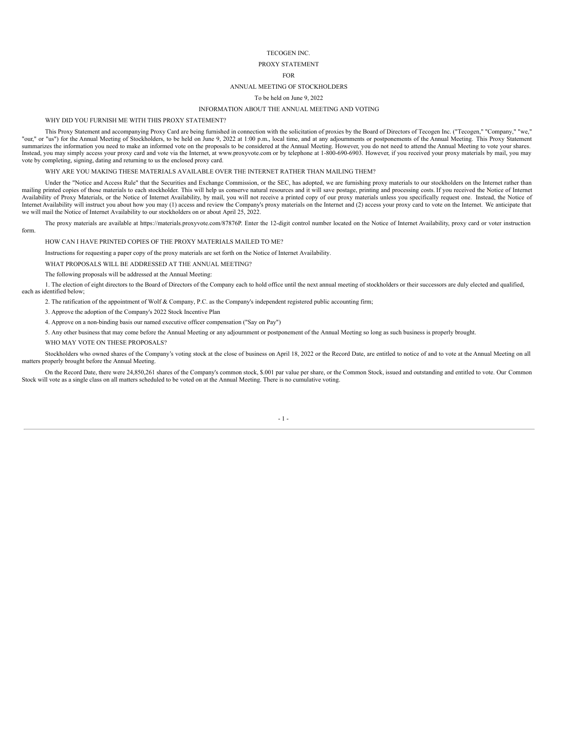#### TECOGEN INC.

## PROXY STATEMENT

#### FOR

## ANNUAL MEETING OF STOCKHOLDERS

## To be held on June 9, 2022

#### INFORMATION ABOUT THE ANNUAL MEETING AND VOTING

WHY DID YOU FURNISH ME WITH THIS PROXY STATEMENT?

<span id="page-4-0"></span>This Proxy Statement and accompanying Proxy Card are being furnished in connection with the solicitation of proxies by the Board of Directors of Tecogen Inc. ("Tecogen," "Company," "we," "our," or "us") for the Annual Meeting of Stockholders, to be held on June 9, 2022 at 1:00 p.m., local time, and at any adjournments or postponements of the Annual Meeting. This Proxy Statement summarizes the information you need to make an informed vote on the proposals to be considered at the Annual Meeting. However, you do not need to attend the Annual Meeting to vote your shares. Instead, you may simply access your proxy card and vote via the Internet, at www.proxyvote.com or by telephone at 1-800-690-6903. However, if you received your proxy materials by mail, you may vote by completing, signing, dating and returning to us the enclosed proxy card.

WHY ARE YOU MAKING THESE MATERIALS AVAILABLE OVER THE INTERNET RATHER THAN MAILING THEM?

<span id="page-4-1"></span>Under the "Notice and Access Rule" that the Securities and Exchange Commission, or the SEC, has adopted, we are furnishing proxy materials to our stockholders on the Internet rather than mailing printed copies of those materials to each stockholder. This will help us conserve natural resources and it will save postage, printing and processing costs. If you received the Notice of Internet Availability of Proxy Materials, or the Notice of Internet Availability, by mail, you will not receive a printed copy of our proxy materials unless you specifically request one. Instead, the Notice of Internet Availability will instruct you about how you may (1) access and review the Company's proxy materials on the Internet and (2) access your proxy card to vote on the Internet. We anticipate that we will mail the Notice of Internet Availability to our stockholders on or about April 25, 2022.

<span id="page-4-2"></span>The proxy materials are available at https://materials.proxyvote.com/87876P. Enter the 12-digit control number located on the Notice of Internet Availability, proxy card or voter instruction form.

HOW CAN I HAVE PRINTED COPIES OF THE PROXY MATERIALS MAILED TO ME?

Instructions for requesting a paper copy of the proxy materials are set forth on the Notice of Internet Availability.

WHAT PROPOSALS WILL BE ADDRESSED AT THE ANNUAL MEETING?

The following proposals will be addressed at the Annual Meeting:

<span id="page-4-3"></span>1. The election of eight directors to the Board of Directors of the Company each to hold office until the next annual meeting of stockholders or their successors are duly elected and qualified, each as identified below;

2. The ratification of the appointment of Wolf & Company, P.C. as the Company's independent registered public accounting firm;

3. Approve the adoption of the Company's 2022 Stock Incentive Plan

4. Approve on a non-binding basis our named executive officer compensation ("Say on Pay")

5. Any other business that may come before the Annual Meeting or any adjournment or postponement of the Annual Meeting so long as such business is properly brought.

WHO MAY VOTE ON THESE PROPOSALS?

<span id="page-4-4"></span>Stockholders who owned shares of the Company's voting stock at the close of business on April 18, 2022 or the Record Date, are entitled to notice of and to vote at the Annual Meeting on all matters properly brought before the Annual Meeting.

<span id="page-4-5"></span>On the Record Date, there were 24,850,261 shares of the Company's common stock, \$.001 par value per share, or the Common Stock, issued and outstanding and entitled to vote. Our Common Stock will vote as a single class on all matters scheduled to be voted on at the Annual Meeting. There is no cumulative voting.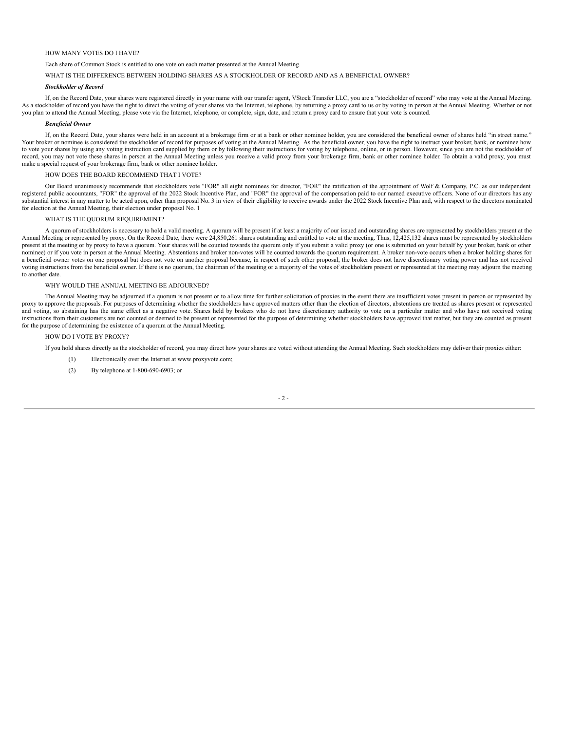#### HOW MANY VOTES DO I HAVE?

Each share of Common Stock is entitled to one vote on each matter presented at the Annual Meeting.

<span id="page-5-0"></span>WHAT IS THE DIFFERENCE BETWEEN HOLDING SHARES AS A STOCKHOLDER OF RECORD AND AS A BENEFICIAL OWNER?

#### *Stockholder of Record*

If, on the Record Date, your shares were registered directly in your name with our transfer agent, VStock Transfer LLC, you are a "stockholder of record" who may vote at the Annual Meeting. As a stockholder of record you have the right to direct the voting of your shares via the Internet, telephone, by returning a proxy card to us or by voting in person at the Annual Meeting. Whether or not you plan to attend the Annual Meeting, please vote via the Internet, telephone, or complete, sign, date, and return a proxy card to ensure that your vote is counted.

#### *Beneficial Owner*

If, on the Record Date, your shares were held in an account at a brokerage firm or at a bank or other nominee holder, you are considered the beneficial owner of shares held "in street name." Your broker or nominee is considered the stockholder of record for purposes of voting at the Annual Meeting. As the beneficial owner, you have the right to instruct your broker, bank, or nominee how to vote your shares by using any voting instruction card supplied by them or by following their instructions for voting by telephone, online, or in person. However, since you are not the stockholder of record, you may not vote these shares in person at the Annual Meeting unless you receive a valid proxy from your brokerage firm, bank or other nominee holder. To obtain a valid proxy, you must make a special request of your brokerage firm, bank or other nominee holder.

#### HOW DOES THE BOARD RECOMMEND THAT I VOTE?

<span id="page-5-1"></span>Our Board unanimously recommends that stockholders vote "FOR" all eight nominees for director, "FOR" the ratification of the appointment of Wolf & Company, P.C. as our independent registered public accountants, "FOR" the approval of the 2022 Stock Incentive Plan, and "FOR" the approval of the compensation paid to our named executive officers. None of our directors has any registered public accountan substantial interest in any matter to be acted upon, other than proposal No. 3 in view of their eligibility to receive awards under the 2022 Stock Incentive Plan and, with respect to the directors nominated for election at the Annual Meeting, their election under proposal No. 1

#### WHAT IS THE QUORUM REQUIREMENT?

<span id="page-5-2"></span>A quorum of stockholders is necessary to hold a valid meeting. A quorum will be present if at least a majority of our issued and outstanding shares are represented by stockholders present at the Annual Meeting or represented by proxy. On the Record Date, there were 24,850,261 shares outstanding and entitled to vote at the meeting. Thus, 12,425,132 shares must be represented by stockholders present at the meeting or by proxy to have a quorum. Your shares will be counted towards the quorum only if you submit a valid proxy (or one is submitted on your behalf by your broker, bank or other nominee) or if you vote in person at the Annual Meeting. Abstentions and broker non-votes will be counted towards the quorum requirement. A broker non-vote occurs when a broker holding shares for a beneficial owner votes on one proposal but does not vote on another proposal because, in respect of such other proposal, the broker does not have discretionary voting power and has not received voting instructions from the beneficial owner. If there is no quorum, the chairman of the meeting or a majority of the votes of stockholders present or represented at the meeting may adjourn the meeting to another date.

## WHY WOULD THE ANNUAL MEETING BE ADJOURNED?

<span id="page-5-3"></span>The Annual Meeting may be adjourned if a quorum is not present or to allow time for further solicitation of proxies in the event there are insufficient votes present in person or represented by proxy to approve the proposals. For purposes of determining whether the stockholders have approved matters other than the election of directors, abstentions are treated as shares present or represented and voting, so abstaining has the same effect as a negative vote. Shares held by brokers who do not have discretionary authority to vote on a particular matter and who have not received voting instructions from their customers are not counted or deemed to be present or represented for the purpose of determining whether stockholders have approved that matter, but they are counted as present for the purpose of determining the existence of a quorum at the Annual Meeting.

## <span id="page-5-4"></span>HOW DO I VOTE BY PROXY?

If you hold shares directly as the stockholder of record, you may direct how your shares are voted without attending the Annual Meeting. Such stockholders may deliver their proxies either:

- (1) Electronically over the Internet at www.proxyvote.com;
- (2) By telephone at 1-800-690-6903; or

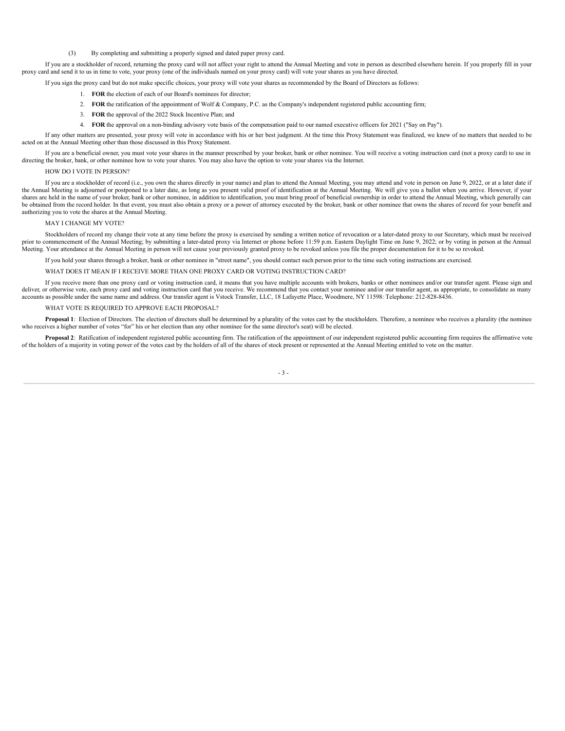(3) By completing and submitting a properly signed and dated paper proxy card.

If you are a stockholder of record, returning the proxy card will not affect your right to attend the Annual Meeting and vote in person as described elsewhere herein. If you properly fill in your proxy card and send it to us in time to vote, your proxy (one of the individuals named on your proxy card) will vote your shares as you have directed.

If you sign the proxy card but do not make specific choices, your proxy will vote your shares as recommended by the Board of Directors as follows:

- 1. **FOR** the election of each of our Board's nominees for director;
- 2. **FOR** the ratification of the appointment of Wolf & Company, P.C. as the Company's independent registered public accounting firm;
- 3. **FOR** the approval of the 2022 Stock Incentive Plan; and
- 4. **FOR** the approval on a non-binding advisory vote basis of the compensation paid to our named executive officers for 2021 ("Say on Pay").

If any other matters are presented, your proxy will vote in accordance with his or her best judgment. At the time this Proxy Statement was finalized, we knew of no matters that needed to be acted on at the Annual Meeting other than those discussed in this Proxy Statement.

If you are a beneficial owner, you must vote your shares in the manner prescribed by your broker, bank or other nominee. You will receive a voting instruction card (not a proxy card) to use in directing the broker, bank, or other nominee how to vote your shares. You may also have the option to vote your shares via the Internet.

#### HOW DO I VOTE IN PERSON?

<span id="page-6-0"></span>If you are a stockholder of record (i.e., you own the shares directly in your name) and plan to attend the Annual Meeting, you may attend and vote in person on June 9, 2022, or at a later date if the Annual Meeting is adjourned or postponed to a later date, as long as you present valid proof of identification at the Annual Meeting. We will give you a ballot when you arrive. However, if your shares are held in the name of your broker, bank or other nominee, in addition to identification, you must bring proof of beneficial ownership in order to attend the Annual Meeting, which generally can be obtained from the record holder. In that event, you must also obtain a proxy or a power of attorney executed by the broker, bank or other nominee that owns the shares of record for your benefit and authorizing you to vote the shares at the Annual Meeting.

#### MAY I CHANGE MY VOTE?

<span id="page-6-1"></span>Stockholders of record my change their vote at any time before the proxy is exercised by sending a written notice of revocation or a later-dated proxy to our Secretary, which must be received prior to commencement of the Annual Meeting; by submitting a later-dated proxy via Internet or phone before 11:59 p.m. Eastern Daylight Time on June 9, 2022; or by voting in person at the Annual Meeting. Your attendance at the Annual Meeting in person will not cause your previously granted proxy to be revoked unless you file the proper documentation for it to be so revoked.

If you hold your shares through a broker, bank or other nominee in "street name", you should contact such person prior to the time such voting instructions are exercised.

WHAT DOES IT MEAN IF I RECEIVE MORE THAN ONE PROXY CARD OR VOTING INSTRUCTION CARD?

<span id="page-6-2"></span>If you receive more than one proxy card or voting instruction card, it means that you have multiple accounts with brokers, banks or other nominees and/or our transfer agent. Please sign and deliver, or otherwise vote, each proxy card and voting instruction card that you receive. We recommend that you contact your nominee and/or our transfer agent, as appropriate, to consolidate as many accounts as possible under the same name and address. Our transfer agent is Vstock Transfer, LLC, 18 Lafayette Place, Woodmere, NY 11598: Telephone: 212-828-8436.

### WHAT VOTE IS REQUIRED TO APPROVE EACH PROPOSAL?

<span id="page-6-3"></span>Proposal 1: Election of Directors. The election of directors shall be determined by a plurality of the votes cast by the stockholders. Therefore, a nominee who receives a plurality (the nominee who receives a higher number of votes "for" his or her election than any other nominee for the same director's seat) will be elected.

Proposal 2: Ratification of independent registered public accounting firm. The ratification of the appointment of our independent registered public accounting firm requires the affirmative vote of the holders of a majority in voting power of the votes cast by the holders of all of the shares of stock present or represented at the Annual Meeting entitled to vote on the matter.

- 3 -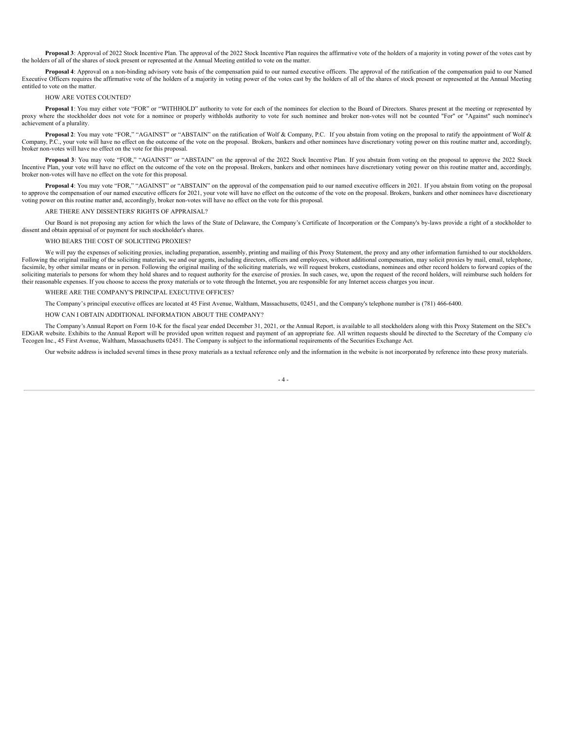Proposal 3: Approval of 2022 Stock Incentive Plan. The approval of the 2022 Stock Incentive Plan requires the affirmative vote of the holders of a majority in voting power of the votes cast by the holders of all of the shares of stock present or represented at the Annual Meeting entitled to vote on the matter.

**Proposal 4**: Approval on a non-binding advisory vote basis of the compensation paid to our named executive officers. The approval of the ratification of the compensation paid to our Named Executive Officers requires the affirmative vote of the holders of a majority in voting power of the votes cast by the holders of all of the shares of stock present or represented at the Annual Meeting entitled to vote on the matter.

#### HOW ARE VOTES COUNTED?

<span id="page-7-0"></span>**Proposal 1**: You may either vote "FOR" or "WITHHOLD" authority to vote for each of the nominees for election to the Board of Directors. Shares present at the meeting or represented by proxy where the stockholder does not vote for a nominee or properly withholds authority to vote for such nominee and broker non-votes will not be counted "For" or "Against" such nominee's achievement of a plurality.

**Proposal 2**: You may vote "FOR," "AGAINST" or "ABSTAIN" on the ratification of Wolf & Company, P.C. If you abstain from voting on the proposal to ratify the appointment of Wolf & Company, P.C., your vote will have no effect on the outcome of the vote on the proposal. Brokers, bankers and other nominees have discretionary voting power on this routine matter and, accordingly, broker non-votes will have no effect on the vote for this proposal.

**Proposal 3**: You may vote "FOR," "AGAINST" or "ABSTAIN" on the approval of the 2022 Stock Incentive Plan. If you abstain from voting on the proposal to approve the 2022 Stock Incentive Plan, your vote will have no effect on the outcome of the vote on the proposal. Brokers, bankers and other nominees have discretionary voting power on this routine matter and, accordingly, broker non-votes will have no effect on the vote for this proposal.

**Proposal 4**: You may vote "FOR," "AGAINST" or "ABSTAIN" on the approval of the compensation paid to our named executive officers in 2021. If you abstain from voting on the proposal to approve the compensation of our named executive officers for 2021, your vote will have no effect on the outcome of the vote on the proposal. Brokers, bankers and other nominees have discretionary voting power on this routine matter and, accordingly, broker non-votes will have no effect on the vote for this proposal.

ARE THERE ANY DISSENTERS' RIGHTS OF APPRAISAL?

<span id="page-7-1"></span>Our Board is not proposing any action for which the laws of the State of Delaware, the Company's Certificate of Incorporation or the Company's by-laws provide a right of a stockholder to dissent and obtain appraisal of or payment for such stockholder's shares.

#### WHO BEARS THE COST OF SOLICITING PROXIES?

<span id="page-7-2"></span>We will pay the expenses of soliciting proxies, including preparation, assembly, printing and mailing of this Proxy Statement, the proxy and any other information furnished to our stockholders. Following the original mailing of the soliciting materials, we and our agents, including directors, officers and employees, without additional compensation, may solicit proxies by mail, email, telephone, facsimile, by other similar means or in person. Following the original mailing of the soliciting materials, we will request brokers, custodians, nominees and other record holders to forward copies of the soliciting materials to persons for whom they hold shares and to request authority for the exercise of proxies. In such cases, we, upon the request of the record holders, will reimburse such holders for their reasonable expenses. If you choose to access the proxy materials or to vote through the Internet, you are responsible for any Internet access charges you incur.

#### WHERE ARE THE COMPANY'S PRINCIPAL EXECUTIVE OFFICES?

<span id="page-7-3"></span>The Company's principal executive offices are located at 45 First Avenue, Waltham, Massachusetts, 02451, and the Company's telephone number is (781) 466-6400.

#### HOW CAN I OBTAIN ADDITIONAL INFORMATION ABOUT THE COMPANY?

<span id="page-7-4"></span>The Company's Annual Report on Form 10-K for the fiscal year ended December 31, 2021, or the Annual Report, is available to all stockholders along with this Proxy Statement on the SEC's EDGAR website. Exhibits to the Annual Report will be provided upon written request and payment of an appropriate fee. All written requests should be directed to the Secretary of the Company c/o Tecogen Inc., 45 First Avenue, Waltham, Massachusetts 02451. The Company is subject to the informational requirements of the Securities Exchange Act.

<span id="page-7-5"></span>Our website address is included several times in these proxy materials as a textual reference only and the information in the website is not incorporated by reference into these proxy materials.

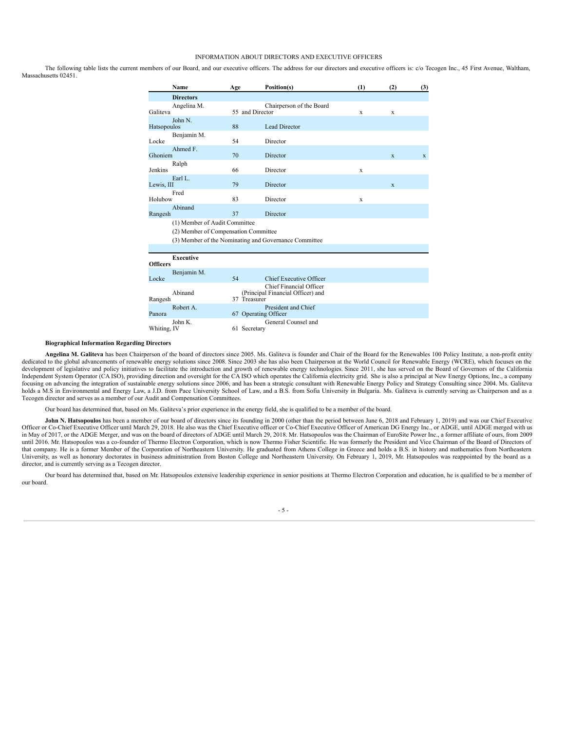#### INFORMATION ABOUT DIRECTORS AND EXECUTIVE OFFICERS

The following table lists the current members of our Board, and our executive officers. The address for our directors and executive officers is: c/o Tecogen Inc., 45 First Avenue, Waltham, Massachusetts 02451.

|                 | Name                                                                  | Age             | Position(s)                                                  | (1) | (2)          | (3)          |
|-----------------|-----------------------------------------------------------------------|-----------------|--------------------------------------------------------------|-----|--------------|--------------|
|                 | <b>Directors</b>                                                      |                 |                                                              |     |              |              |
| Galiteva        | Angelina M.                                                           | 55 and Director | Chairperson of the Board                                     | X   | X            |              |
| Hatsopoulos     | John N.                                                               | 88              | Lead Director                                                |     |              |              |
| Locke           | Benjamin M.                                                           | 54              | Director                                                     |     |              |              |
| Ghoniem         | Ahmed F.                                                              | 70              | Director                                                     |     | $\mathbf{x}$ | $\mathbf{x}$ |
| <b>Jenkins</b>  | Ralph                                                                 | 66              | Director                                                     | X   |              |              |
| Lewis, III      | Earl L.                                                               | 79              | Director                                                     |     | $\mathbf{x}$ |              |
| Holubow         | Fred                                                                  | 83              | Director                                                     | X   |              |              |
| Rangesh         | Abinand                                                               | 37              | Director                                                     |     |              |              |
|                 | (1) Member of Audit Committee<br>(2) Member of Compensation Committee |                 | (3) Member of the Nominating and Governance Committee        |     |              |              |
|                 |                                                                       |                 |                                                              |     |              |              |
| <b>Officers</b> | <b>Executive</b>                                                      |                 |                                                              |     |              |              |
| Locke           | Benjamin M.                                                           | 54              | Chief Executive Officer                                      |     |              |              |
| Rangesh         | Abinand                                                               | 37 Treasurer    | Chief Financial Officer<br>(Principal Financial Officer) and |     |              |              |
| Panora          | Robert A.                                                             |                 | President and Chief<br>67 Operating Officer                  |     |              |              |
| Whiting, IV     | John K.                                                               | 61 Secretary    | General Counsel and                                          |     |              |              |

#### **Biographical Information Regarding Directors**

Angelina M. Galiteva has been Chairperson of the board of directors since 2005. Ms. Galiteva is founder and Chair of the Board for the Renewables 100 Policy Institute, a non-profit entity dedicated to the global advancements of renewable energy solutions since 2008. Since 2003 she has also been Chairperson at the World Council for Renewable Energy (WCRE), which focuses on the development of legislative and policy initiatives to facilitate the introduction and growth of renewable energy technologies. Since 2011, she has served on the Board of Governors of the California Independent System Operator (CA ISO), providing direction and oversight for the CA ISO which operates the California electricity grid. She is also a principal at New Energy Options, Inc., a company focusing on advancing the integration of sustainable energy solutions since 2006, and has been a strategic consultant with Renewable Energy Policy and Strategy Consulting since 2004. Ms. Galiteva holds a M.S in Environmental and Energy Law, a J.D. from Pace University School of Law, and a B.S. from Sofia University in Bulgaria. Ms. Galiteva is currently serving as Chairperson and as a Tecogen director and serves as a member of our Audit and Compensation Committees.

Our board has determined that, based on Ms. Galiteva's prior experience in the energy field, she is qualified to be a member of the board.

**John N. Hatsopoulos** has been a member of our board of directors since its founding in 2000 (other than the period between June 6, 2018 and February 1, 2019) and was our Chief Executive Officer or Co-Chief Executive Officer until March 29, 2018. He also was the Chief Executive officer or Co-Chief Executive Officer of American DG Energy Inc., or ADGE, until ADGE merged with us in May of 2017, or the ADGE Merger, and was on the board of directors of ADGE until March 29, 2018. Mr. Hatsopoulos was the Chairman of EuroSite Power Inc., a former affiliate of ours, from 2009 until 2016. Mr. Hatsopoulos was a co-founder of Thermo Electron Corporation, which is now Thermo Fisher Scientific. He was formerly the President and Vice Chairman of the Board of Directors of that company. He is a former Member of the Corporation of Northeastern University. He graduated from Athens College in Greece and holds a B.S. in history and mathematics from Northeastern<br>University, as well as honorary do director, and is currently serving as a Tecogen director.

Our board has determined that, based on Mr. Hatsopoulos extensive leadership experience in senior positions at Thermo Electron Corporation and education, he is qualified to be a member of our board.

#### - 5 -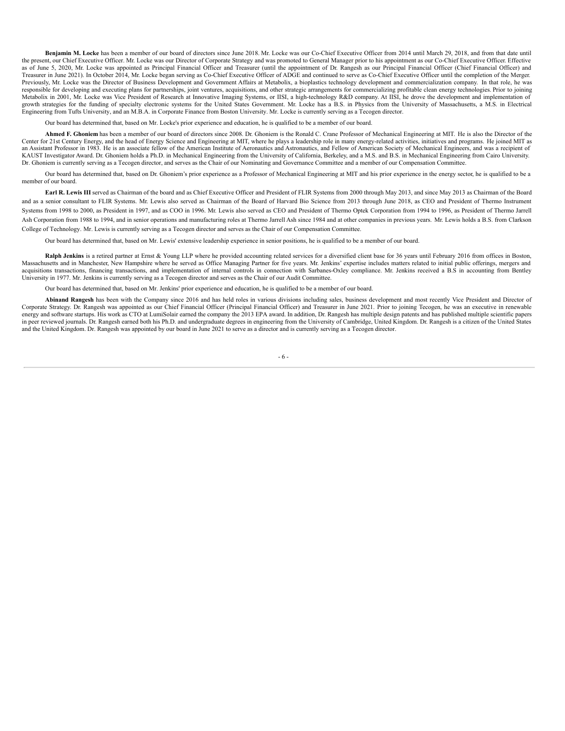**Benjamin M. Locke** has been a member of our board of directors since June 2018. Mr. Locke was our Co-Chief Executive Officer from 2014 until March 29, 2018, and from that date until the present, our Chief Executive Officer. Mr. Locke was our Director of Corporate Strategy and was promoted to General Manager prior to his appointment as our Co-Chief Executive Officer. Effective as of June 5, 2020, Mr. Locke was appointed as Principal Financial Officer and Treasurer (until the appointment of Dr. Rangesh as our Principal Financial Officer (Chief Financial Officer) and Treasurer in June 2021). In October 2014, Mr. Locke began serving as Co-Chief Executive Officer of ADGE and continued to serve as Co-Chief Executive Officer until the completion of the Merger. Previously, Mr. Locke was the Director of Business Development and Government Affairs at Metabolix, a bioplastics technology development and commercialization company. In that role, he was responsible for developing and executing plans for partnerships, joint ventures, acquisitions, and other strategic arrangements for commercializing profitable clean energy technologies. Prior to joining Metabolix in 2001, Mr. Locke was Vice President of Research at Innovative Imaging Systems, or IISI, a high-technology R&D company. At IISI, he drove the development and implementation of growth strategies for the funding of specialty electronic systems for the United States Government. Mr. Locke has a B.S. in Physics from the University of Massachusetts, a M.S. in Electrical Engineering from Tufts University, and an M.B.A. in Corporate Finance from Boston University. Mr. Locke is currently serving as a Tecogen director.

Our board has determined that, based on Mr. Locke's prior experience and education, he is qualified to be a member of our board.

Ahmed F. Ghoniem has been a member of our board of directors since 2008. Dr. Ghoniem is the Ronald C. Crane Professor of Mechanical Engineering at MIT. He is also the Director of the Center for 21st Century Energy, and the head of Energy Science and Engineering at MIT, where he plays a leadership role in many energy-related activities, initiatives and programs. He joined MIT as an Assistant Professor in 1983. He is an associate fellow of the American Institute of Aeronautics and Astronautics, and Fellow of American Society of Mechanical Engineers, and was a recipient of KAUST Investigator Award. Dr. Ghoniem holds a Ph.D. in Mechanical Engineering from the University of California, Berkeley, and a M.S. and B.S. in Mechanical Engineering from Cairo University. Dr. Ghoniem is currently serving as a Tecogen director, and serves as the Chair of our Nominating and Governance Committee and a member of our Compensation Committee.

Our board has determined that, based on Dr. Ghoniem's prior experience as a Professor of Mechanical Engineering at MIT and his prior experience in the energy sector, he is qualified to be a member of our board.

**Earl R. Lewis III** served as Chairman of the board and as Chief Executive Officer and President of FLIR Systems from 2000 through May 2013, and since May 2013 as Chairman of the Board and as a senior consultant to FLIR Systems. Mr. Lewis also served as Chairman of the Board of Harvard Bio Science from 2013 through June 2018, as CEO and President of Thermo Instrument Systems from 1998 to 2000, as President in 1997, and as COO in 1996. Mr. Lewis also served as CEO and President of Thermo Optek Corporation from 1994 to 1996, as President of Thermo Jarrell Ash Corporation from 1988 to 1994, and in senior operations and manufacturing roles at Thermo Jarrell Ash since 1984 and at other companies in previous years. Mr. Lewis holds a B.S. from Clarkson College of Technology. Mr. Lewis is currently serving as a Tecogen director and serves as the Chair of our Compensation Committee.

Our board has determined that, based on Mr. Lewis' extensive leadership experience in senior positions, he is qualified to be a member of our board.

Ralph Jenkins is a retired partner at Ernst & Young LLP where he provided accounting related services for a diversified client base for 36 years until February 2016 from offices in Boston, Massachusetts and in Manchester, New Hampshire where he served as Office Managing Partner for five years. Mr. Jenkins' expertise includes matters related to initial public offerings, mergers and acquisitions transactions, financing transactions, and implementation of internal controls in connection with Sarbanes-Oxley compliance. Mr. Jenkins received a B.S in accounting from Bentley University in 1977. Mr. Jenkins is currently serving as a Tecogen director and serves as the Chair of our Audit Committee.

Our board has determined that, based on Mr. Jenkins' prior experience and education, he is qualified to be a member of our board.

Abinand Rangesh has been with the Company since 2016 and has held roles in various divisions including sales, business development and most recently Vice President and Director of Corporate Strategy. Dr. Rangesh was appointed as our Chief Financial Officer (Principal Financial Officer) and Treasurer in June 2021. Prior to joining Tecogen, he was an executive in renewable energy and software startups. His work as CTO at LumiSolair earned the company the 2013 EPA award. In addition, Dr. Rangesh has multiple design patents and has published multiple scientific papers in peer reviewed journals. Dr. Rangesh earned both his Ph.D. and undergraduate degrees in engineering from the University of Cambridge, United Kingdom. Dr. Rangesh is a citizen of the United States and the United Kingdom. Dr. Rangesh was appointed by our board in June 2021 to serve as a director and is currently serving as a Tecogen director.

- 6 -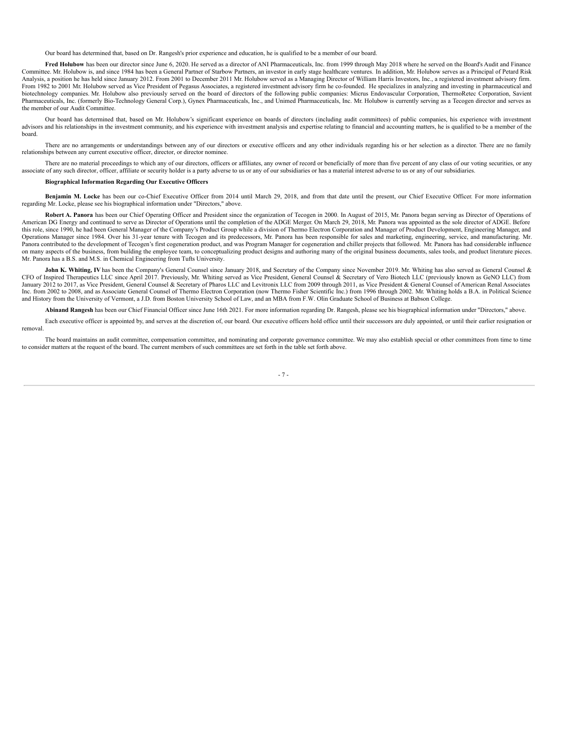Our board has determined that, based on Dr. Rangesh's prior experience and education, he is qualified to be a member of our board.

Fred Holubow has been our director since June 6, 2020. He served as a director of ANI Pharmaceuticals, Inc. from 1999 through May 2018 where he served on the Board's Audit and Finance Committee. Mr. Holubow is, and since 1984 has been a General Partner of Starbow Partners, an investor in early stage healthcare ventures. In addition, Mr. Holubow serves as a Principal of Petard Risk Analysis, a position he has held since January 2012. From 2001 to December 2011 Mr. Holubow served as a Managing Director of William Harris Investors, Inc., a registered investment advisory firm. From 1982 to 2001 Mr. Holubow served as Vice President of Pegasus Associates, a registered investment advisory firm he co-founded. He specializes in analyzing and investing in pharmaceutical and biotechnology companies. Mr. Holubow also previously served on the board of directors of the following public companies: Micrus Endovascular Corporation, ThermoRetec Corporation, Savient Pharmaceuticals, Inc. (formerly Bio-Technology General Corp.), Gynex Pharmaceuticals, Inc., and Unimed Pharmaceuticals, Inc. Mr. Holubow is currently serving as a Tecogen director and serves as the member of our Audit Committee.

Our board has determined that, based on Mr. Holubow's significant experience on boards of directors (including audit committees) of public companies, his experience with investment advisors and his relationships in the investment community, and his experience with investment analysis and expertise relating to financial and accounting matters, he is qualified to be a member of the board.

There are no arrangements or understandings between any of our directors or executive officers and any other individuals regarding his or her selection as a director. There are no family relationships between any current executive officer, director, or director nominee.

There are no material proceedings to which any of our directors, officers or affiliates, any owner of record or beneficially of more than five percent of any class of our voting securities, or any associate of any such director, officer, affiliate or security holder is a party adverse to us or any of our subsidiaries or has a material interest adverse to us or any of our subsidiaries.

#### **Biographical Information Regarding Our Executive Officers**

**Benjamin M. Locke** has been our co-Chief Executive Officer from 2014 until March 29, 2018, and from that date until the present, our Chief Executive Officer. For more information regarding Mr. Locke, please see his biographical information under "Directors," above.

Robert A. Panora has been our Chief Operating Officer and President since the organization of Tecogen in 2000. In August of 2015, Mr. Panora began serving as Director of Operations of American DG Energy and continued to serve as Director of Operations until the completion of the ADGE Merger. On March 29, 2018, Mr. Panora was appointed as the sole director of ADGE. Before this role, since 1990, he had been General Manager of the Company's Product Group while a division of Thermo Electron Corporation and Manager of Product Development, Engineering Manager, and Operations Manager since 1984. Over his 31-year tenure with Tecogen and its predecessors, Mr. Panora has been responsible for sales and marketing, engineering, service, and manufacturing. Mr. Panora contributed to the development of Tecogen's first cogeneration product, and was Program Manager for cogeneration and chiller projects that followed. Mr. Panora has had considerable influence on many aspects of the business, from building the employee team, to conceptualizing product designs and authoring many of the original business documents, sales tools, and product literature pieces. Mr. Panora has a B.S. and M.S. in Chemical Engineering from Tufts University.

John K. Whiting, IV has been the Company's General Counsel since January 2018, and Secretary of the Company since November 2019. Mr. Whiting has also served as General Counsel & CFO of Inspired Therapeutics LLC since April 2017. Previously, Mr. Whiting served as Vice President, General Counsel & Secretary of Vero Biotech LLC (previously known as GeNO LLC) from January 2012 to 2017, as Vice President, General Counsel & Secretary of Pharos LLC and Levitronix LLC from 2009 through 2011, as Vice President & General Counsel of American Renal Associates Inc. from 2002 to 2008, and as Associate General Counsel of Thermo Electron Corporation (now Thermo Fisher Scientific Inc.) from 1996 through 2002. Mr. Whiting holds a B.A. in Political Science and History from the University of Vermont, a J.D. from Boston University School of Law, and an MBA from F.W. Olin Graduate School of Business at Babson College.

**Abinand Rangesh** has been our Chief Financial Officer since June 16th 2021. For more information regarding Dr. Rangesh, please see his biographical information under "Directors," above.

Each executive officer is appointed by, and serves at the discretion of, our board. Our executive officers hold office until their successors are duly appointed, or until their earlier resignation or removal.

<span id="page-10-0"></span>The board maintains an audit committee, compensation committee, and nominating and corporate governance committee. We may also establish special or other committees from time to time to consider matters at the request of the board. The current members of such committees are set forth in the table set forth above.

- 7 -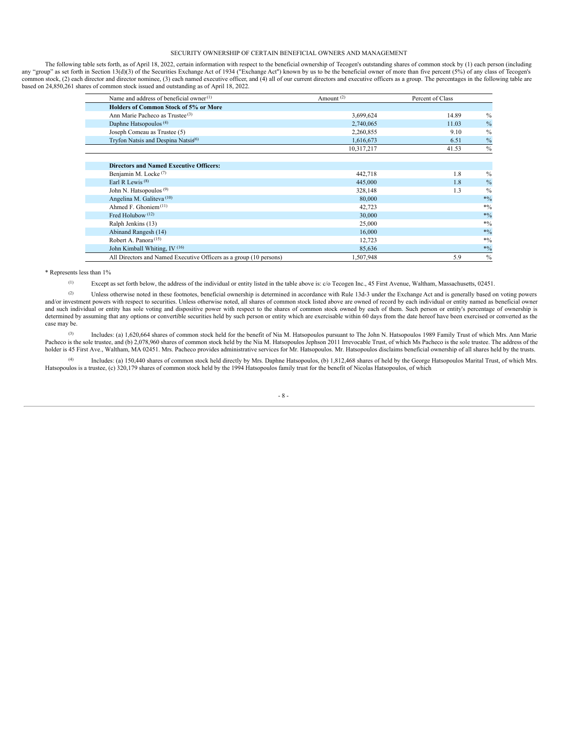#### SECURITY OWNERSHIP OF CERTAIN BENEFICIAL OWNERS AND MANAGEMENT

The following table sets forth, as of April 18, 2022, certain information with respect to the beneficial ownership of Tecogen's outstanding shares of common stock by (1) each person (including any "group" as set forth in Section 13(d)(3) of the Securities Exchange Act of 1934 ("Exchange Act") known by us to be the beneficial owner of more than five percent (5%) of any class of Tecogen's common stock, (2) each di based on 24,850,261 shares of common stock issued and outstanding as of April 18, 2022.

| Name and address of beneficial owner $(1)$                         | Amount $(2)$ | Percent of Class |                           |
|--------------------------------------------------------------------|--------------|------------------|---------------------------|
| <b>Holders of Common Stock of 5% or More</b>                       |              |                  |                           |
| Ann Marie Pacheco as Trustee <sup>(3)</sup>                        | 3,699,624    | 14.89            | $\%$                      |
| Daphne Hatsopoulos <sup>(4)</sup>                                  | 2,740,065    | 11.03            | $\frac{0}{0}$             |
| Joseph Comeau as Trustee (5)                                       | 2,260,855    | 9.10             | $\sqrt[0]{\phantom{.}}_0$ |
| Tryfon Natsis and Despina Natsis <sup>6)</sup>                     | 1,616,673    | 6.51             | $\frac{0}{0}$             |
|                                                                    | 10,317,217   | 41.53            | $\%$                      |
|                                                                    |              |                  |                           |
| <b>Directors and Named Executive Officers:</b>                     |              |                  |                           |
| Benjamin M. Locke <sup>(7)</sup>                                   | 442,718      | 1.8              | $\%$                      |
| Earl R Lewis <sup>(8)</sup>                                        | 445,000      | 1.8              | $\frac{0}{0}$             |
| John N. Hatsopoulos <sup>(9)</sup>                                 | 328,148      | 1.3              | $\frac{0}{0}$             |
| Angelina M. Galiteva <sup>(10)</sup>                               | 80,000       |                  | $*9/0$                    |
| Ahmed F. Ghoniem $(11)$                                            | 42,723       |                  | $*0/0$                    |
| Fred Holubow $(12)$                                                | 30,000       |                  | $*0/0$                    |
| Ralph Jenkins (13)                                                 | 25,000       |                  | $*0/0$                    |
| Abinand Rangesh (14)                                               | 16,000       |                  | $*9/0$                    |
| Robert A. Panora <sup>(15)</sup>                                   | 12,723       |                  | $*0/0$                    |
| John Kimball Whiting, IV <sup>(16)</sup>                           | 85,636       |                  | $*0/0$                    |
| All Directors and Named Executive Officers as a group (10 persons) | 1,507,948    | 5.9              | $\frac{0}{0}$             |

\* Represents less than 1%

Except as set forth below, the address of the individual or entity listed in the table above is: c/o Tecogen Inc., 45 First Avenue, Waltham, Massachusetts, 02451. (1)

Unless otherwise noted in these footnotes, beneficial ownership is determined in accordance with Rule 13d-3 under the Exchange Act and is generally based on voting powers and/or investment powers with respect to securities. Unless otherwise noted, all shares of common stock listed above are owned of record by each individual or entity named as beneficial owner and such individual or entity has sole voting and dispositive power with respect to the shares of common stock owned by each of them. Such person or entity's percentage of ownership is determined by assuming that any options or convertible securities held by such person or entity which are exercisable within 60 days from the date hereof have been exercised or converted as the case may be. (2)

Includes: (a) 1,620,664 shares of common stock held for the benefit of Nia M. Hatsopoulos pursuant to The John N. Hatsopoulos 1989 Family Trust of which Mrs. Ann Marie Pacheco is the sole trustee, and (b) 2,078,960 shares of common stock held by the Nia M. Hatsopoulos Jephson 2011 Irrevocable Trust, of which Ms Pacheco is the sole trustee. The address of the holder is 45 First Ave., Waltham, MA 02451. Mrs. Pacheco provides administrative services for Mr. Hatsopoulos. Mr. Hatsopoulos disclaims beneficial ownership of all shares held by the trusts. (3)

Includes: (a) 150,440 shares of common stock held directly by Mrs. Daphne Hatsopoulos, (b) 1,812,468 shares of held by the George Hatsopoulos Marital Trust, of which Mrs. Hatsopoulos is a trustee, (c) 320,179 shares of common stock held by the 1994 Hatsopoulos family trust for the benefit of Nicolas Hatsopoulos, of which  $(4)$ 

## - 8 -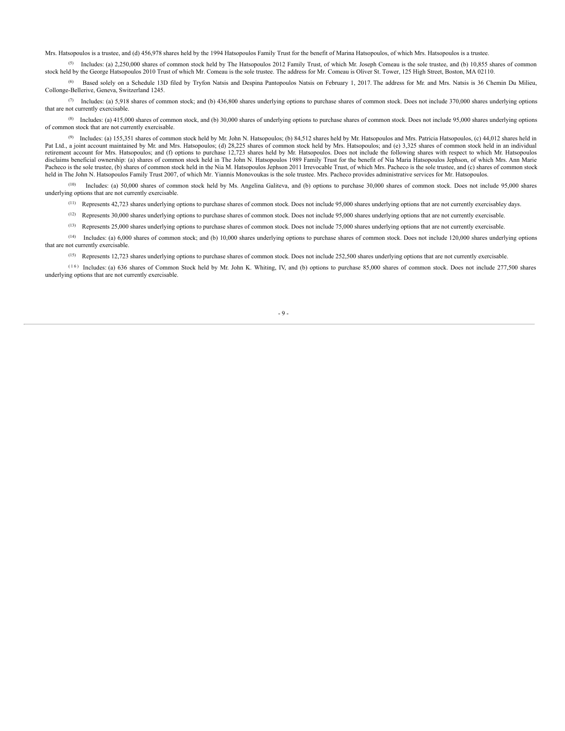Mrs. Hatsopoulos is a trustee, and (d) 456,978 shares held by the 1994 Hatsopoulos Family Trust for the benefit of Marina Hatsopoulos, of which Mrs. Hatsopoulos is a trustee.

 $(5)$  Includes: (a) 2,250,000 shares of common stock held by The Hatsopoulos 2012 Family Trust, of which Mr. Joseph Comeau is the sole trustee, and (b) 10,855 shares of common stock held by the George Hatsopoulos 2010 Trust of which Mr. Comeau is the sole trustee. The address for Mr. Comeau is Oliver St. Tower, 125 High Street, Boston, MA 02110.

<sup>(6)</sup> Based solely on a Schedule 13D filed by Tryfon Natsis and Despina Pantopoulos Natsis on February 1, 2017. The address for Mr. and Mrs. Natsis is 36 Chemin Du Milieu, Collonge-Bellerive, Geneva, Switzerland 1245.

(7) Includes: (a)  $5,918$  shares of common stock; and (b)  $436,800$  shares underlying options to purchase shares of common stock. Does not include 370,000 shares underlying options that are not currently exercisable.

Includes: (a) 415,000 shares of common stock, and (b) 30,000 shares of underlying options to purchase shares of common stock. Does not include 95,000 shares underlying options (8) of common stock that are not currently exercisable.

<sup>(9)</sup> Includes: (a) 155,351 shares of common stock held by Mr. John N. Hatsopoulos; (b) 84,512 shares held by Mr. Hatsopoulos and Mrs. Patricia Hatsopoulos, (c) 44,012 shares held in Pat Ltd., a joint account maintained by Mr. and Mrs. Hatsopoulos; (d) 28,225 shares of common stock held by Mrs. Hatsopoulos; and (e) 3,325 shares of common stock held in an individual retirement account for Mrs. Hatsopoulos; and (f) options to purchase 12,723 shares held by Mr. Hatsopoulos. Does not include the following shares with respect to which Mr. Hatsopoulos disclaims beneficial ownership: (a) shares of common stock held in The John N. Hatsopoulos 1989 Family Trust for the benefit of Nia Maria Hatsopoulos Jephson, of which Mrs. Ann Marie Pacheco is the sole trustee, (b) shares of common stock held in the Nia M. Hatsopoulos Jephson 2011 Irrevocable Trust, of which Mrs. Pacheco is the sole trustee, and (c) shares of common stock held in The John N. Hatsopoulos Family Trust 2007, of which Mr. Yiannis Monovoukas is the sole trustee. Mrs. Pacheco provides administrative services for Mr. Hatsopoulos.

Includes: (a) 50,000 shares of common stock held by Ms. Angelina Galiteva, and (b) options to purchase 30,000 shares of common stock. Does not include 95,000 shares underlying options that are not currently exercisable. (10)

Represents 42,723 shares underlying options to purchase shares of common stock. Does not include 95,000 shares underlying options that are not currently exercisabley days. (11)

 $(12)$  Represents 30,000 shares underlying options to purchase shares of common stock. Does not include 95,000 shares underlying options that are not currently exercisable.

 $(13)$  Represents 25,000 shares underlying options to purchase shares of common stock. Does not include 75,000 shares underlying options that are not currently exercisable.

Includes: (a) 6,000 shares of common stock; and (b) 10,000 shares underlying options to purchase shares of common stock. Does not include 120,000 shares underlying options (14) that are not currently exercisable.

 $(15)$  Represents 12,723 shares underlying options to purchase shares of common stock. Does not include 252,500 shares underlying options that are not currently exercisable.

 $(16)$  Includes: (a) 636 shares of Common Stock held by Mr. John K. Whiting, IV, and (b) options to purchase 85,000 shares of common stock. Does not include 277,500 shares underlying options that are not currently exercisable.

 $-9 -$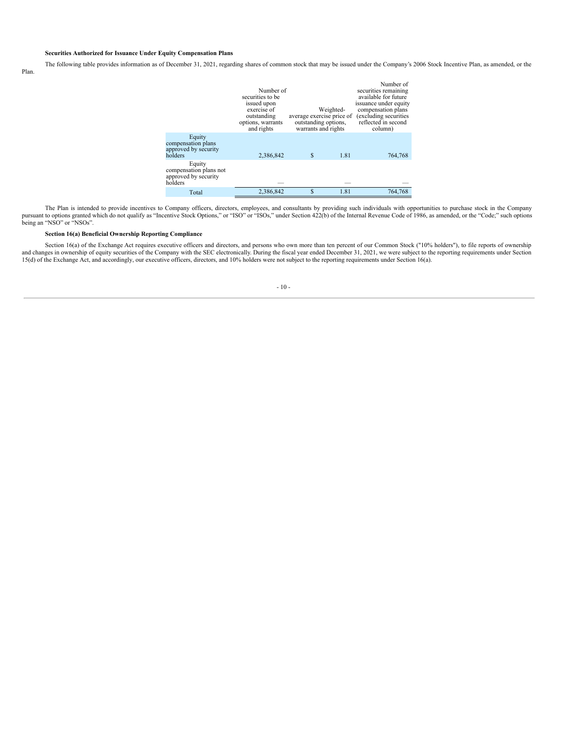### **Securities Authorized for Issuance Under Equity Compensation Plans**

The following table provides information as of December 31, 2021, regarding shares of common stock that may be issued under the Company's 2006 Stock Incentive Plan, as amended, or the

Plan.

|                                                                     | Number of<br>securities to be<br>issued upon<br>exercise of<br>outstanding<br>options, warrants<br>and rights | average exercise price of<br>outstanding options,<br>warrants and rights | Weighted- | Number of<br>securities remaining<br>available for future<br>issuance under equity<br>compensation plans<br>(excluding securities)<br>reflected in second<br>column) |  |  |
|---------------------------------------------------------------------|---------------------------------------------------------------------------------------------------------------|--------------------------------------------------------------------------|-----------|----------------------------------------------------------------------------------------------------------------------------------------------------------------------|--|--|
| Equity<br>compensation plans<br>approved by security<br>holders     | 2,386,842                                                                                                     | \$                                                                       | 1.81      | 764,768                                                                                                                                                              |  |  |
| Equity<br>compensation plans not<br>approved by security<br>holders |                                                                                                               |                                                                          |           |                                                                                                                                                                      |  |  |
| Total                                                               | 2,386,842                                                                                                     | \$                                                                       | 1.81      | 764,768                                                                                                                                                              |  |  |

The Plan is intended to provide incentives to Company officers, directors, employees, and consultants by providing such individuals with opportunities to purchase stock in the Company pursuant to options granted which do n

## **Section 16(a) Beneficial Ownership Reporting Compliance**

<span id="page-13-0"></span>Section 16(a) of the Exchange Act requires executive officers and directors, and persons who own more than ten percent of our Common Stock ("10% holders"), to file reports of ownership and changes in ownership of equity securities of the Company with the SEC electronically. During the fiscal year ended December 31, 2021, we were subject to the reporting requirements under Section 15(d) of the Exchange Ac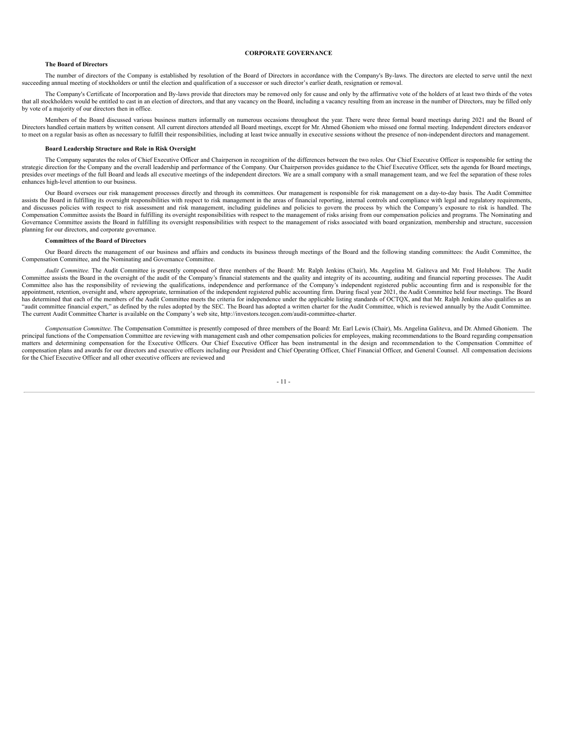#### **CORPORATE GOVERNANCE**

#### **The Board of Directors**

The number of directors of the Company is established by resolution of the Board of Directors in accordance with the Company's By-laws. The directors are elected to serve until the next succeeding annual meeting of stockholders or until the election and qualification of a successor or such director's earlier death, resignation or removal.

The Company's Certificate of Incorporation and By-laws provide that directors may be removed only for cause and only by the affirmative vote of the holders of at least two thirds of the votes that all stockholders would be entitled to cast in an election of directors, and that any vacancy on the Board, including a vacancy resulting from an increase in the number of Directors, may be filled only by vote of a majority of our directors then in office.

Members of the Board discussed various business matters informally on numerous occasions throughout the year. There were three formal board meetings during 2021 and the Board of Directors handled certain matters by written consent. All current directors attended all Board meetings, except for Mr. Ahmed Ghoniem who missed one formal meeting. Independent directors endeavor to meet on a regular basis as often as necessary to fulfill their responsibilities, including at least twice annually in executive sessions without the presence of non-independent directors and management.

#### **Board Leadership Structure and Role in Risk Oversight**

The Company separates the roles of Chief Executive Officer and Chairperson in recognition of the differences between the two roles. Our Chief Executive Officer is responsible for setting the strategic direction for the Company and the overall leadership and performance of the Company. Our Chairperson provides guidance to the Chief Executive Officer, sets the agenda for Board meetings, presides over meetings of the full Board and leads all executive meetings of the independent directors. We are a small company with a small management team, and we feel the separation of these roles enhances high-level attention to our business.

Our Board oversees our risk management processes directly and through its committees. Our management is responsible for risk management on a day-to-day basis. The Audit Committee assists the Board in fulfilling its oversight responsibilities with respect to risk management in the areas of financial reporting, internal controls and compliance with legal and regulatory requirements, and discusses pol Compensation Committee assists the Board in fulfilling its oversight responsibilities with respect to the management of risks arising from our compensation policies and programs. The Nominating and Governance Committee assists the Board in fulfilling its oversight responsibilities with respect to the management of risks associated with board organization, membership and structure, succession planning for our directors, and corporate governance.

#### **Committees of the Board of Directors**

Our Board directs the management of our business and affairs and conducts its business through meetings of the Board and the following standing committees: the Audit Committee, the Compensation Committee, and the Nominating and Governance Committee.

*Audit Committee*. The Audit Committee is presently composed of three members of the Board: Mr. Ralph Jenkins (Chair), Ms. Angelina M. Galiteva and Mr. Fred Holubow. The Audit Committee assists the Board in the oversight of the audit of the Company's financial statements and the quality and integrity of its accounting, auditing and financial reporting processes. The Audit Committee also has the responsibility of reviewing the qualifications, independence and performance of the Company's independent registered public accounting firm and is responsible for the appointment, retention, oversight and, where appropriate, termination of the independent registered public accounting firm. During fiscal year 2021, the Audit Committee held four meetings. The Board has determined that each of the members of the Audit Committee meets the criteria for independence under the applicable listing standards of OCTQX, and that Mr. Ralph Jenkins also qualifies as an "audit committee financial expert," as defined by the rules adopted by the SEC. The Board has adopted a written charter for the Audit Committee, which is reviewed annually by the Audit Committee. The current Audit Committee Charter is available on the Company's web site, http://investors.tecogen.com/audit-committee-charter.

*Compensation Committee*. The Compensation Committee is presently composed of three members of the Board: Mr. Earl Lewis (Chair), Ms. Angelina Galiteva, and Dr. Ahmed Ghoniem. The principal functions of the Compensation Committee are reviewing with management cash and other compensation policies for employees, making recommendations to the Board regarding compensation matters and determining compensation for the Executive Officers. Our Chief Executive Officer has been instrumental in the design and recommendation to the Compensation Committee of compensation plans and awards for our directors and executive officers including our President and Chief Operating Officer, Chief Financial Officer, and General Counsel. All compensation decisions for the Chief Executive Officer and all other executive officers are reviewed and

- 11 -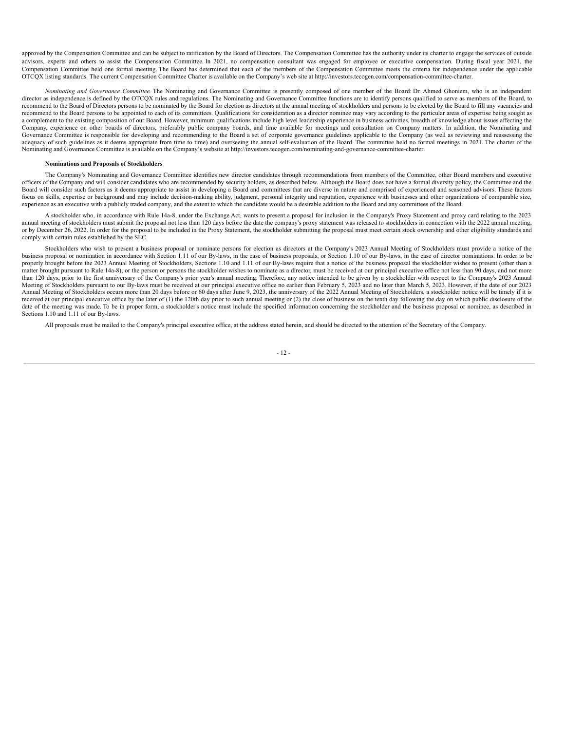approved by the Compensation Committee and can be subject to ratification by the Board of Directors. The Compensation Committee has the authority under its charter to engage the services of outside advisors, experts and others to assist the Compensation Committee. In 2021, no compensation consultant was engaged for employee or executive compensation. During fiscal year 2021, the Compensation Committee held one formal meeting. The Board has determined that each of the members of the Compensation Committee meets the criteria for independence under the applicable OTCQX listing standards. The current Compensation Committee Charter is available on the Company's web site at http://investors.tecogen.com/compensation-committee-charter.

*Nominating and Governance Committee*. The Nominating and Governance Committee is presently composed of one member of the Board: Dr. Ahmed Ghoniem, who is an independent director as independence is defined by the OTCQX rules and regulations. The Nominating and Governance Committee functions are to identify persons qualified to serve as members of the Board, to recommend to the Board of Directors persons to be nominated by the Board for election as directors at the annual meeting of stockholders and persons to be elected by the Board to fill any vacancies and recommend to the Board persons to be appointed to each of its committees. Qualifications for consideration as a director nominee may vary according to the particular areas of expertise being sought as a complement to the existing composition of our Board. However, minimum qualifications include high level leadership experience in business activities, breadth of knowledge about issues affecting the Company, experience on other boards of directors, preferably public company boards, and time available for meetings and consultation on Company matters. In addition, the Nominating and Governance Committee is responsible for developing and recommending to the Board a set of corporate governance guidelines applicable to the Company (as well as reviewing and reassessing the adequacy of such guidelines as it deems appropriate from time to time) and overseeing the annual self-evaluation of the Board. The committee held no formal meetings in 2021. The charter of the Nominating and Governance Committee is available on the Company's website at http://investors.tecogen.com/nominating-and-governance-committee-charter.

#### **Nominations and Proposals of Stockholders**

The Company's Nominating and Governance Committee identifies new director candidates through recommendations from members of the Committee, other Board members and executive officers of the Company and will consider candidates who are recommended by security holders, as described below. Although the Board does not have a formal diversity policy, the Committee and the Board will consider such factors as it deems appropriate to assist in developing a Board and committees that are diverse in nature and comprised of experienced and seasoned advisors. These factors focus on skills, expertise or background and may include decision-making ability, judgment, personal integrity and reputation, experience with businesses and other organizations of comparable size, experience as an executive with a publicly traded company, and the extent to which the candidate would be a desirable addition to the Board and any committees of the Board.

A stockholder who, in accordance with Rule 14a-8, under the Exchange Act, wants to present a proposal for inclusion in the Company's Proxy Statement and proxy card relating to the 2023 annual meeting of stockholders must submit the proposal not less than 120 days before the date the company's proxy statement was released to stockholders in connection with the 2022 annual meeting,<br>or by December 26, 2022. comply with certain rules established by the SEC.

Stockholders who wish to present a business proposal or nominate persons for election as directors at the Company's 2023 Annual Meeting of Stockholders must provide a notice of the business proposal or nomination in accordance with Section 1.11 of our By-laws, in the case of business proposals, or Section 1.10 of our By-laws, in the case of director nominations. In order to be properly brought before the 2023 Annual Meeting of Stockholders, Sections 1.10 and 1.11 of our By-laws require that a notice of the business proposal the stockholder wishes to present (other than a matter brought pursuant to Rule 14a-8), or the person or persons the stockholder wishes to nominate as a director, must be received at our principal executive office not less than 90 days, and not more than 120 days, prior to the first anniversary of the Company's prior year's annual meeting. Therefore, any notice intended to be given by a stockholder with respect to the Company's 2023 Annual Meeting of Stockholders pursuant to our By-laws must be received at our principal executive office no earlier than February 5, 2023 and no later than March 5, 2023. However, if the date of our 2023 Annual Meeting of Stockholders occurs more than 20 days before or 60 days after June 9, 2023, the anniversary of the 2022 Annual Meeting of Stockholders, a stockholder notice will be timely if it is received at our principal executive office by the later of (1) the 120th day prior to such annual meeting or (2) the close of business on the tenth day following the day on which public disclosure of the date of the meeting was made. To be in proper form, a stockholder's notice must include the specified information concerning the stockholder and the business proposal or nominee, as described in Sections 1.10 and 1.11 of our By-laws.

All proposals must be mailed to the Company's principal executive office, at the address stated herein, and should be directed to the attention of the Secretary of the Company.

#### - 12 -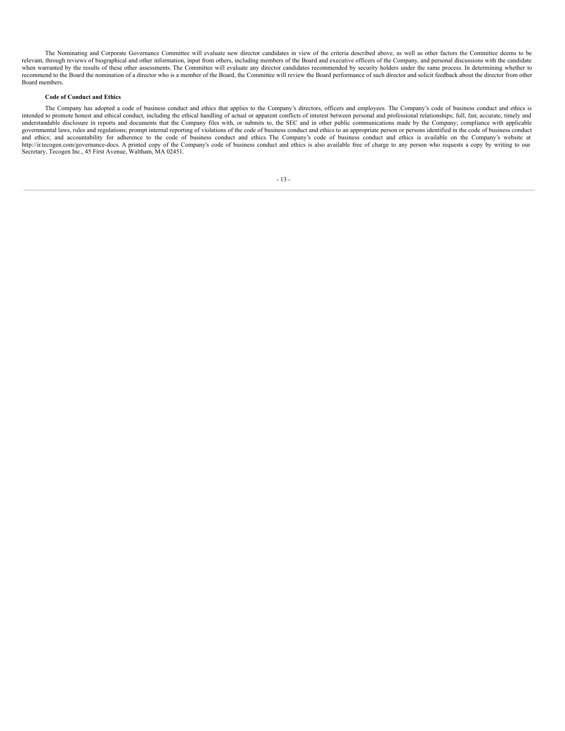The Nominating and Corporate Governance Committee will evaluate new director candidates in view of the criteria described above, as well as other factors the Committee deems to be relevant, through reviews of biographical and other information, input from others, including members of the Board and executive officers of the Company, and personal discussions with the candidate when warranted by the results of these other assessments. The Committee will evaluate any director candidates recommended by security holders under the same process. In determining whether to recommend to the Board the nomination of a director who is a member of the Board, the Committee will review the Board performance of such director and solicit feedback about the director from other Board members.

#### **Code of Conduct and Ethics**

<span id="page-16-0"></span>The Company has adopted a code of business conduct and ethics that applies to the Company's directors, officers and employees. The Company's code of business conduct and ethics is intended to promote honest and ethical conduct, including the ethical handling of actual or apparent conflicts of interest between personal and professional relationships; full, fair, accurate, timely and understandable di understandable disclosure in reports and documents that the Company files with, or submits to, the SEC and in other public communications made by the Company; compliance with applicable governmental laws, rules and regulat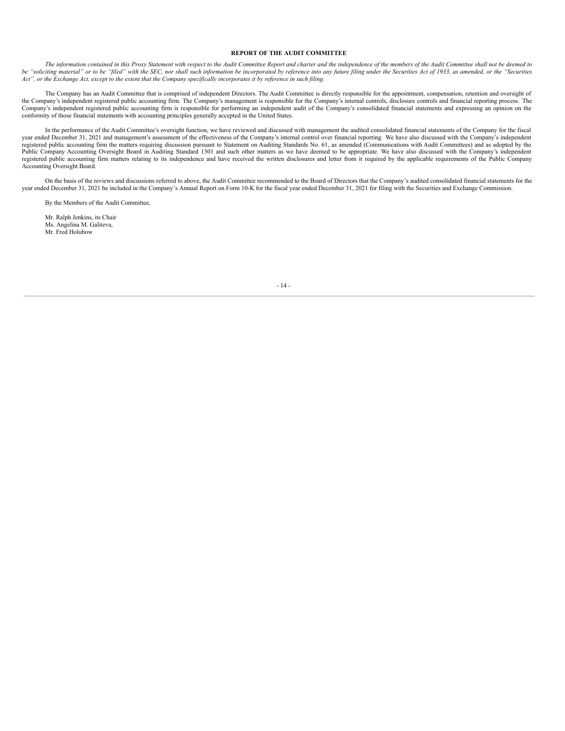#### **REPORT OF THE AUDIT COMMITTEE**

The information contained in this Proxy Statement with respect to the Audit Committee Report and charter and the independence of the members of the Audit Committee shall not be deemed to be "soliciting material" or to be "filed" with the SEC, nor shall such information be incorporated by reference into any future filing under the Securities Act of 1933, as amended, or the "Securities Act", or the Exchange Act, except to the extent that the Company specifically incorporates it by reference in such filing.

The Company has an Audit Committee that is comprised of independent Directors. The Audit Committee is directly responsible for the appointment, compensation, retention and oversight of the Company's independent registered public accounting firm. The Company's management is responsible for the Company's internal controls, disclosure controls and financial reporting process. The Company's independent registered public accounting firm is responsible for performing an independent audit of the Company's consolidated financial statements and expressing an opinion on the conformity of those financial statements with accounting principles generally accepted in the United States.

In the performance of the Audit Committee's oversight function, we have reviewed and discussed with management the audited consolidated financial statements of the Company for the fiscal year ended December 31, 2021 and management's assessment of the effectiveness of the Company's internal control over financial reporting. We have also discussed with the Company's independent registered public accounting firm the matters requiring discussion pursuant to Statement on Auditing Standards No. 61, as amended (Communications with Audit Committees) and as adopted by the Public Company Accounting Oversight Board in Auditing Standard 1301 and such other matters as we have deemed to be appropriate. We have also discussed with the Company's independent registered public accounting firm matters relating to its independence and have received the written disclosures and letter from it required by the applicable requirements of the Public Company Accounting Oversight Board.

On the basis of the reviews and discussions referred to above, the Audit Committee recommended to the Board of Directors that the Company's audited consolidated financial statements for the year ended December 31, 2021 be included in the Company's Annual Report on Form 10-K for the fiscal year ended December 31, 2021 for filing with the Securities and Exchange Commission.

By the Members of the Audit Committee,

<span id="page-17-0"></span>Mr. Ralph Jenkins, its Chair Ms. Angelina M. Galiteva, Mr. Fred Holubow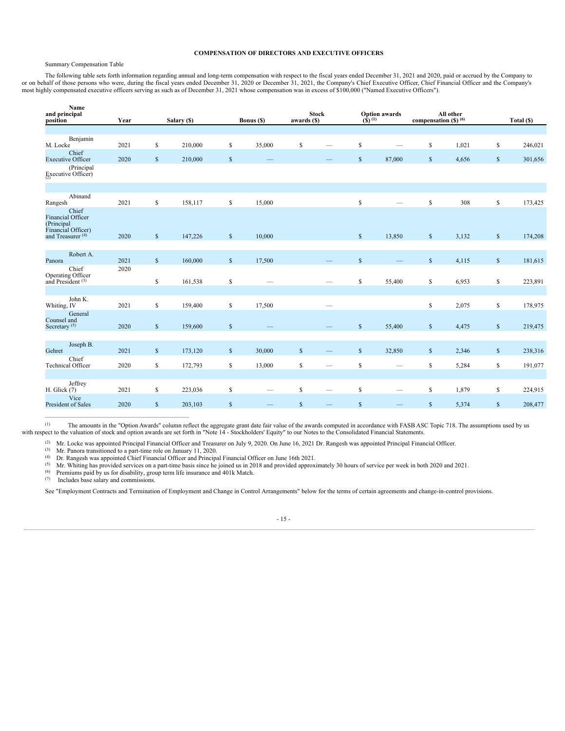#### **COMPENSATION OF DIRECTORS AND EXECUTIVE OFFICERS**

## Summary Compensation Table

The following table sets forth information regarding annual and long-term compensation with respect to the fiscal years ended December 31, 2021 and 2020, paid or accrued by the Company to or on behalf of those persons who were, during the fiscal years ended December 31, 2020 or December 31, 2021, the Company's Chief Executive Officer, Chief Financial Officer and the Company's most highly compensated executive officers serving as such as of December 31, 2021 whose compensation was in excess of \$100,000 ("Named Executive Officers").

| Name<br>and principal<br>position                          | Year |              | Salary (\$) |              | Bonus (\$)        | awards (\$)  | <b>Stock</b>    | $(\hat{\mathbf{S}})^{(1)}$ | <b>Option awards</b> | compensation $($ ) $($ <sup>6</sup> $)$ | All other |              | Total (\$) |
|------------------------------------------------------------|------|--------------|-------------|--------------|-------------------|--------------|-----------------|----------------------------|----------------------|-----------------------------------------|-----------|--------------|------------|
|                                                            |      |              |             |              |                   |              |                 |                            |                      |                                         |           |              |            |
| Benjamin<br>M. Locke                                       | 2021 | \$           | 210,000     | \$           | 35,000            | $\mathbb{S}$ |                 | $\mathbb{S}$               |                      | \$                                      | 1,021     | \$           | 246,021    |
| Chief<br><b>Executive Officer</b>                          | 2020 | \$           | 210,000     | $\mathbb{S}$ |                   |              |                 | $\mathbb{S}$               | 87,000               | $\$$                                    | 4,656     | $\$$         | 301,656    |
| (Principal<br>Executive Officer)                           |      |              |             |              |                   |              |                 |                            |                      |                                         |           |              |            |
|                                                            |      |              |             |              |                   |              |                 |                            |                      |                                         |           |              |            |
| Abinand<br>Rangesh                                         | 2021 | \$           | 158,117     | \$           | 15,000            |              |                 | \$                         |                      | \$                                      | 308       | \$           | 173,425    |
| Chief<br><b>Financial Officer</b><br>(Principal            |      |              |             |              |                   |              |                 |                            |                      |                                         |           |              |            |
| Financial Officer)<br>and Treasurer $(4)$                  | 2020 | $\mathbb{S}$ | 147,226     | $\mathbb{S}$ | 10,000            |              |                 | $\mathbb{S}$               | 13,850               | $\mathbb{S}$                            | 3,132     | $\mathbb{S}$ | 174,208    |
| Robert A.                                                  |      |              |             |              |                   |              |                 |                            |                      |                                         |           |              |            |
| Panora                                                     | 2021 | $\mathbb{S}$ | 160,000     | $\mathbb{S}$ | 17,500            |              |                 | $\mathsf{s}$               |                      | $\$$                                    | 4,115     | $\mathbb{S}$ | 181,615    |
| Chief<br>Operating Officer<br>and President <sup>(3)</sup> | 2020 | \$           | 161,538     | \$           |                   |              |                 | $\mathbb S$                | 55,400               | \$                                      | 6,953     | \$           | 223,891    |
|                                                            |      |              |             |              |                   |              |                 |                            |                      |                                         |           |              |            |
| John K.<br>Whiting, IV                                     | 2021 | \$           | 159,400     | \$           | 17,500            |              |                 |                            |                      | \$                                      | 2,075     | \$           | 178,975    |
| General<br>Counsel and                                     |      |              |             |              |                   |              |                 |                            |                      |                                         |           |              |            |
| Secretary <sup>(5)</sup>                                   | 2020 | $\mathbb{S}$ | 159,600     | $\mathbb{S}$ |                   |              |                 | $\mathsf{s}$               | 55,400               | $\$$                                    | 4,475     | $\mathbb{S}$ | 219,475    |
| Joseph B.                                                  |      |              |             |              |                   |              |                 |                            |                      |                                         |           |              |            |
| Gehret                                                     | 2021 | $\mathbb{S}$ | 173,120     | $\mathbb{S}$ | 30,000            | $\mathbb{S}$ |                 | $\mathbb{S}$               | 32,850               | $\$$                                    | 2,346     | $\mathbb{S}$ | 238,316    |
| Chief<br><b>Technical Officer</b>                          | 2020 | \$           | 172,793     | \$           | 13,000            | $\mathbb{S}$ |                 | $\mathbb S$                |                      | \$                                      | 5,284     | \$           | 191,077    |
|                                                            |      |              |             |              |                   |              |                 |                            |                      |                                         |           |              |            |
| Jeffrey<br>H. Glick (7)                                    | 2021 | \$           | 223,036     | \$           | $\hspace{0.05cm}$ | \$           | $\qquad \qquad$ | $\mathbb S$                |                      | \$                                      | 1,879     | \$           | 224,915    |
| Vice<br>President of Sales                                 | 2020 | \$           | 203,103     | $\mathbb{S}$ |                   | $\mathbb{S}$ |                 | $\mathbb{S}$               |                      | $\$$                                    | 5,374     | $\$$         | 208,477    |

The amounts in the "Option Awards" column reflect the aggregate grant date fair value of the awards computed in accordance with FASB ASC Topic 718. The assumptions used by us with respect to the valuation of stock and option awards are set forth in "Note 14 - Stockholders' Equity" to our Notes to the Consolidated Financial Statements. (1)

 $^{(2)}$  Mr. Locke was appointed Principal Financial Officer and Treasurer on July 9, 2020. On June 16, 2021 Dr. Rangesh was appointed Principal Financial Officer.

 $(Mr)$ . Panora transitioned to a part-time role on January 11, 2020.

 $\mathcal{L}_\text{max}$  and the contract of the contract of the contract of the contract of the contract of the contract of the contract of the contract of the contract of the contract of the contract of the contract of the contrac

Dr. Rangesh was appointed Chief Financial Officer and Principal Financial Officer on June 16th 2021. (4)

<sup>(5)</sup> Mr. Whiting has provided services on a part-time basis since he joined us in 2018 and provided approximately 30 hours of service per week in both 2020 and 2021.

Premiums paid by us for disability, group term life insurance and 401k Match. (6)

(7) Includes base salary and commissions.

See "Employment Contracts and Termination of Employment and Change in Control Arrangements" below for the terms of certain agreements and change-in-control provisions.

## - 15 -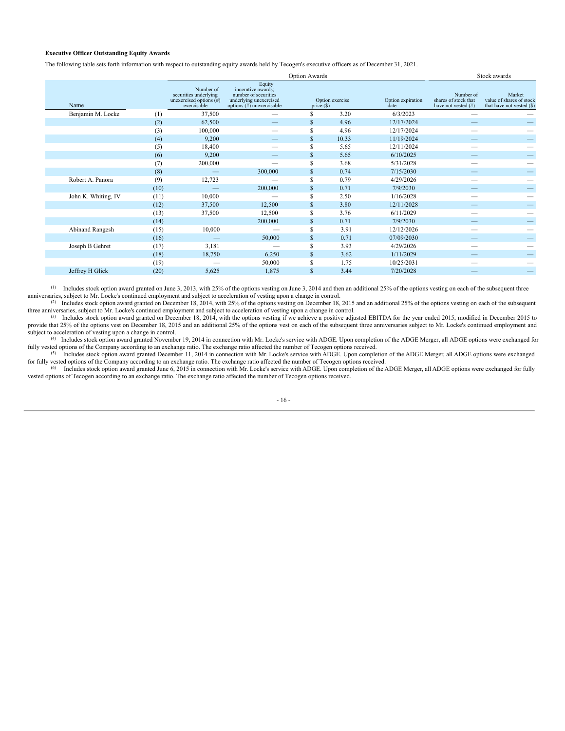### **Executive Officer Outstanding Equity Awards**

The following table sets forth information with respect to outstanding equity awards held by Tecogen's executive officers as of December 31, 2021.

|                     |                                                                                                                                                                                                   |         |              | Stock awards    |                           |                                                          |                                                                 |  |
|---------------------|---------------------------------------------------------------------------------------------------------------------------------------------------------------------------------------------------|---------|--------------|-----------------|---------------------------|----------------------------------------------------------|-----------------------------------------------------------------|--|
| Name                | Equity<br>Number of<br>incerntive awards:<br>securities underlying<br>number of securities<br>unexercised options $(\#)$<br>underlying unexercised<br>exercisable<br>options $(\#)$ unexercisable |         | price $(\$)$ | Option exercise | Option expiration<br>date | Number of<br>shares of stock that<br>have not vested (#) | Market<br>value of shares of stock<br>that have not vested (\$) |  |
| Benjamin M. Locke   | (1)                                                                                                                                                                                               | 37,500  |              | S               | 3.20                      | 6/3/2023                                                 |                                                                 |  |
|                     | (2)                                                                                                                                                                                               | 62,500  |              | S.              | 4.96                      | 12/17/2024                                               |                                                                 |  |
|                     | (3)                                                                                                                                                                                               | 100,000 |              | S               | 4.96                      | 12/17/2024                                               |                                                                 |  |
|                     | (4)                                                                                                                                                                                               | 9,200   |              | \$              | 10.33                     | 11/19/2024                                               |                                                                 |  |
|                     | (5)                                                                                                                                                                                               | 18,400  |              | S               | 5.65                      | 12/11/2024                                               |                                                                 |  |
|                     | (6)                                                                                                                                                                                               | 9,200   |              | \$              | 5.65                      | 6/10/2025                                                |                                                                 |  |
|                     | (7)                                                                                                                                                                                               | 200,000 |              | S               | 3.68                      | 5/31/2028                                                |                                                                 |  |
|                     | (8)                                                                                                                                                                                               |         | 300,000      | \$              | 0.74                      | 7/15/2030                                                |                                                                 |  |
| Robert A. Panora    | (9)                                                                                                                                                                                               | 12,723  |              | S               | 0.79                      | 4/29/2026                                                |                                                                 |  |
|                     | (10)                                                                                                                                                                                              |         | 200,000      | \$              | 0.71                      | 7/9/2030                                                 |                                                                 |  |
| John K. Whiting, IV | (11)                                                                                                                                                                                              | 10,000  |              | S               | 2.50                      | 1/16/2028                                                |                                                                 |  |
|                     | (12)                                                                                                                                                                                              | 37,500  | 12,500       | \$              | 3.80                      | 12/11/2028                                               |                                                                 |  |
|                     | (13)                                                                                                                                                                                              | 37,500  | 12,500       | s               | 3.76                      | 6/11/2029                                                |                                                                 |  |
|                     | (14)                                                                                                                                                                                              |         | 200,000      | \$              | 0.71                      | 7/9/2030                                                 |                                                                 |  |
| Abinand Rangesh     | (15)                                                                                                                                                                                              | 10,000  |              | S               | 3.91                      | 12/12/2026                                               |                                                                 |  |
|                     | (16)                                                                                                                                                                                              |         | 50,000       | $\mathbb{S}$    | 0.71                      | 07/09/2030                                               |                                                                 |  |
| Joseph B Gehret     | (17)                                                                                                                                                                                              | 3,181   | –            | s               | 3.93                      | 4/29/2026                                                |                                                                 |  |
|                     | (18)                                                                                                                                                                                              | 18,750  | 6,250        | $\mathbb{S}$    | 3.62                      | 1/11/2029                                                |                                                                 |  |
|                     | (19)                                                                                                                                                                                              |         | 50,000       | \$              | 1.75                      | 10/25/2031                                               |                                                                 |  |
| Jeffrey H Glick     | (20)                                                                                                                                                                                              | 5,625   | 1,875        | $\mathbb{S}$    | 3.44                      | 7/20/2028                                                |                                                                 |  |
|                     |                                                                                                                                                                                                   |         |              |                 |                           |                                                          |                                                                 |  |

(1) Includes stock option award granted on June 3, 2013, with 25% of the options vesting on June 3, 2014 and then an additional 25% of the options vesting on each of the subsequent three anniversaries, subject to Mr. Locke's continued employment and subject to acceleration of vesting upon a change in control.

(2) Includes stock option award granted on December 18, 2014, with 25% of the options vesting on December 18, 2015 and an additional 25% of the options vesting on each of the subsequent three anniversaries, subject to Mr. Locke's continued employment and subject to acceleration of vesting upon a change in control.

<sup>(3)</sup> Includes stock option award granted on December 18, 2014, with the options vesting if we achieve a positive adjusted EBITDA for the year ended 2015, modified in December 2015 to provide that 25% of the options vest on December 18, 2015 and an additional 25% of the options vest on each of the subsequent three anniversaries subject to Mr. Locke's continued employment and subject to acceleration of vesting upon a change in control.

<sup>(4)</sup> Includes stock option award granted November 19, 2014 in connection with Mr. Locke's service with ADGE. Upon completion of the ADGE Merger, all ADGE options were exchanged for fully vested options of the Company according to an exchange ratio. The exchange ratio affected the number of Tecogen options received.<br><sup>(5)</sup> Includes stock option award granted December 11, 2014 in connection with Mr. Loc

for fully vested options of the Company according to an exchange ratio. The exchange ratio affected the number of Tecogen options received.<br><sup>(6)</sup> Includes stock option award granted June 6, 2015 in connection with Mr. Lock vested options of Tecogen according to an exchange ratio. The exchange ratio affected the number of Tecogen options received.

- 16 -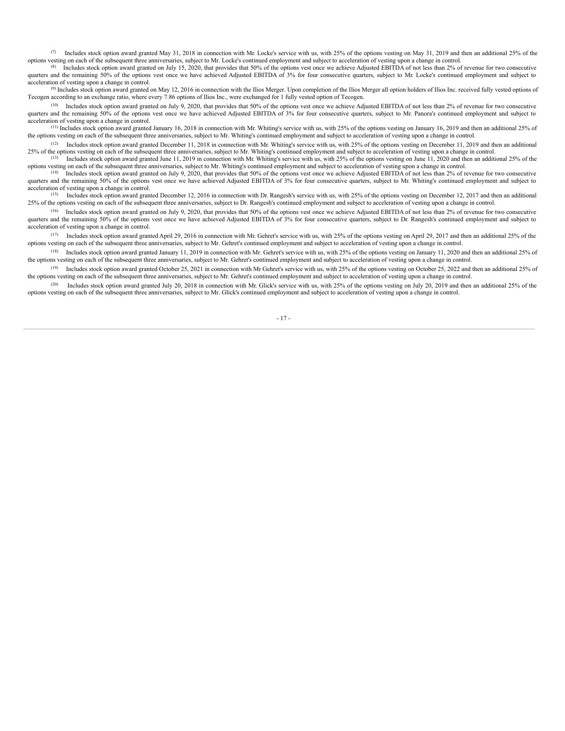Includes stock option award granted May 31, 2018 in connection with Mr. Locke's service with us, with 25% of the options vesting on May 31, 2019 and then an additional 25% of the options vesting on each of the subsequent three anniversaries, subject to Mr. Locke's continued employment and subject to acceleration of vesting upon a change in control. (7)

Includes stock option award granted on July 15, 2020, that provides that 50% of the options vest once we achieve Adjusted EBITDA of not less than 2% of revenue for two consecutive quarters and the remaining 50% of the options vest once we have achieved Adjusted EBITDA of 3% for four consecutive quarters, subject to Mr. Locke's continued employment and subject to acceleration of vesting upon a change in control. (8)

Includes stock option award granted on May 12, 2016 in connection with the Ilios Merger. Upon completion of the Ilios Merger all option holders of Ilios Inc. received fully vested options of (9) Tecogen according to an exchange ratio, where every 7.86 options of Ilios Inc., were exchanged for 1 fully vested option of Tecogen.

 $(10)$  Includes stock option award granted on July 9, 2020, that provides that 50% of the options vest once we achieve Adjusted EBITDA of not less than 2% of revenue for two consecutive quarters and the remaining 50% of the options vest once we have achieved Adjusted EBITDA of 3% for four consecutive quarters, subject to Mr. Panora's continued employment and subject to acceleration of vesting upon a change in control.

 $^{(11)}$  Includes stock option award granted January 16, 2018 in connection with Mr. Whiting's service with us, with 25% of the options vesting on January 16, 2019 and then an additional 25% of the options vesting on each of the subsequent three anniversaries, subject to Mr. Whiting's continued employment and subject to acceleration of vesting upon a change in control.

 $^{(12)}$  Includes stock option award granted December 11, 2018 in connection with Mr. Whiting's service with us, with 25% of the options vesting on December 11, 2019 and then an additional 25% of the options vesting on each of the subsequent three anniversaries, subject to Mr. Whiting's continued employment and subject to acceleration of vesting upon a change in control. Includes stock option award granted June 11, 2019 in connection with Mr. Whiting's service with us, with 25% of the options vesting on June 11, 2020 and then an additional 25% of the (13)

options vesting on each of the subsequent three anniversaries, subject to Mr. Whiting's continued employment and subject to acceleration of vesting upon a change in control.

 $(14)$  Includes stock option award granted on July 9, 2020, that provides that 50% of the options vest once we achieve Adjusted EBITDA of not less than 2% of revenue for two consecutive quarters and the remaining 50% of the options vest once we have achieved Adjusted EBITDA of 3% for four consecutive quarters, subject to Mr. Whiting's continued employment and subject to acceleration of vesting upon a change in control.

Includes stock option award granted December 12, 2016 in connection with Dr. Rangesh's service with us, with 25% of the options vesting on December 12, 2017 and then an additional 25% of the options vesting on each of the subsequent three anniversaries, subject to Dr. Rangesh's continued employment and subject to acceleration of vesting upon a change in control. (15)

 $(16)$  Includes stock option award granted on July 9, 2020, that provides that 50% of the options vest once we achieve Adjusted EBITDA of not less than 2% of revenue for two consecutive quarters and the remaining 50% of the options vest once we have achieved Adjusted EBITDA of 3% for four consecutive quarters, subject to Dr. Rangesh's continued employment and subject to acceleration of vesting upon a change in control.

 $^{(17)}$  Includes stock option award granted April 29, 2016 in connection with Mr. Gehret's service with us, with 25% of the options vesting on April 29, 2017 and then an additional 25% of the options vesting on each of the subsequent three anniversaries, subject to Mr. Gehret's continued employment and subject to acceleration of vesting upon a change in control.

<sup>(18)</sup> Includes stock option award granted January 11, 2019 in connection with Mr. Gehret's service with us, with 25% of the options vesting on January 11, 2020 and then an additional 25% of the options vesting on each of the subsequent three anniversaries, subject to Mr. Gehret's continued employment and subject to acceleration of vesting upon a change in control.

<sup>(19)</sup> Includes stock option award granted October 25, 2021 in connection with Mr Gehret's service with us, with 25% of the options vesting on October 25, 2022 and then an additional 25% of the options vesting on each of the subsequent three anniversaries, subject to Mr. Gehret's continued employment and subject to acceleration of vesting upon a change in control.

(20) Includes stock option award granted July 20, 2018 in connection with Mr. Glick's service with us, with 25% of the options vesting on July 20, 2019 and then an additional 25% of the options vesting on each of the subsequent three anniversaries, subject to Mr. Glick's continued employment and subject to acceleration of vesting upon a change in control.

- 17 -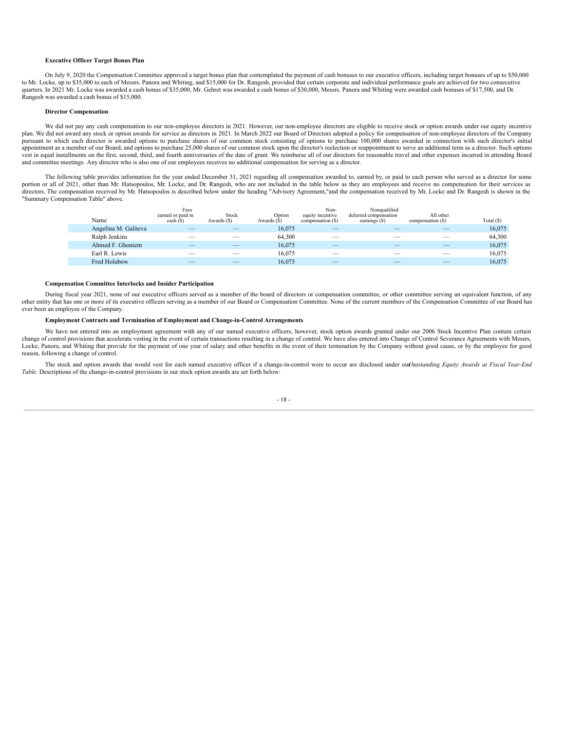#### **Executive Officer Target Bonus Plan**

On July 9, 2020 the Compensation Committee approved a target bonus plan that contemplated the payment of cash bonuses to our executive officers, including target bonuses of up to \$50,000 to Mr. Locke, up to \$35,000 to each of Messrs. Panora and Whiting, and \$15,000 for Dr. Rangesh, provided that certain corporate and individual performance goals are achieved for two consecutive quarters. In 2021 Mr. Locke was awarded a cash bonus of \$35,000, Mr. Gehret was awarded a cash bonus of \$30,000, Messrs. Panora and Whiting were awarded cash bonuses of \$17,500, and Dr. Rangesh was awarded a cash bonus of \$15,000.

#### **Director Compensation**

We did not pay any cash compensation to our non-employee directors in 2021. However, our non-employee directors are eligible to receive stock or option awards under our equity incentive plan. We did not award any stock or option awards for service as directors in 2021. In March 2022 our Board of Directors adopted a policy for compensation of non-employee directors of the Company pursuant to which each director is awarded options to purchase shares of our common stock consisting of options to purchase 100,000 shares awarded in connection with such director's initial appointment as a member of our Board, and options to purchase 25,000 shares of our common stock upon the director's reelection or reappointment to serve an additional term as a director. Such options vest in equal installments on the first, second, third, and fourth anniversaries of the date of grant. We reimburse all of our directors for reasonable travel and other expenses incurred in attending Board and committee meetings. Any director who is also one of our employees receives no additional compensation for serving as a director.

The following table provides information for the year ended December 31, 2021 regarding all compensation awarded to, earned by, or paid to each person who served as a director for some portion or all of 2021, other than Mr. Hatsopoulos, Mr. Locke, and Dr. Rangesh, who are not included in the table below as they are employees and receive no compensation for their services as directors. The compensation received by Mr. Hatsopoulos is described below under the heading "Advisory Agreement,"and the compensation received by Mr. Locke and Dr. Rangesh is shown in the "Summary Compensation Table" above.

|  | Name                 | Fees<br>earned or paid in<br>$\cosh($ S $)$ | Stock<br>Awards (\$) | Option<br>Awards (\$) | Non-<br>equity incentive<br>compensation (\$) | Nonqualified<br>deferred compensation<br>earnings $(\$)$ | All other<br>compensation (\$) | Total $(S)$ |
|--|----------------------|---------------------------------------------|----------------------|-----------------------|-----------------------------------------------|----------------------------------------------------------|--------------------------------|-------------|
|  | Angelina M. Galiteva |                                             |                      | 16,075                | $\overline{\phantom{a}}$                      |                                                          |                                | 16,075      |
|  | Ralph Jenkins        |                                             |                      | 64.300                |                                               |                                                          |                                | 64,300      |
|  | Ahmed F. Ghoniem     |                                             |                      | 16,075                | $\overline{\phantom{a}}$                      |                                                          |                                | 16,075      |
|  | Earl R. Lewis        |                                             |                      | 16.075                |                                               |                                                          |                                | 16.075      |
|  | Fred Holubow         |                                             |                      | 16.075                |                                               |                                                          |                                | 16.075      |

#### **Compensation Committee Interlocks and Insider Participation**

During fiscal year 2021, none of our executive officers served as a member of the board of directors or compensation committee, or other committee serving an equivalent function, of any other entity that has one or more of its executive officers serving as a member of our Board or Compensation Committee. None of the current members of the Compensation Committee of our Board has ever been an employee of the Company.

#### **Employment Contracts and Termination of Employment and Change-in-Control Arrangements**

We have not entered into an employment agreement with any of our named executive officers, however, stock option awards granted under our 2006 Stock Incentive Plan contain certain change of control provisions that accelerate vesting in the event of certain transactions resulting in a change of control. We have also entered into Change of Control Severance Agreements with Messrs, Locke, Panora, and Whiting that provide for the payment of one year of salary and other benefits in the event of their termination by the Company without good cause, or by the employee for good reason, following a change of control.

The stock and option awards that would vest for each named executive officer if a change-in-control were to occur are disclosed under our*Outstanding Equity Awards at Fiscal Year-End Table.* Descriptions of the change-in-control provisions in our stock option awards are set forth below:

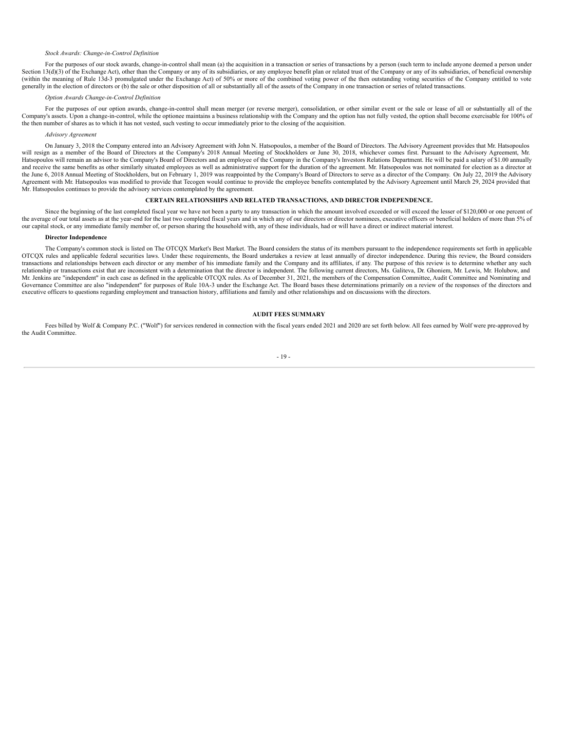#### *Stock Awards: Change-in-Control Definition*

For the purposes of our stock awards, change-in-control shall mean (a) the acquisition in a transaction or series of transactions by a person (such term to include anyone deemed a person under Section 13(d)(3) of the Exchange Act), other than the Company or any of its subsidiaries, or any employee benefit plan or related trust of the Company or any of its subsidiaries, of beneficial ownership (within the meaning of Rule 13d-3 promulgated under the Exchange Act) of 50% or more of the combined voting power of the then outstanding voting securities of the Company entitled to vote generally in the election of directors or (b) the sale or other disposition of all or substantially all of the assets of the Company in one transaction or series of related transactions.

#### *Option Awards Change-in-Control Definition*

For the purposes of our option awards, change-in-control shall mean merger (or reverse merger), consolidation, or other similar event or the sale or lease of all or substantially all of the Company's assets. Upon a change-in-control, while the optionee maintains a business relationship with the Company and the option has not fully vested, the option shall become exercisable for 100% of the then number of shares as to which it has not vested, such vesting to occur immediately prior to the closing of the acquisition.

#### *Advisory Agreement*

On January 3, 2018 the Company entered into an Advisory Agreement with John N. Hatsopoulos, a member of the Board of Directors. The Advisory Agreement provides that Mr. Hatsopoulos will resign as a member of the Board of Directors at the Company's 2018 Annual Meeting of Stockholders or June 30, 2018, whichever comes first. Pursuant to the Advisory Agreement, Mr. Hatsopoulos will remain an advisor to the Company's Board of Directors and an employee of the Company in the Company's Investors Relations Department. He will be paid a salary of \$1.00 annually and receive the same benefits as other similarly situated employees as well as administrative support for the duration of the agreement. Mr. Hatsopoulos was not nominated for election as a director at the June 6, 2018 Annual Meeting of Stockholders, but on February 1, 2019 was reappointed by the Company's Board of Directors to serve as a director of the Company. On July 22, 2019 the Advisory Agreement with Mr. Hatsopoulos was modified to provide that Tecogen would continue to provide the employee benefits contemplated by the Advisory Agreement until March 29, 2024 provided that Mr. Hatsopoulos continues to provide the advisory services contemplated by the agreement.

#### **CERTAIN RELATIONSHIPS AND RELATED TRANSACTIONS, AND DIRECTOR INDEPENDENCE.**

<span id="page-22-0"></span>Since the beginning of the last completed fiscal year we have not been a party to any transaction in which the amount involved exceeded or will exceed the lesser of \$120,000 or one percent of the average of our total assets as at the year-end for the last two completed fiscal years and in which any of our directors or director nominees, executive officers or beneficial holders of more than 5% of our capital stock, or any immediate family member of, or person sharing the household with, any of these individuals, had or will have a direct or indirect material interest.

## **Director Independence**

The Company's common stock is listed on The OTCQX Market's Best Market. The Board considers the status of its members pursuant to the independence requirements set forth in applicable OTCQX rules and applicable federal securities laws. Under these requirements, the Board undertakes a review at least annually of director independence. During this review, the Board considers transactions and relationships between each director or any member of his immediate family and the Company and its affiliates, if any. The purpose of this review is to determine whether any such relationship or transactions exist that are inconsistent with a determination that the director is independent. The following current directors, Ms. Galiteva, Dr. Ghoniem, Mr. Lewis, Mr. Holubow, and Mr. Jenkins are "independent" in each case as defined in the applicable OTCQX rules. As of December 31, 2021, the members of the Compensation Committee, Audit Committee and Nominating and Governance Committee are also "independent" for purposes of Rule 10A-3 under the Exchange Act. The Board bases these determinations primarily on a review of the responses of the directors and executive officers to questions regarding employment and transaction history, affiliations and family and other relationships and on discussions with the directors.

## **AUDIT FEES SUMMARY**

<span id="page-22-1"></span>Fees billed by Wolf & Company P.C. ("Wolf") for services rendered in connection with the fiscal years ended 2021 and 2020 are set forth below. All fees earned by Wolf were pre-approved by the Audit Committee.

## $-19.$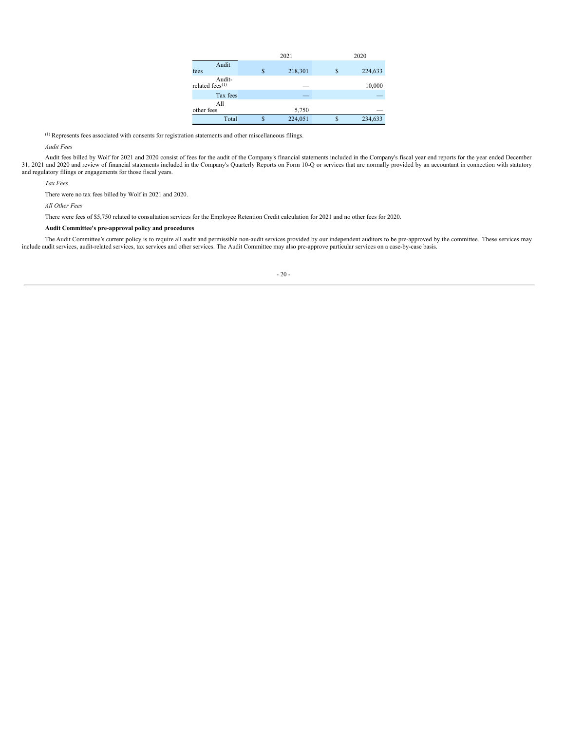|                              |   | 2021    |   | 2020    |  |  |  |
|------------------------------|---|---------|---|---------|--|--|--|
| Audit<br>fees                | S | 218,301 | S | 224,633 |  |  |  |
| Audit-<br>related fees $(1)$ |   |         |   | 10,000  |  |  |  |
| Tax fees                     |   |         |   |         |  |  |  |
| All<br>other fees            |   | 5,750   |   |         |  |  |  |
| Total                        | S | 224,051 |   | 234,633 |  |  |  |

 $<sup>(1)</sup>$  Represents fees associated with consents for registration statements and other miscellaneous filings.</sup>

*Audit Fees*

Audit fees billed by Wolf for 2021 and 2020 consist of fees for the audit of the Company's financial statements included in the Company's fiscal year end reports for the year ended December<br>31, 2021 and 2020 and review of and regulatory filings or engagements for those fiscal years.

*Tax Fees*

There were no tax fees billed by Wolf in 2021 and 2020.

*All Other Fees*

There were fees of \$5,750 related to consultation services for the Employee Retention Credit calculation for 2021 and no other fees for 2020.

**Audit Committee's pre-approval policy and procedures**

<span id="page-23-0"></span>The Audit Committee's current policy is to require all audit and permissible non-audit services provided by our independent auditors to be pre-approved by the committee. These services may include audit services, audit-rel

- 20 -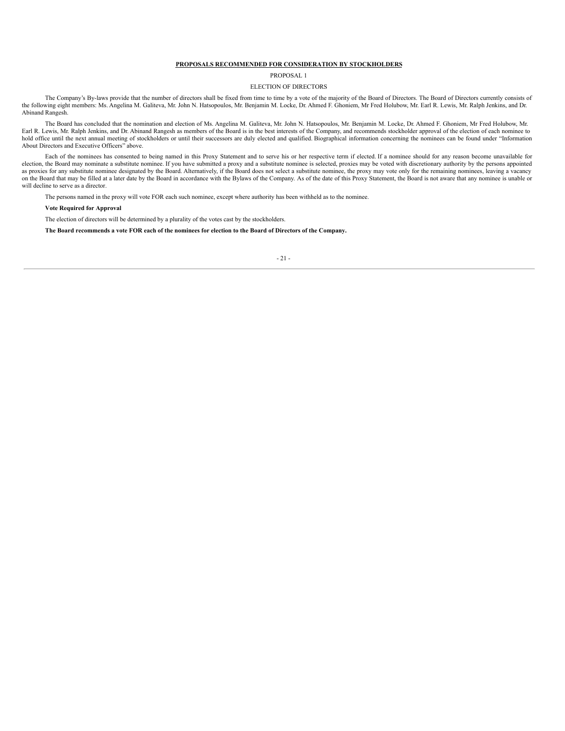## **PROPOSALS RECOMMENDED FOR CONSIDERATION BY STOCKHOLDERS**

#### PROPOSAL 1

## ELECTION OF DIRECTORS

<span id="page-24-0"></span>The Company's By-laws provide that the number of directors shall be fixed from time to time by a vote of the majority of the Board of Directors. The Board of Directors currently consists of the following eight members: Ms. Angelina M. Galiteva, Mr. John N. Hatsopoulos, Mr. Benjamin M. Locke, Dr. Ahmed F. Ghoniem, Mr Fred Holubow, Mr. Earl R. Lewis, Mr. Ralph Jenkins, and Dr. Abinand Rangesh.

The Board has concluded that the nomination and election of Ms. Angelina M. Galiteva, Mr. John N. Hatsopoulos, Mr. Benjamin M. Locke, Dr. Ahmed F. Ghoniem, Mr Fred Holubow, Mr. Earl R. Lewis, Mr. Ralph Jenkins, and Dr. Abinand Rangesh as members of the Board is in the best interests of the Company, and recommends stockholder approval of the election of each nominee to hold office until the next annual meeting of stockholders or until their successors are duly elected and qualified. Biographical information concerning the nominees can be found under "Information About Directors and Executive Officers" above.

Each of the nominees has consented to being named in this Proxy Statement and to serve his or her respective term if elected. If a nominee should for any reason become unavailable for election, the Board may nominate a substitute nominee. If you have submitted a proxy and a substitute nominee is selected, proxies may be voted with discretionary authority by the persons appointed as proxies for any substitute nominee designated by the Board. Alternatively, if the Board does not select a substitute nominee, the proxy may vote only for the remaining nominees, leaving a vacancy<br>on the Board that may b will decline to serve as a director.

The persons named in the proxy will vote FOR each such nominee, except where authority has been withheld as to the nominee.

**Vote Required for Approval**

The election of directors will be determined by a plurality of the votes cast by the stockholders.

## <span id="page-24-1"></span>The Board recommends a vote FOR each of the nominees for election to the Board of Directors of the Company.

#### - 21 -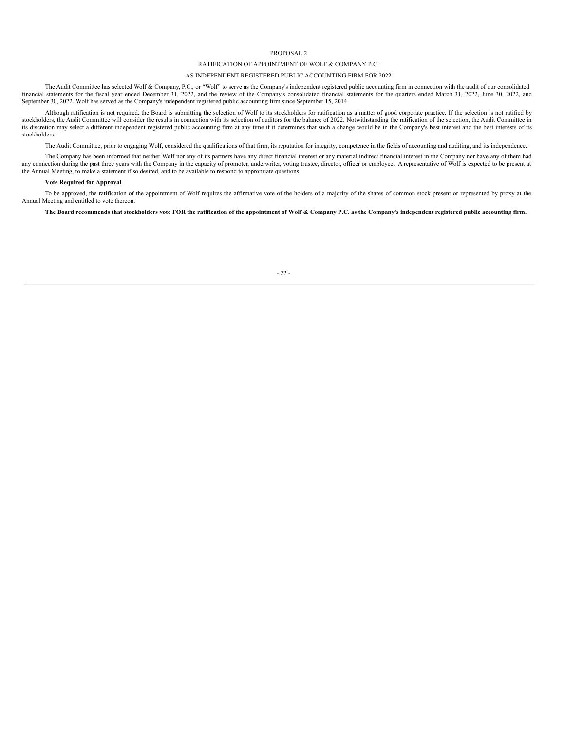#### PROPOSAL 2

## RATIFICATION OF APPOINTMENT OF WOLF & COMPANY P.C.

#### AS INDEPENDENT REGISTERED PUBLIC ACCOUNTING FIRM FOR 2022

The Audit Committee has selected Wolf & Company, P.C., or "Wolf" to serve as the Company's independent registered public accounting firm in connection with the audit of our consolidated financial statements for the fiscal year ended December 31, 2022, and the review of the Company's consolidated financial statements for the quarters ended March 31, 2022, June 30, 2022, and September 30, 2022. Wolf has served as the Company's independent registered public accounting firm since September 15, 2014.

Although ratification is not required, the Board is submitting the selection of Wolf to its stockholders for ratification as a matter of good corporate practice. If the selection is not ratified by stockholders, the Audit Committee will consider the results in connection with its selection of auditors for the balance of 2022. Notwithstanding the ratification of the selection, the Audit Committee in its discretion may select a different independent registered public accounting firm at any time if it determines that such a change would be in the Company's best interest and the best interests of its stockholders.

The Audit Committee, prior to engaging Wolf, considered the qualifications of that firm, its reputation for integrity, competence in the fields of accounting and auditing, and its independence.

The Company has been informed that neither Wolf nor any of its partners have any direct financial interest or any material indirect financial interest in the Company nor have any of them had any connection during the past three years with the Company in the capacity of promoter, underwriter, voting trustee, director, officer or employee. A representative of Wolf is expected to be present at the Annual Meeting, to make a statement if so desired, and to be available to respond to appropriate questions.

#### **Vote Required for Approval**

To be approved, the ratification of the appointment of Wolf requires the affirmative vote of the holders of a majority of the shares of common stock present or represented by proxy at the Annual Meeting and entitled to vote thereon.

## <span id="page-25-0"></span>The Board recommends that stockholders vote FOR the ratification of the appointment of Wolf & Company P.C. as the Company's independent registered public accounting firm.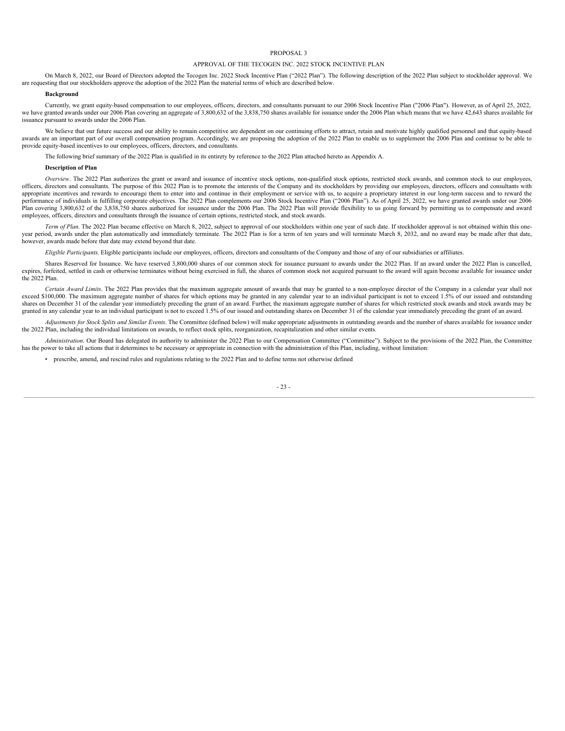#### PROPOSAL 3

#### APPROVAL OF THE TECOGEN INC. 2022 STOCK INCENTIVE PLAN

On March 8, 2022, our Board of Directors adopted the Tecogen Inc. 2022 Stock Incentive Plan ("2022 Plan"). The following description of the 2022 Plan subject to stockholder approval. We are requesting that our stockholders approve the adoption of the 2022 Plan the material terms of which are described below.

#### **Background**

Currently, we grant equity-based compensation to our employees, officers, directors, and consultants pursuant to our 2006 Stock Incentive Plan ("2006 Plan"). However, as of April 25, 2022, we have granted awards under our 2006 Plan covering an aggregate of 3,800,632 of the 3,838,750 shares available for issuance under the 2006 Plan which means that we have 42,643 shares available for issuance pursuant to awards under the 2006 Plan.

We believe that our future success and our ability to remain competitive are dependent on our continuing efforts to attract, retain and motivate highly qualified personnel and that equity-based awards are an important part of our overall compensation program. Accordingly, we are proposing the adoption of the 2022 Plan to enable us to supplement the 2006 Plan and continue to be able to provide equity-based incentives to our employees, officers, directors, and consultants.

The following brief summary of the 2022 Plan is qualified in its entirety by reference to the 2022 Plan attached hereto as Appendix A.

#### **Description of Plan**

*Overview*. The 2022 Plan authorizes the grant or award and issuance of incentive stock options, non-qualified stock options, restricted stock awards, and common stock to our employees, officers, directors and consultants. The purpose of this 2022 Plan is to promote the interests of the Company and its stockholders by providing our employees, directors, officers and consultants with appropriate incentives and rewards to encourage them to enter into and continue in their employment or service with us, to acquire a proprietary interest in our long-term success and to reward the performance of individuals in fulfilling corporate objectives. The 2022 Plan complements our 2006 Stock Incentive Plan ("2006 Plan"). As of April 25, 2022, we have granted awards under our 2006 Plan covering 3,800,632 of the 3,838,750 shares authorized for issuance under the 2006 Plan. The 2022 Plan will provide flexibility to us going forward by permitting us to compensate and award employees, officers, directors and consultants through the issuance of certain options, restricted stock, and stock awards.

Term of Plan. The 2022 Plan became effective on March 8, 2022, subject to approval of our stockholders within one year of such date. If stockholder approval is not obtained within this oneyear period, awards under the plan automatically and immediately terminate. The 2022 Plan is for a term of ten years and will terminate March 8, 2032, and no award may be made after that date, however, awards made before that date may extend beyond that date.

*Eligible Participants*. Eligible participants include our employees, officers, directors and consultants of the Company and those of any of our subsidiaries or affiliates.

Shares Reserved for Issuance. We have reserved 3,800,000 shares of our common stock for issuance pursuant to awards under the 2022 Plan. If an award under the 2022 Plan is cancelled, expires, forfeited, settled in cash or otherwise terminates without being exercised in full, the shares of common stock not acquired pursuant to the award will again become available for issuance under the 2022 Plan.

*Certain Award Limits*. The 2022 Plan provides that the maximum aggregate amount of awards that may be granted to a non-employee director of the Company in a calendar year shall not exceed \$100,000. The maximum aggregate number of shares for which options may be granted in any calendar year to an individual participant is not to exceed 1.5% of our issued and outstanding shares on December 31 of the calendar year immediately preceding the grant of an award. Further, the maximum aggregate number of shares for which restricted stock awards and stock awards may be granted in any calendar year to an individual participant is not to exceed 1.5% of our issued and outstanding shares on December 31 of the calendar year immediately preceding the grant of an award.

Adjustments for Stock Splits and Similar Events. The Committee (defined below) will make appropriate adjustments in outstanding awards and the number of shares available for issuance under the 2022 Plan, including the individual limitations on awards, to reflect stock splits, reorganization, recapitalization and other similar events.

*Administration*. Our Board has delegated its authority to administer the 2022 Plan to our Compensation Committee ("Committee"). Subject to the provisions of the 2022 Plan, the Committee has the power to take all actions that it determines to be necessary or appropriate in connection with the administration of this Plan, including, without limitation:

• prescribe, amend, and rescind rules and regulations relating to the 2022 Plan and to define terms not otherwise defined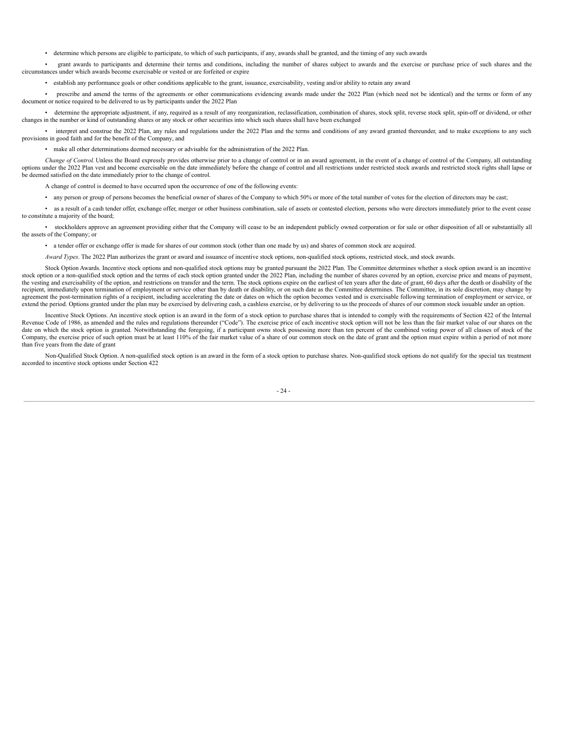• determine which persons are eligible to participate, to which of such participants, if any, awards shall be granted, and the timing of any such awards

• grant awards to participants and determine their terms and conditions, including the number of shares subject to awards and the exercise or purchase price of such shares and the circumstances under which awards become exercisable or vested or are forfeited or expire

• establish any performance goals or other conditions applicable to the grant, issuance, exercisability, vesting and/or ability to retain any award

• prescribe and amend the terms of the agreements or other communications evidencing awards made under the 2022 Plan (which need not be identical) and the terms or form of any document or notice required to be delivered to us by participants under the 2022 Plan

• determine the appropriate adjustment, if any, required as a result of any reorganization, reclassification, combination of shares, stock split, reverse stock split, spin-off or dividend, or other changes in the number or

• interpret and construe the 2022 Plan, any rules and regulations under the 2022 Plan and the terms and conditions of any award granted thereunder, and to make exceptions to any such provisions in good faith and for the benefit of the Company, and

• make all other determinations deemed necessary or advisable for the administration of the 2022 Plan.

*Change of Control*. Unless the Board expressly provides otherwise prior to a change of control or in an award agreement, in the event of a change of control of the Company, all outstanding options under the 2022 Plan vest and become exercisable on the date immediately before the change of control and all restrictions under restricted stock awards and restricted stock rights shall lapse or be deemed satisfied on the date immediately prior to the change of control.

A change of control is deemed to have occurred upon the occurrence of one of the following events:

• any person or group of persons becomes the beneficial owner of shares of the Company to which 50% or more of the total number of votes for the election of directors may be cast;

• as a result of a cash tender offer, exchange offer, merger or other business combination, sale of assets or contested election, persons who were directors immediately prior to the event cease to constitute a majority of the board;

• stockholders approve an agreement providing either that the Company will cease to be an independent publicly owned corporation or for sale or other disposition of all or substantially all the assets of the Company; or

• a tender offer or exchange offer is made for shares of our common stock (other than one made by us) and shares of common stock are acquired.

*Award Types*. The 2022 Plan authorizes the grant or award and issuance of incentive stock options, non-qualified stock options, restricted stock, and stock awards.

Stock Option Awards. Incentive stock options and non-qualified stock options may be granted pursuant the 2022 Plan. The Committee determines whether a stock option award is an incentive stock option or a non-qualified stock option and the terms of each stock option granted under the 2022 Plan, including the number of shares covered by an option, exercise price and means of payment, the vesting and exercisability of the option, and restrictions on transfer and the term. The stock options expire on the earliest of ten years after the date of grant, 60 days after the death or disability of the recipient, immediately upon termination of employment or service other than by death or disability, or on such date as the Committee determines. The Committee, in its sole discretion, may change by agreement the post-termination rights of a recipient, including accelerating the date or dates on which the option becomes vested and is exercisable following termination of employment or service, or extend the period. Options granted under the plan may be exercised by delivering cash, a cashless exercise, or by delivering to us the proceeds of shares of our common stock issuable under an option.

Incentive Stock Options. An incentive stock option is an award in the form of a stock option to purchase shares that is intended to comply with the requirements of Section 422 of the Internal Revenue Code of 1986, as amended and the rules and regulations thereunder ("Code"). The exercise price of each incentive stock option will not be less than the fair market value of our shares on the date on which the stock option is granted. Notwithstanding the foregoing, if a participant owns stock possessing more than ten percent of the combined voting power of all classes of stock of the Company, the exercise price of such option must be at least 110% of the fair market value of a share of our common stock on the date of grant and the option must expire within a period of not more than five years from the date of grant

Non-Qualified Stock Option. A non-qualified stock option is an award in the form of a stock option to purchase shares. Non-qualified stock options do not qualify for the special tax treatment accorded to incentive stock options under Section 422

- 24 -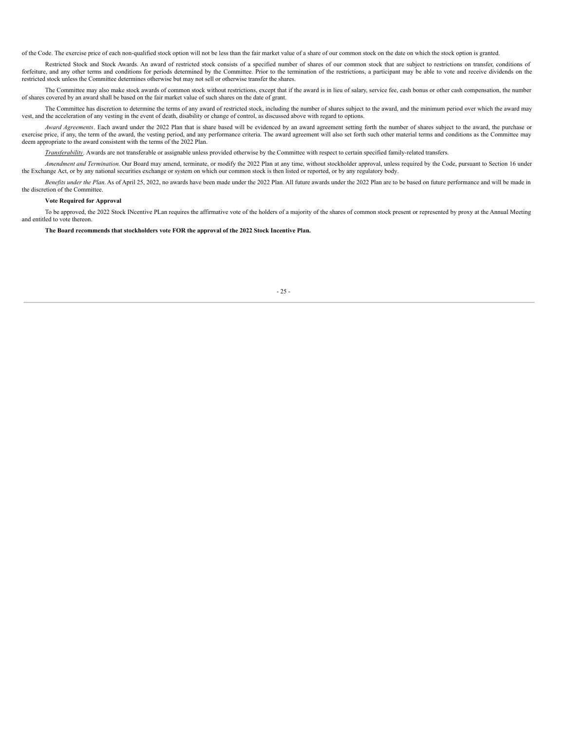of the Code. The exercise price of each non-qualified stock option will not be less than the fair market value of a share of our common stock on the date on which the stock option is granted.

Restricted Stock and Stock Awards. An award of restricted stock consists of a specified number of shares of our common stock that are subject to restrictions on transfer, conditions of forfeiture, and any other terms and conditions for periods determined by the Committee. Prior to the termination of the restrictions, a participant may be able to vote and receive dividends on the restricted stock unless the Committee determines otherwise but may not sell or otherwise transfer the shares.

The Committee may also make stock awards of common stock without restrictions, except that if the award is in lieu of salary, service fee, cash bonus or other cash compensation, the number of shares covered by an award shall be based on the fair market value of such shares on the date of grant.

The Committee has discretion to determine the terms of any award of restricted stock, including the number of shares subject to the award, and the minimum period over which the award may vest, and the acceleration of any vesting in the event of death, disability or change of control, as discussed above with regard to options.

*Award Agreements*. Each award under the 2022 Plan that is share based will be evidenced by an award agreement setting forth the number of shares subject to the award, the purchase or exercise price, if any, the term of the award, the vesting period, and any performance criteria. The award agreement will also set forth such other material terms and conditions as the Committee may deem appropriate to the award consistent with the terms of the 2022 Plan.

*Transferability*. Awards are not transferable or assignable unless provided otherwise by the Committee with respect to certain specified family-related transfers.

*Amendment and Termination*. Our Board may amend, terminate, or modify the 2022 Plan at any time, without stockholder approval, unless required by the Code, pursuant to Section 16 under the Exchange Act, or by any national securities exchange or system on which our common stock is then listed or reported, or by any regulatory body.

*Benefits under the Plan*. As of April 25, 2022, no awards have been made under the 2022 Plan. All future awards under the 2022 Plan are to be based on future performance and will be made in the discretion of the Committee.

#### **Vote Required for Approval**

To be approved, the 2022 Stock INcentive PLan requires the affirmative vote of the holders of a majority of the shares of common stock present or represented by proxy at the Annual Meeting and entitled to vote thereon.

<span id="page-28-0"></span>**The Board recommends that stockholders vote FOR the approval of the 2022 Stock Incentive Plan.**

#### $-25 -$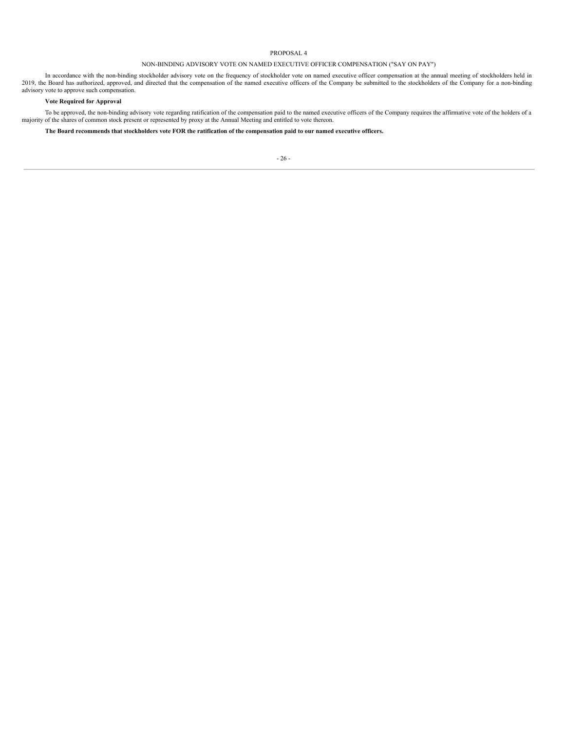## PROPOSAL 4

## NON-BINDING ADVISORY VOTE ON NAMED EXECUTIVE OFFICER COMPENSATION ("SAY ON PAY")

In accordance with the non-binding stockholder advisory vote on the frequency of stockholder vote on named executive officer compensation at the annual meeting of stockholders held in 2019, the Board has authorized, approved, and directed that the compensation of the named executive officers of the Company be submitted to the stockholders of the Company for a non-binding advisory vote to approve such compensation.

## **Vote Required for Approval**

To be approved, the non-binding advisory vote regarding ratification of the compensation paid to the named executive officers of the Company requires the affirmative vote of the holders of a majority of the shares of commo

<span id="page-29-0"></span>The Board recommends that stockholders vote FOR the ratification of the compensation paid to our named executive officers.

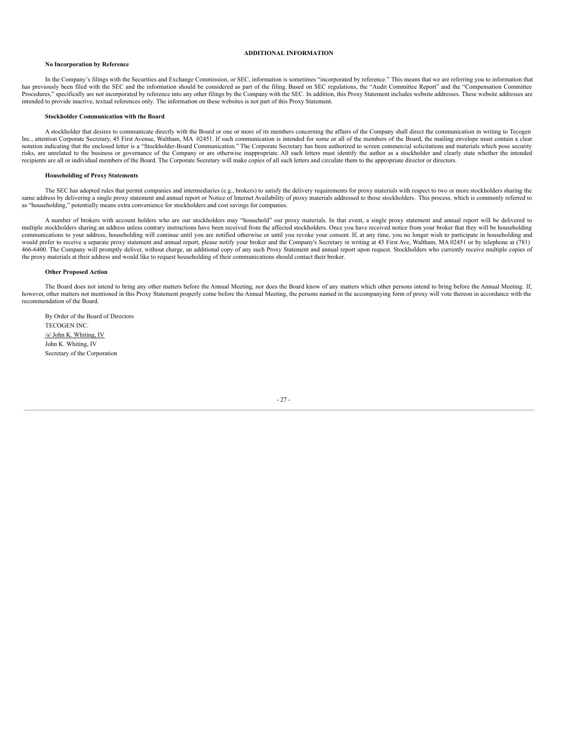#### **ADDITIONAL INFORMATION**

#### **No Incorporation by Reference**

In the Company's filings with the Securities and Exchange Commission, or SEC, information is sometimes "incorporated by reference." This means that we are referring you to information that has previously been filed with the SEC and the information should be considered as part of the filing. Based on SEC regulations, the "Audit Committee Report" and the "Compensation Committee Procedures," specifically are not incorporated by reference into any other filings by the Company with the SEC. In addition, this Proxy Statement includes website addresses. These website addresses are intended to provide inactive, textual references only. The information on these websites is not part of this Proxy Statement.

#### **Stockholder Communication with the Board**

A stockholder that desires to communicate directly with the Board or one or more of its members concerning the affairs of the Company shall direct the communication in writing to Tecogen Inc., attention Corporate Secretary, 45 First Avenue, Waltham, MA 02451. If such communication is intended for some or all of the members of the Board, the mailing envelope must contain a clear notation indicating that the enclosed letter is a "Stockholder-Board Communication." The Corporate Secretary has been authorized to screen commercial solicitations and materials which pose security risks, are unrelated to the business or governance of the Company or are otherwise inappropriate. All such letters must identify the author as a stockholder and clearly state whether the intended recipients are all or individual members of the Board. The Corporate Secretary will make copies of all such letters and circulate them to the appropriate director or directors.

#### **Householding of Proxy Statements**

The SEC has adopted rules that permit companies and intermediaries (e.g., brokers) to satisfy the delivery requirements for proxy materials with respect to two or more stockholders sharing the same address by delivering a as "householding," potentially means extra convenience for stockholders and cost savings for companies.

A number of brokers with account holders who are our stockholders may "household" our proxy materials. In that event, a single proxy statement and annual report will be delivered to multiple stockholders sharing an address unless contrary instructions have been received from the affected stockholders. Once you have received notice from your broker that they will be householding communications to your address, householding will continue until you are notified otherwise or until you revoke your consent. If, at any time, you no longer wish to participate in householding and would prefer to receive a separate proxy statement and annual report, please notify your broker and the Company's Secretary in writing at 45 First Ave, Waltham, MA 02451 or by telephone at (781) 466-6400. The Company will promptly deliver, without charge, an additional copy of any such Proxy Statement and annual report upon request. Stockholders who currently receive multiple copies of the proxy materials at their address and would like to request householding of their communications should contact their broker.

#### **Other Proposed Action**

The Board does not intend to bring any other matters before the Annual Meeting, nor does the Board know of any matters which other persons intend to bring before the Annual Meeting. If, however, other matters not mentioned in this Proxy Statement properly come before the Annual Meeting, the persons named in the accompanying form of proxy will vote thereon in accordance with the recommendation of the Board.

By Order of the Board of Directors TECOGEN INC. /s/ John K. Whiting, IV John K. Whiting, IV Secretary of the Corporation

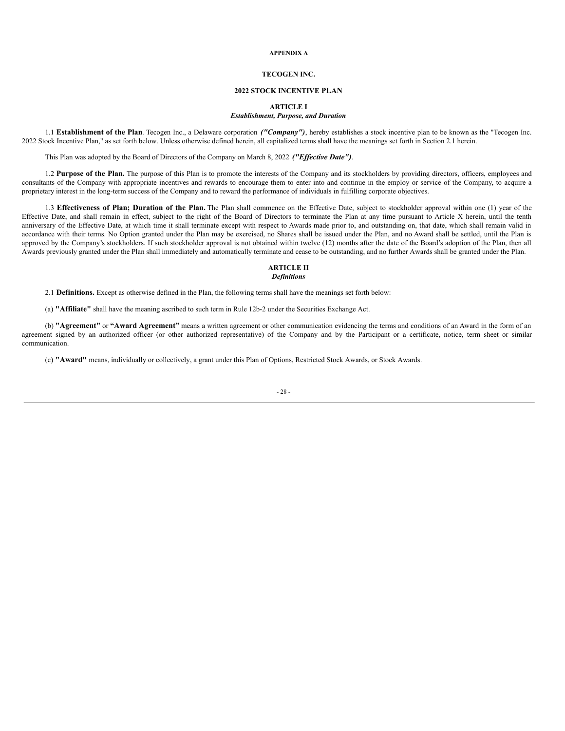#### **APPENDIX A**

## **TECOGEN INC.**

## **2022 STOCK INCENTIVE PLAN**

## **ARTICLE I**

## *Establishment, Purpose, and Duration*

1.1 **Establishment of the Plan**. Tecogen Inc., a Delaware corporation *("Company")*, hereby establishes a stock incentive plan to be known as the "Tecogen Inc. 2022 Stock Incentive Plan," as set forth below. Unless otherwise defined herein, all capitalized terms shall have the meanings set forth in Section 2.1 herein.

This Plan was adopted by the Board of Directors of the Company on March 8, 2022 *("Effective Date")*.

1.2 **Purpose of the Plan.** The purpose of this Plan is to promote the interests of the Company and its stockholders by providing directors, officers, employees and consultants of the Company with appropriate incentives and rewards to encourage them to enter into and continue in the employ or service of the Company, to acquire a proprietary interest in the long-term success of the Company and to reward the performance of individuals in fulfilling corporate objectives.

1.3 **Effectiveness of Plan; Duration of the Plan.** The Plan shall commence on the Effective Date, subject to stockholder approval within one (1) year of the Effective Date, and shall remain in effect, subject to the right of the Board of Directors to terminate the Plan at any time pursuant to Article X herein, until the tenth anniversary of the Effective Date, at which time it shall terminate except with respect to Awards made prior to, and outstanding on, that date, which shall remain valid in accordance with their terms. No Option granted under the Plan may be exercised, no Shares shall be issued under the Plan, and no Award shall be settled, until the Plan is approved by the Company's stockholders. If such stockholder approval is not obtained within twelve (12) months after the date of the Board's adoption of the Plan, then all Awards previously granted under the Plan shall immediately and automatically terminate and cease to be outstanding, and no further Awards shall be granted under the Plan.

## **ARTICLE II** *Definitions*

2.1 **Definitions.** Except as otherwise defined in the Plan, the following terms shall have the meanings set forth below:

(a) **"Affiliate"** shall have the meaning ascribed to such term in Rule 12b-2 under the Securities Exchange Act.

(b) **"Agreement"** or **"Award Agreement"** means a written agreement or other communication evidencing the terms and conditions of an Award in the form of an agreement signed by an authorized officer (or other authorized representative) of the Company and by the Participant or a certificate, notice, term sheet or similar communication.

(c) **"Award"** means, individually or collectively, a grant under this Plan of Options, Restricted Stock Awards, or Stock Awards.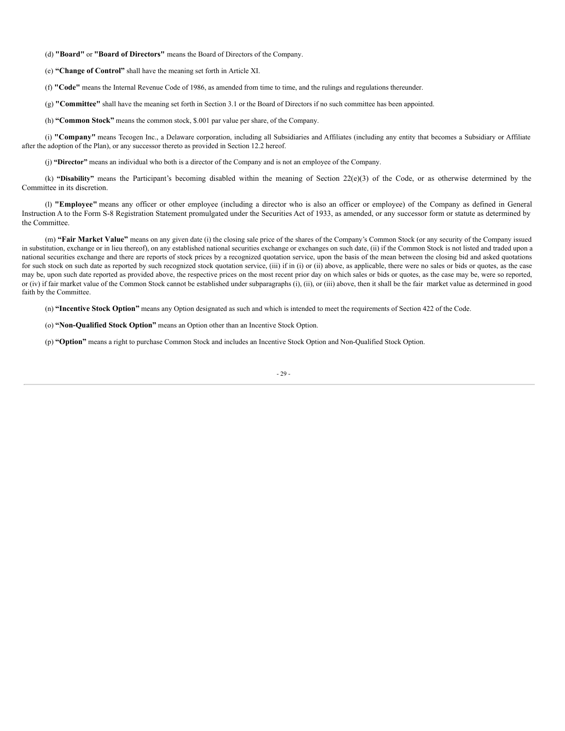(d) **"Board"** or **"Board of Directors"** means the Board of Directors of the Company.

(e) **"Change of Control"** shall have the meaning set forth in Article XI.

(f) **"Code"** means the Internal Revenue Code of 1986, as amended from time to time, and the rulings and regulations thereunder.

(g) **"Committee"** shall have the meaning set forth in Section 3.1 or the Board of Directors if no such committee has been appointed.

(h) **"Common Stock"** means the common stock, \$.001 par value per share, of the Company.

(i) **"Company"** means Tecogen Inc., a Delaware corporation, including all Subsidiaries and Affiliates (including any entity that becomes a Subsidiary or Affiliate after the adoption of the Plan), or any successor thereto as provided in Section 12.2 hereof.

(j) **"Director"** means an individual who both is a director of the Company and is not an employee of the Company.

(k) **"Disability"** means the Participant's becoming disabled within the meaning of Section 22(e)(3) of the Code, or as otherwise determined by the Committee in its discretion.

(l) **"Employee"** means any officer or other employee (including a director who is also an officer or employee) of the Company as defined in General Instruction A to the Form S-8 Registration Statement promulgated under the Securities Act of 1933, as amended, or any successor form or statute as determined by the Committee.

(m) **"Fair Market Value"** means on any given date (i) the closing sale price of the shares of the Company's Common Stock (or any security of the Company issued in substitution, exchange or in lieu thereof), on any established national securities exchange or exchanges on such date, (ii) if the Common Stock is not listed and traded upon a national securities exchange and there are reports of stock prices by a recognized quotation service, upon the basis of the mean between the closing bid and asked quotations for such stock on such date as reported by such recognized stock quotation service, (iii) if in (i) or (ii) above, as applicable, there were no sales or bids or quotes, as the case may be, upon such date reported as provided above, the respective prices on the most recent prior day on which sales or bids or quotes, as the case may be, were so reported, or (iv) if fair market value of the Common Stock cannot be established under subparagraphs (i), (ii), or (iii) above, then it shall be the fair market value as determined in good faith by the Committee.

(n) **"Incentive Stock Option"** means any Option designated as such and which is intended to meet the requirements of Section 422 of the Code.

(o) **"Non-Qualified Stock Option"** means an Option other than an Incentive Stock Option.

(p) **"Option"** means a right to purchase Common Stock and includes an Incentive Stock Option and Non-Qualified Stock Option.

- 29 -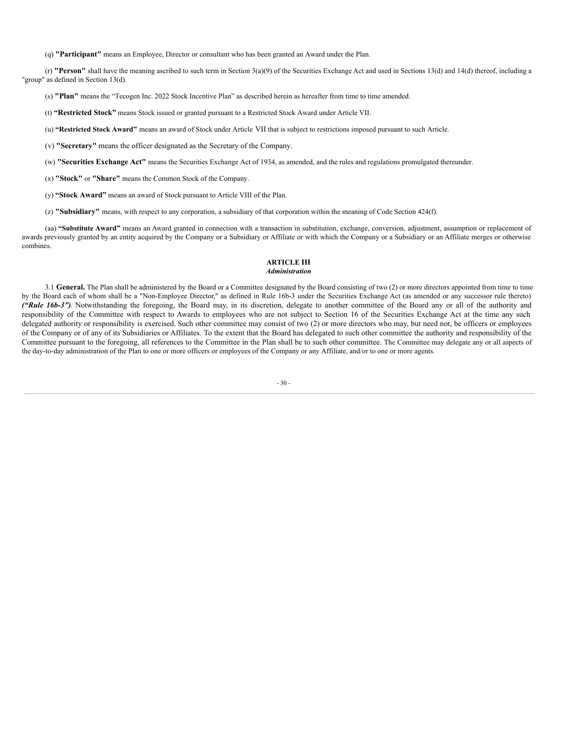(q) **"Participant"** means an Employee, Director or consultant who has been granted an Award under the Plan.

(r) **"Person"** shall have the meaning ascribed to such term in Section 3(a)(9) of the Securities Exchange Act and used in Sections 13(d) and 14(d) thereof, including a "group" as defined in Section 13(d).

(s) **"Plan"** means the "Tecogen Inc. 2022 Stock Incentive Plan" as described herein as hereafter from time to time amended.

(t) **"Restricted Stock"** means Stock issued or granted pursuant to a Restricted Stock Award under Article VII.

(u) **"Restricted Stock Award"** means an award of Stock under Article VII that is subject to restrictions imposed pursuant to such Article.

(v) **"Secretary"** means the officer designated as the Secretary of the Company.

(w) **"Securities Exchange Act"** means the Securities Exchange Act of 1934, as amended, and the rules and regulations promulgated thereunder.

(x) **"Stock"** or **"Share"** means the Common Stock of the Company.

(y) **"Stock Award"** means an award of Stock pursuant to Article VIII of the Plan.

(z) **"Subsidiary"** means, with respect to any corporation, a subsidiary of that corporation within the meaning of Code Section 424(f).

(aa) **"Substitute Award"** means an Award granted in connection with a transaction in substitution, exchange, conversion, adjustment, assumption or replacement of awards previously granted by an entity acquired by the Company or a Subsidiary or Affiliate or with which the Company or a Subsidiary or an Affiliate merges or otherwise combines.

## **ARTICLE III** *Administration*

3.1 **General.** The Plan shall be administered by the Board or a Committee designated by the Board consisting of two (2) or more directors appointed from time to time by the Board each of whom shall be a "Non-Employee Director," as defined in Rule 16b-3 under the Securities Exchange Act (as amended or any successor rule thereto) *("Rule 16b-3")*. Notwithstanding the foregoing, the Board may, in its discretion, delegate to another committee of the Board any or all of the authority and responsibility of the Committee with respect to Awards to employees who are not subject to Section 16 of the Securities Exchange Act at the time any such delegated authority or responsibility is exercised. Such other committee may consist of two (2) or more directors who may, but need not, be officers or employees of the Company or of any of its Subsidiaries or Affiliates. To the extent that the Board has delegated to such other committee the authority and responsibility of the Committee pursuant to the foregoing, all references to the Committee in the Plan shall be to such other committee. The Committee may delegate any or all aspects of the day-to-day administration of the Plan to one or more officers or employees of the Company or any Affiliate, and/or to one or more agents.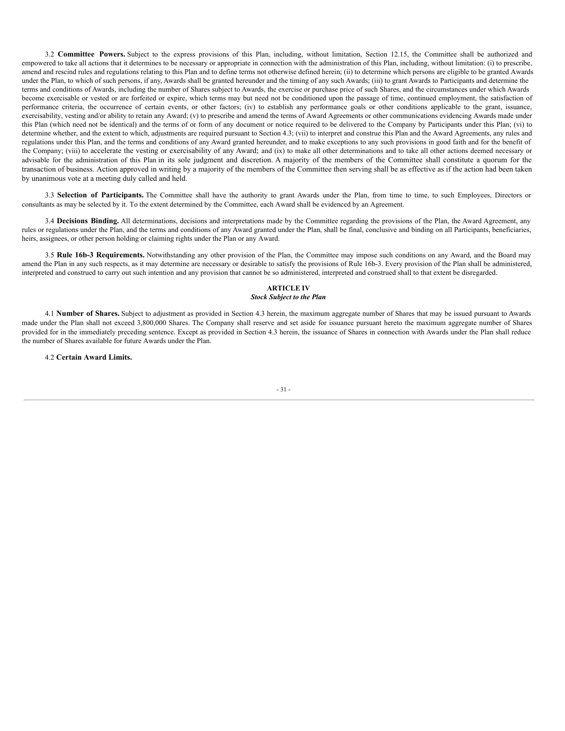3.2 **Committee Powers.** Subject to the express provisions of this Plan, including, without limitation, Section 12.15, the Committee shall be authorized and empowered to take all actions that it determines to be necessary or appropriate in connection with the administration of this Plan, including, without limitation: (i) to prescribe, amend and rescind rules and regulations relating to this Plan and to define terms not otherwise defined herein; (ii) to determine which persons are eligible to be granted Awards under the Plan, to which of such persons, if any, Awards shall be granted hereunder and the timing of any such Awards; (iii) to grant Awards to Participants and determine the terms and conditions of Awards, including the number of Shares subject to Awards, the exercise or purchase price of such Shares, and the circumstances under which Awards become exercisable or vested or are forfeited or expire, which terms may but need not be conditioned upon the passage of time, continued employment, the satisfaction of performance criteria, the occurrence of certain events, or other factors; (iv) to establish any performance goals or other conditions applicable to the grant, issuance, exercisability, vesting and/or ability to retain any Award; (v) to prescribe and amend the terms of Award Agreements or other communications evidencing Awards made under this Plan (which need not be identical) and the terms of or form of any document or notice required to be delivered to the Company by Participants under this Plan; (vi) to determine whether, and the extent to which, adjustments are required pursuant to Section 4.3; (vii) to interpret and construe this Plan and the Award Agreements, any rules and regulations under this Plan, and the terms and conditions of any Award granted hereunder, and to make exceptions to any such provisions in good faith and for the benefit of the Company; (viii) to accelerate the vesting or exercisability of any Award; and (ix) to make all other determinations and to take all other actions deemed necessary or advisable for the administration of this Plan in its sole judgment and discretion. A majority of the members of the Committee shall constitute a quorum for the transaction of business. Action approved in writing by a majority of the members of the Committee then serving shall be as effective as if the action had been taken by unanimous vote at a meeting duly called and held.

3.3 **Selection of Participants.** The Committee shall have the authority to grant Awards under the Plan, from time to time, to such Employees, Directors or consultants as may be selected by it. To the extent determined by the Committee, each Award shall be evidenced by an Agreement.

3.4 **Decisions Binding.** All determinations, decisions and interpretations made by the Committee regarding the provisions of the Plan, the Award Agreement, any rules or regulations under the Plan, and the terms and conditions of any Award granted under the Plan, shall be final, conclusive and binding on all Participants, beneficiaries, heirs, assignees, or other person holding or claiming rights under the Plan or any Award.

3.5 **Rule 16b-3 Requirements.** Notwithstanding any other provision of the Plan, the Committee may impose such conditions on any Award, and the Board may amend the Plan in any such respects, as it may determine are necessary or desirable to satisfy the provisions of Rule 16b-3. Every provision of the Plan shall be administered, interpreted and construed to carry out such intention and any provision that cannot be so administered, interpreted and construed shall to that extent be disregarded.

## **ARTICLE IV** *Stock Subject to the Plan*

4.1 **Number of Shares.** Subject to adjustment as provided in Section 4.3 herein, the maximum aggregate number of Shares that may be issued pursuant to Awards made under the Plan shall not exceed 3,800,000 Shares. The Company shall reserve and set aside for issuance pursuant hereto the maximum aggregate number of Shares provided for in the immediately preceding sentence. Except as provided in Section 4.3 herein, the issuance of Shares in connection with Awards under the Plan shall reduce the number of Shares available for future Awards under the Plan.

4.2 **Certain Award Limits.**

### - 31 -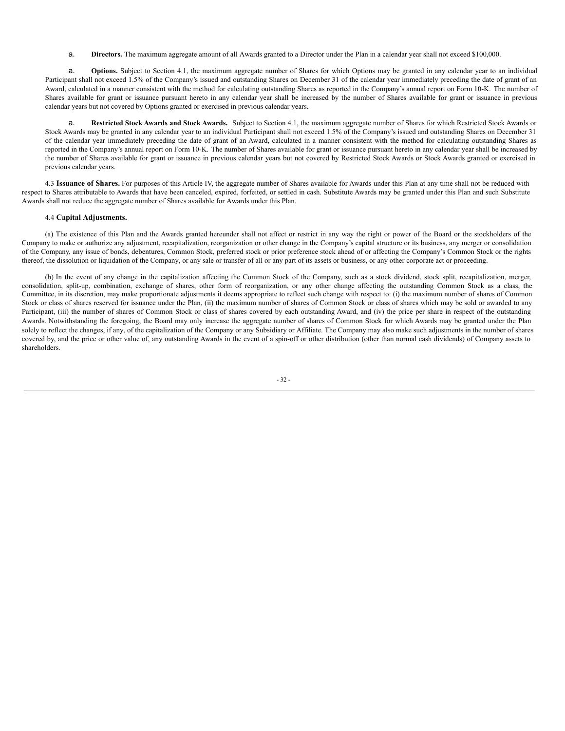a. **Directors.** The maximum aggregate amount of all Awards granted to a Director under the Plan in a calendar year shall not exceed \$100,000.

a. **Options.** Subject to Section 4.1, the maximum aggregate number of Shares for which Options may be granted in any calendar year to an individual Participant shall not exceed 1.5% of the Company's issued and outstanding Shares on December 31 of the calendar year immediately preceding the date of grant of an Award, calculated in a manner consistent with the method for calculating outstanding Shares as reported in the Company's annual report on Form 10-K. The number of Shares available for grant or issuance pursuant hereto in any calendar year shall be increased by the number of Shares available for grant or issuance in previous calendar years but not covered by Options granted or exercised in previous calendar years.

a. **Restricted Stock Awards and Stock Awards.** Subject to Section 4.1, the maximum aggregate number of Shares for which Restricted Stock Awards or Stock Awards may be granted in any calendar year to an individual Participant shall not exceed 1.5% of the Company's issued and outstanding Shares on December 31 of the calendar year immediately preceding the date of grant of an Award, calculated in a manner consistent with the method for calculating outstanding Shares as reported in the Company's annual report on Form 10-K. The number of Shares available for grant or issuance pursuant hereto in any calendar year shall be increased by the number of Shares available for grant or issuance in previous calendar years but not covered by Restricted Stock Awards or Stock Awards granted or exercised in previous calendar years.

4.3 **Issuance of Shares.** For purposes of this Article IV, the aggregate number of Shares available for Awards under this Plan at any time shall not be reduced with respect to Shares attributable to Awards that have been canceled, expired, forfeited, or settled in cash. Substitute Awards may be granted under this Plan and such Substitute Awards shall not reduce the aggregate number of Shares available for Awards under this Plan.

## 4.4 **Capital Adjustments.**

(a) The existence of this Plan and the Awards granted hereunder shall not affect or restrict in any way the right or power of the Board or the stockholders of the Company to make or authorize any adjustment, recapitalization, reorganization or other change in the Company's capital structure or its business, any merger or consolidation of the Company, any issue of bonds, debentures, Common Stock, preferred stock or prior preference stock ahead of or affecting the Company's Common Stock or the rights thereof, the dissolution or liquidation of the Company, or any sale or transfer of all or any part of its assets or business, or any other corporate act or proceeding.

(b) In the event of any change in the capitalization affecting the Common Stock of the Company, such as a stock dividend, stock split, recapitalization, merger, consolidation, split-up, combination, exchange of shares, other form of reorganization, or any other change affecting the outstanding Common Stock as a class, the Committee, in its discretion, may make proportionate adjustments it deems appropriate to reflect such change with respect to: (i) the maximum number of shares of Common Stock or class of shares reserved for issuance under the Plan, (ii) the maximum number of shares of Common Stock or class of shares which may be sold or awarded to any Participant, (iii) the number of shares of Common Stock or class of shares covered by each outstanding Award, and (iv) the price per share in respect of the outstanding Awards. Notwithstanding the foregoing, the Board may only increase the aggregate number of shares of Common Stock for which Awards may be granted under the Plan solely to reflect the changes, if any, of the capitalization of the Company or any Subsidiary or Affiliate. The Company may also make such adjustments in the number of shares covered by, and the price or other value of, any outstanding Awards in the event of a spin-off or other distribution (other than normal cash dividends) of Company assets to shareholders.

- 32 -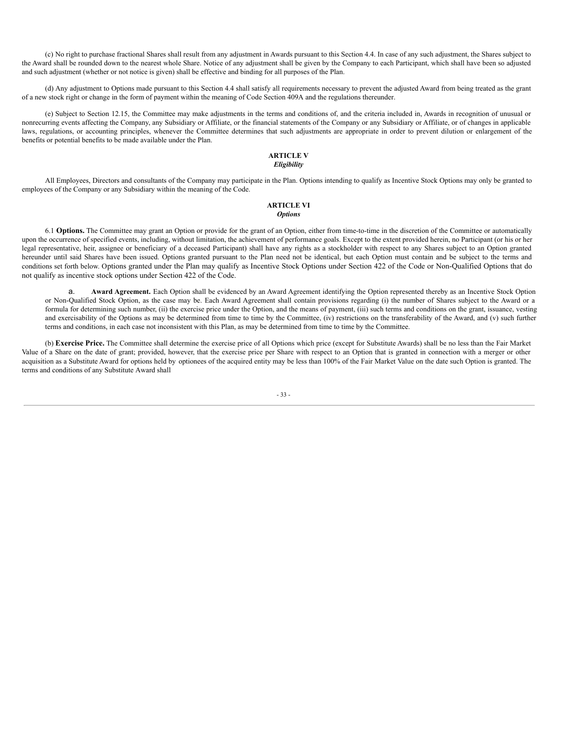(c) No right to purchase fractional Shares shall result from any adjustment in Awards pursuant to this Section 4.4. In case of any such adjustment, the Shares subject to the Award shall be rounded down to the nearest whole Share. Notice of any adjustment shall be given by the Company to each Participant, which shall have been so adjusted and such adjustment (whether or not notice is given) shall be effective and binding for all purposes of the Plan.

(d) Any adjustment to Options made pursuant to this Section 4.4 shall satisfy all requirements necessary to prevent the adjusted Award from being treated as the grant of a new stock right or change in the form of payment within the meaning of Code Section 409A and the regulations thereunder.

(e) Subject to Section 12.15, the Committee may make adjustments in the terms and conditions of, and the criteria included in, Awards in recognition of unusual or nonrecurring events affecting the Company, any Subsidiary or Affiliate, or the financial statements of the Company or any Subsidiary or Affiliate, or of changes in applicable laws, regulations, or accounting principles, whenever the Committee determines that such adjustments are appropriate in order to prevent dilution or enlargement of the benefits or potential benefits to be made available under the Plan.

## **ARTICLE V** *Eligibility*

All Employees, Directors and consultants of the Company may participate in the Plan. Options intending to qualify as Incentive Stock Options may only be granted to employees of the Company or any Subsidiary within the meaning of the Code.

## **ARTICLE VI** *Options*

6.1 **Options.** The Committee may grant an Option or provide for the grant of an Option, either from time-to-time in the discretion of the Committee or automatically upon the occurrence of specified events, including, without limitation, the achievement of performance goals. Except to the extent provided herein, no Participant (or his or her legal representative, heir, assignee or beneficiary of a deceased Participant) shall have any rights as a stockholder with respect to any Shares subject to an Option granted hereunder until said Shares have been issued. Options granted pursuant to the Plan need not be identical, but each Option must contain and be subject to the terms and conditions set forth below. Options granted under the Plan may qualify as Incentive Stock Options under Section 422 of the Code or Non-Qualified Options that do not qualify as incentive stock options under Section 422 of the Code.

a. **Award Agreement.** Each Option shall be evidenced by an Award Agreement identifying the Option represented thereby as an Incentive Stock Option or Non-Qualified Stock Option, as the case may be. Each Award Agreement shall contain provisions regarding (i) the number of Shares subject to the Award or a formula for determining such number, (ii) the exercise price under the Option, and the means of payment, (iii) such terms and conditions on the grant, issuance, vesting and exercisability of the Options as may be determined from time to time by the Committee, (iv) restrictions on the transferability of the Award, and (v) such further terms and conditions, in each case not inconsistent with this Plan, as may be determined from time to time by the Committee.

(b) **Exercise Price.** The Committee shall determine the exercise price of all Options which price (except for Substitute Awards) shall be no less than the Fair Market Value of a Share on the date of grant; provided, however, that the exercise price per Share with respect to an Option that is granted in connection with a merger or other acquisition as a Substitute Award for options held by optionees of the acquired entity may be less than 100% of the Fair Market Value on the date such Option is granted. The terms and conditions of any Substitute Award shall

- 33 -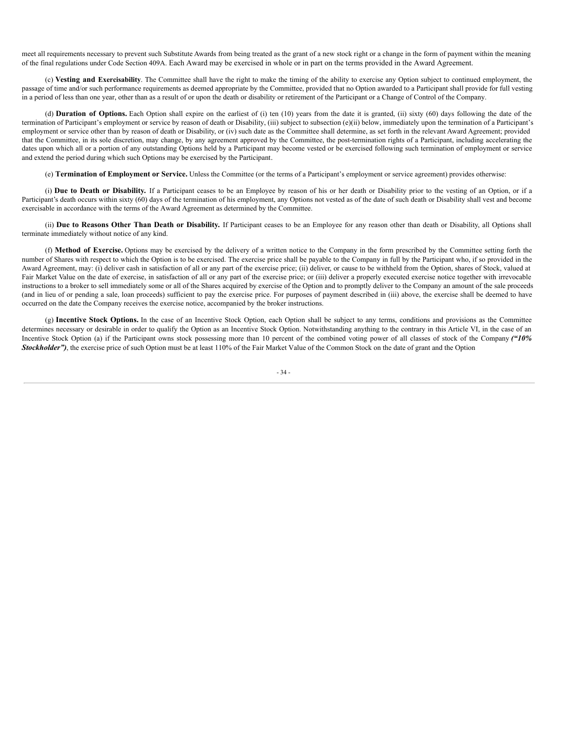meet all requirements necessary to prevent such Substitute Awards from being treated as the grant of a new stock right or a change in the form of payment within the meaning of the final regulations under Code Section 409A. Each Award may be exercised in whole or in part on the terms provided in the Award Agreement.

(c) **Vesting and Exercisability**. The Committee shall have the right to make the timing of the ability to exercise any Option subject to continued employment, the passage of time and/or such performance requirements as deemed appropriate by the Committee, provided that no Option awarded to a Participant shall provide for full vesting in a period of less than one year, other than as a result of or upon the death or disability or retirement of the Participant or a Change of Control of the Company.

(d) **Duration of Options.** Each Option shall expire on the earliest of (i) ten (10) years from the date it is granted, (ii) sixty (60) days following the date of the termination of Participant's employment or service by reason of death or Disability, (iii) subject to subsection (e)(ii) below, immediately upon the termination of a Participant's employment or service other than by reason of death or Disability, or (iv) such date as the Committee shall determine, as set forth in the relevant Award Agreement; provided that the Committee, in its sole discretion, may change, by any agreement approved by the Committee, the post-termination rights of a Participant, including accelerating the dates upon which all or a portion of any outstanding Options held by a Participant may become vested or be exercised following such termination of employment or service and extend the period during which such Options may be exercised by the Participant.

(e) **Termination of Employment or Service.** Unless the Committee (or the terms of a Participant's employment or service agreement) provides otherwise:

(i) **Due to Death or Disability.** If a Participant ceases to be an Employee by reason of his or her death or Disability prior to the vesting of an Option, or if a Participant's death occurs within sixty (60) days of the termination of his employment, any Options not vested as of the date of such death or Disability shall vest and become exercisable in accordance with the terms of the Award Agreement as determined by the Committee.

(ii) **Due to Reasons Other Than Death or Disability.** If Participant ceases to be an Employee for any reason other than death or Disability, all Options shall terminate immediately without notice of any kind.

(f) **Method of Exercise.** Options may be exercised by the delivery of a written notice to the Company in the form prescribed by the Committee setting forth the number of Shares with respect to which the Option is to be exercised. The exercise price shall be payable to the Company in full by the Participant who, if so provided in the Award Agreement, may: (i) deliver cash in satisfaction of all or any part of the exercise price; (ii) deliver, or cause to be withheld from the Option, shares of Stock, valued at Fair Market Value on the date of exercise, in satisfaction of all or any part of the exercise price; or (iii) deliver a properly executed exercise notice together with irrevocable instructions to a broker to sell immediately some or all of the Shares acquired by exercise of the Option and to promptly deliver to the Company an amount of the sale proceeds (and in lieu of or pending a sale, loan proceeds) sufficient to pay the exercise price. For purposes of payment described in (iii) above, the exercise shall be deemed to have occurred on the date the Company receives the exercise notice, accompanied by the broker instructions.

(g) **Incentive Stock Options.** In the case of an Incentive Stock Option, each Option shall be subject to any terms, conditions and provisions as the Committee determines necessary or desirable in order to qualify the Option as an Incentive Stock Option. Notwithstanding anything to the contrary in this Article VI, in the case of an Incentive Stock Option (a) if the Participant owns stock possessing more than 10 percent of the combined voting power of all classes of stock of the Company *("10% Stockholder"*), the exercise price of such Option must be at least 110% of the Fair Market Value of the Common Stock on the date of grant and the Option

- 34 -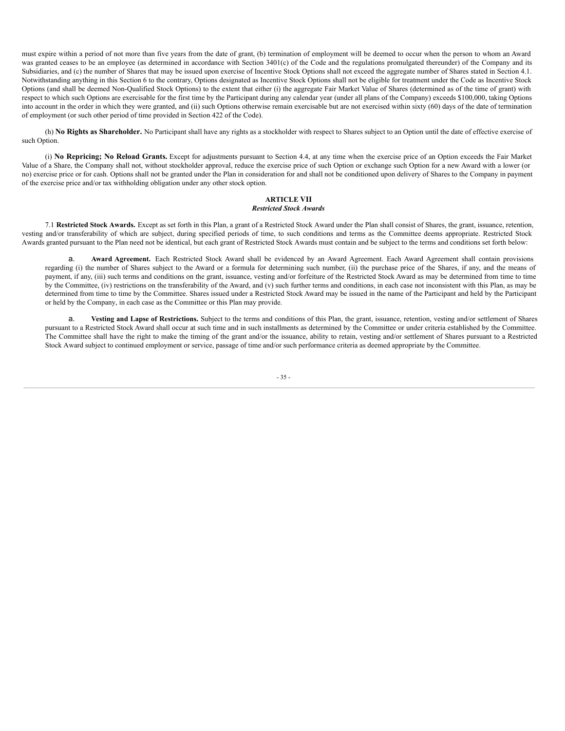must expire within a period of not more than five years from the date of grant, (b) termination of employment will be deemed to occur when the person to whom an Award was granted ceases to be an employee (as determined in accordance with Section 3401(c) of the Code and the regulations promulgated thereunder) of the Company and its Subsidiaries, and (c) the number of Shares that may be issued upon exercise of Incentive Stock Options shall not exceed the aggregate number of Shares stated in Section 4.1. Notwithstanding anything in this Section 6 to the contrary, Options designated as Incentive Stock Options shall not be eligible for treatment under the Code as Incentive Stock Options (and shall be deemed Non-Qualified Stock Options) to the extent that either (i) the aggregate Fair Market Value of Shares (determined as of the time of grant) with respect to which such Options are exercisable for the first time by the Participant during any calendar year (under all plans of the Company) exceeds \$100,000, taking Options into account in the order in which they were granted, and (ii) such Options otherwise remain exercisable but are not exercised within sixty (60) days of the date of termination of employment (or such other period of time provided in Section 422 of the Code).

(h) **No Rights as Shareholder.** No Participant shall have any rights as a stockholder with respect to Shares subject to an Option until the date of effective exercise of such Option.

(i) **No Repricing; No Reload Grants.** Except for adjustments pursuant to Section 4.4, at any time when the exercise price of an Option exceeds the Fair Market Value of a Share, the Company shall not, without stockholder approval, reduce the exercise price of such Option or exchange such Option for a new Award with a lower (or no) exercise price or for cash. Options shall not be granted under the Plan in consideration for and shall not be conditioned upon delivery of Shares to the Company in payment of the exercise price and/or tax withholding obligation under any other stock option.

## **ARTICLE VII** *Restricted Stock Awards*

7.1 **Restricted Stock Awards.** Except as set forth in this Plan, a grant of a Restricted Stock Award under the Plan shall consist of Shares, the grant, issuance, retention, vesting and/or transferability of which are subject, during specified periods of time, to such conditions and terms as the Committee deems appropriate. Restricted Stock Awards granted pursuant to the Plan need not be identical, but each grant of Restricted Stock Awards must contain and be subject to the terms and conditions set forth below:

a. **Award Agreement.** Each Restricted Stock Award shall be evidenced by an Award Agreement. Each Award Agreement shall contain provisions regarding (i) the number of Shares subject to the Award or a formula for determining such number, (ii) the purchase price of the Shares, if any, and the means of payment, if any, (iii) such terms and conditions on the grant, issuance, vesting and/or forfeiture of the Restricted Stock Award as may be determined from time to time by the Committee, (iv) restrictions on the transferability of the Award, and (v) such further terms and conditions, in each case not inconsistent with this Plan, as may be determined from time to time by the Committee. Shares issued under a Restricted Stock Award may be issued in the name of the Participant and held by the Participant or held by the Company, in each case as the Committee or this Plan may provide.

a. **Vesting and Lapse of Restrictions.** Subject to the terms and conditions of this Plan, the grant, issuance, retention, vesting and/or settlement of Shares pursuant to a Restricted Stock Award shall occur at such time and in such installments as determined by the Committee or under criteria established by the Committee. The Committee shall have the right to make the timing of the grant and/or the issuance, ability to retain, vesting and/or settlement of Shares pursuant to a Restricted Stock Award subject to continued employment or service, passage of time and/or such performance criteria as deemed appropriate by the Committee.

- 35 -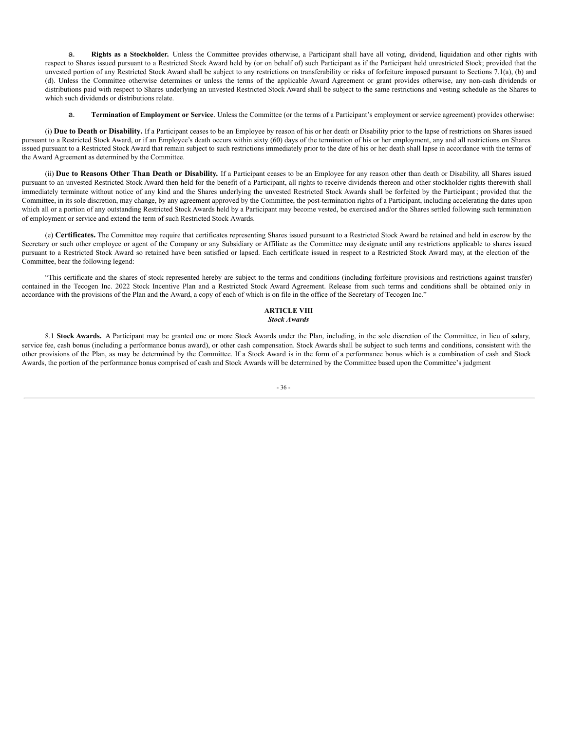a. **Rights as a Stockholder.** Unless the Committee provides otherwise, a Participant shall have all voting, dividend, liquidation and other rights with respect to Shares issued pursuant to a Restricted Stock Award held by (or on behalf of) such Participant as if the Participant held unrestricted Stock; provided that the unvested portion of any Restricted Stock Award shall be subject to any restrictions on transferability or risks of forfeiture imposed pursuant to Sections 7.1(a), (b) and (d). Unless the Committee otherwise determines or unless the terms of the applicable Award Agreement or grant provides otherwise, any non-cash dividends or distributions paid with respect to Shares underlying an unvested Restricted Stock Award shall be subject to the same restrictions and vesting schedule as the Shares to which such dividends or distributions relate.

a. **Termination of Employment or Service**. Unless the Committee (or the terms of a Participant's employment or service agreement) provides otherwise:

(i) **Due to Death or Disability.** If a Participant ceases to be an Employee by reason of his or her death or Disability prior to the lapse of restrictions on Shares issued pursuant to a Restricted Stock Award, or if an Employee's death occurs within sixty (60) days of the termination of his or her employment, any and all restrictions on Shares issued pursuant to a Restricted Stock Award that remain subject to such restrictions immediately prior to the date of his or her death shall lapse in accordance with the terms of the Award Agreement as determined by the Committee.

(ii) **Due to Reasons Other Than Death or Disability.** If a Participant ceases to be an Employee for any reason other than death or Disability, all Shares issued pursuant to an unvested Restricted Stock Award then held for the benefit of a Participant, all rights to receive dividends thereon and other stockholder rights therewith shall immediately terminate without notice of any kind and the Shares underlying the unvested Restricted Stock Awards shall be forfeited by the Participant ; provided that the Committee, in its sole discretion, may change, by any agreement approved by the Committee, the post-termination rights of a Participant, including accelerating the dates upon which all or a portion of any outstanding Restricted Stock Awards held by a Participant may become vested, be exercised and/or the Shares settled following such termination of employment or service and extend the term of such Restricted Stock Awards.

(e) **Certificates.** The Committee may require that certificates representing Shares issued pursuant to a Restricted Stock Award be retained and held in escrow by the Secretary or such other employee or agent of the Company or any Subsidiary or Affiliate as the Committee may designate until any restrictions applicable to shares issued pursuant to a Restricted Stock Award so retained have been satisfied or lapsed. Each certificate issued in respect to a Restricted Stock Award may, at the election of the Committee, bear the following legend:

"This certificate and the shares of stock represented hereby are subject to the terms and conditions (including forfeiture provisions and restrictions against transfer) contained in the Tecogen Inc. 2022 Stock Incentive Plan and a Restricted Stock Award Agreement. Release from such terms and conditions shall be obtained only in accordance with the provisions of the Plan and the Award, a copy of each of which is on file in the office of the Secretary of Tecogen Inc."

## **ARTICLE VIII** *Stock Awards*

8.1 Stock Awards. A Participant may be granted one or more Stock Awards under the Plan, including, in the sole discretion of the Committee, in lieu of salary, service fee, cash bonus (including a performance bonus award), or other cash compensation. Stock Awards shall be subject to such terms and conditions, consistent with the other provisions of the Plan, as may be determined by the Committee. If a Stock Award is in the form of a performance bonus which is a combination of cash and Stock Awards, the portion of the performance bonus comprised of cash and Stock Awards will be determined by the Committee based upon the Committee's judgment

## - 36 -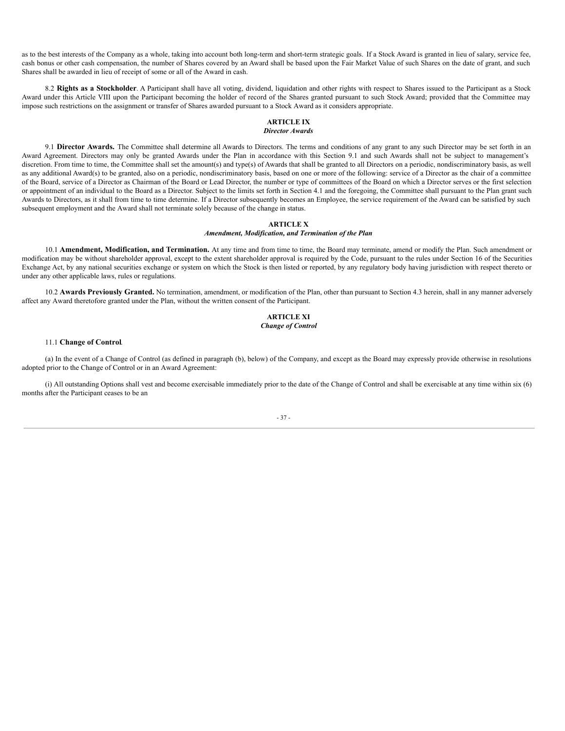as to the best interests of the Company as a whole, taking into account both long-term and short-term strategic goals. If a Stock Award is granted in lieu of salary, service fee, cash bonus or other cash compensation, the number of Shares covered by an Award shall be based upon the Fair Market Value of such Shares on the date of grant, and such Shares shall be awarded in lieu of receipt of some or all of the Award in cash.

8.2 **Rights as a Stockholder**. A Participant shall have all voting, dividend, liquidation and other rights with respect to Shares issued to the Participant as a Stock Award under this Article VIII upon the Participant becoming the holder of record of the Shares granted pursuant to such Stock Award; provided that the Committee may impose such restrictions on the assignment or transfer of Shares awarded pursuant to a Stock Award as it considers appropriate.

#### **ARTICLE IX** *Director Awards*

9.1 Director Awards. The Committee shall determine all Awards to Directors. The terms and conditions of any grant to any such Director may be set forth in an Award Agreement. Directors may only be granted Awards under the Plan in accordance with this Section 9.1 and such Awards shall not be subject to management's discretion. From time to time, the Committee shall set the amount(s) and type(s) of Awards that shall be granted to all Directors on a periodic, nondiscriminatory basis, as well as any additional Award(s) to be granted, also on a periodic, nondiscriminatory basis, based on one or more of the following: service of a Director as the chair of a committee of the Board, service of a Director as Chairman of the Board or Lead Director, the number or type of committees of the Board on which a Director serves or the first selection or appointment of an individual to the Board as a Director. Subject to the limits set forth in Section 4.1 and the foregoing, the Committee shall pursuant to the Plan grant such Awards to Directors, as it shall from time to time determine. If a Director subsequently becomes an Employee, the service requirement of the Award can be satisfied by such subsequent employment and the Award shall not terminate solely because of the change in status.

## **ARTICLE X**

## *Amendment, Modification, and Termination of the Plan*

10.1 **Amendment, Modification, and Termination.** At any time and from time to time, the Board may terminate, amend or modify the Plan. Such amendment or modification may be without shareholder approval, except to the extent shareholder approval is required by the Code, pursuant to the rules under Section 16 of the Securities Exchange Act, by any national securities exchange or system on which the Stock is then listed or reported, by any regulatory body having jurisdiction with respect thereto or under any other applicable laws, rules or regulations.

10.2 **Awards Previously Granted.** No termination, amendment, or modification of the Plan, other than pursuant to Section 4.3 herein, shall in any manner adversely affect any Award theretofore granted under the Plan, without the written consent of the Participant.

## **ARTICLE XI** *Change of Control*

### 11.1 **Change of Control**.

(a) In the event of a Change of Control (as defined in paragraph (b), below) of the Company, and except as the Board may expressly provide otherwise in resolutions adopted prior to the Change of Control or in an Award Agreement:

(i) All outstanding Options shall vest and become exercisable immediately prior to the date of the Change of Control and shall be exercisable at any time within six (6) months after the Participant ceases to be an

#### - 37 -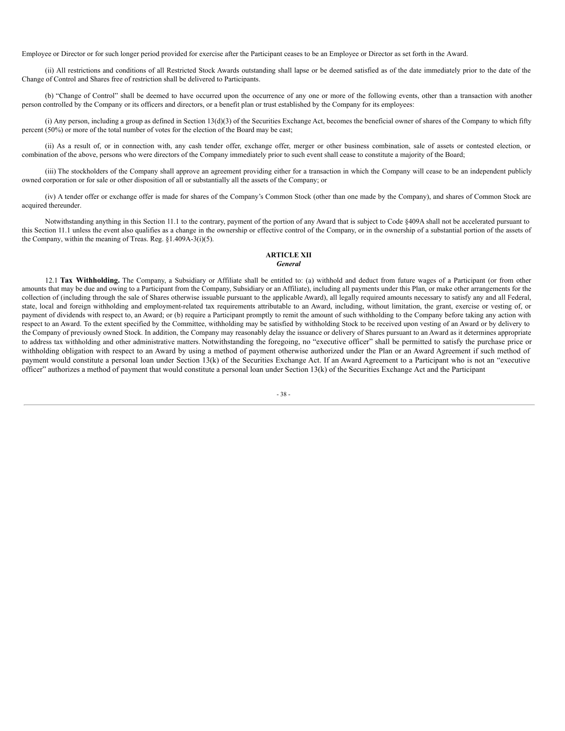Employee or Director or for such longer period provided for exercise after the Participant ceases to be an Employee or Director as set forth in the Award.

(ii) All restrictions and conditions of all Restricted Stock Awards outstanding shall lapse or be deemed satisfied as of the date immediately prior to the date of the Change of Control and Shares free of restriction shall be delivered to Participants.

(b) "Change of Control" shall be deemed to have occurred upon the occurrence of any one or more of the following events, other than a transaction with another person controlled by the Company or its officers and directors, or a benefit plan or trust established by the Company for its employees:

(i) Any person, including a group as defined in Section 13(d)(3) of the Securities Exchange Act, becomes the beneficial owner of shares of the Company to which fifty percent (50%) or more of the total number of votes for the election of the Board may be cast;

(ii) As a result of, or in connection with, any cash tender offer, exchange offer, merger or other business combination, sale of assets or contested election, or combination of the above, persons who were directors of the Company immediately prior to such event shall cease to constitute a majority of the Board;

(iii) The stockholders of the Company shall approve an agreement providing either for a transaction in which the Company will cease to be an independent publicly owned corporation or for sale or other disposition of all or substantially all the assets of the Company; or

(iv) A tender offer or exchange offer is made for shares of the Company's Common Stock (other than one made by the Company), and shares of Common Stock are acquired thereunder.

Notwithstanding anything in this Section 11.1 to the contrary, payment of the portion of any Award that is subject to Code §409A shall not be accelerated pursuant to this Section 11.1 unless the event also qualifies as a change in the ownership or effective control of the Company, or in the ownership of a substantial portion of the assets of the Company, within the meaning of Treas. Reg. §1.409A-3(i)(5).

## **ARTICLE XII** *General*

12.1 **Tax Withholding.** The Company, a Subsidiary or Affiliate shall be entitled to: (a) withhold and deduct from future wages of a Participant (or from other amounts that may be due and owing to a Participant from the Company, Subsidiary or an Affiliate), including all payments under this Plan, or make other arrangements for the collection of (including through the sale of Shares otherwise issuable pursuant to the applicable Award), all legally required amounts necessary to satisfy any and all Federal, state, local and foreign withholding and employment-related tax requirements attributable to an Award, including, without limitation, the grant, exercise or vesting of, or payment of dividends with respect to, an Award; or (b) require a Participant promptly to remit the amount of such withholding to the Company before taking any action with respect to an Award. To the extent specified by the Committee, withholding may be satisfied by withholding Stock to be received upon vesting of an Award or by delivery to the Company of previously owned Stock. In addition, the Company may reasonably delay the issuance or delivery of Shares pursuant to an Award as it determines appropriate to address tax withholding and other administrative matters. Notwithstanding the foregoing, no "executive officer" shall be permitted to satisfy the purchase price or withholding obligation with respect to an Award by using a method of payment otherwise authorized under the Plan or an Award Agreement if such method of payment would constitute a personal loan under Section 13(k) of the Securities Exchange Act. If an Award Agreement to a Participant who is not an "executive officer" authorizes a method of payment that would constitute a personal loan under Section 13(k) of the Securities Exchange Act and the Participant

## - 38 -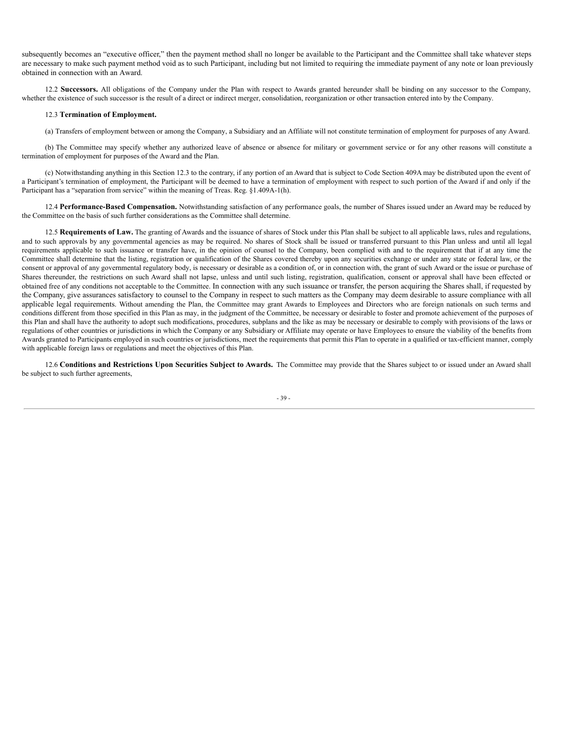subsequently becomes an "executive officer," then the payment method shall no longer be available to the Participant and the Committee shall take whatever steps are necessary to make such payment method void as to such Participant, including but not limited to requiring the immediate payment of any note or loan previously obtained in connection with an Award.

12.2 **Successors.** All obligations of the Company under the Plan with respect to Awards granted hereunder shall be binding on any successor to the Company, whether the existence of such successor is the result of a direct or indirect merger, consolidation, reorganization or other transaction entered into by the Company.

#### 12.3 **Termination of Employment.**

(a) Transfers of employment between or among the Company, a Subsidiary and an Affiliate will not constitute termination of employment for purposes of any Award.

(b) The Committee may specify whether any authorized leave of absence or absence for military or government service or for any other reasons will constitute a termination of employment for purposes of the Award and the Plan.

(c) Notwithstanding anything in this Section 12.3 to the contrary, if any portion of an Award that is subject to Code Section 409A may be distributed upon the event of a Participant's termination of employment, the Participant will be deemed to have a termination of employment with respect to such portion of the Award if and only if the Participant has a "separation from service" within the meaning of Treas. Reg. §1.409A-1(h).

12.4 **Performance-Based Compensation.** Notwithstanding satisfaction of any performance goals, the number of Shares issued under an Award may be reduced by the Committee on the basis of such further considerations as the Committee shall determine.

12.5 **Requirements of Law.** The granting of Awards and the issuance of shares of Stock under this Plan shall be subject to all applicable laws, rules and regulations, and to such approvals by any governmental agencies as may be required. No shares of Stock shall be issued or transferred pursuant to this Plan unless and until all legal requirements applicable to such issuance or transfer have, in the opinion of counsel to the Company, been complied with and to the requirement that if at any time the Committee shall determine that the listing, registration or qualification of the Shares covered thereby upon any securities exchange or under any state or federal law, or the consent or approval of any governmental regulatory body, is necessary or desirable as a condition of, or in connection with, the grant of such Award or the issue or purchase of Shares thereunder, the restrictions on such Award shall not lapse, unless and until such listing, registration, qualification, consent or approval shall have been effected or obtained free of any conditions not acceptable to the Committee. In connection with any such issuance or transfer, the person acquiring the Shares shall, if requested by the Company, give assurances satisfactory to counsel to the Company in respect to such matters as the Company may deem desirable to assure compliance with all applicable legal requirements. Without amending the Plan, the Committee may grant Awards to Employees and Directors who are foreign nationals on such terms and conditions different from those specified in this Plan as may, in the judgment of the Committee, be necessary or desirable to foster and promote achievement of the purposes of this Plan and shall have the authority to adopt such modifications, procedures, subplans and the like as may be necessary or desirable to comply with provisions of the laws or regulations of other countries or jurisdictions in which the Company or any Subsidiary or Affiliate may operate or have Employees to ensure the viability of the benefits from Awards granted to Participants employed in such countries or jurisdictions, meet the requirements that permit this Plan to operate in a qualified or tax-efficient manner, comply with applicable foreign laws or regulations and meet the objectives of this Plan.

12.6 **Conditions and Restrictions Upon Securities Subject to Awards.** The Committee may provide that the Shares subject to or issued under an Award shall be subject to such further agreements,

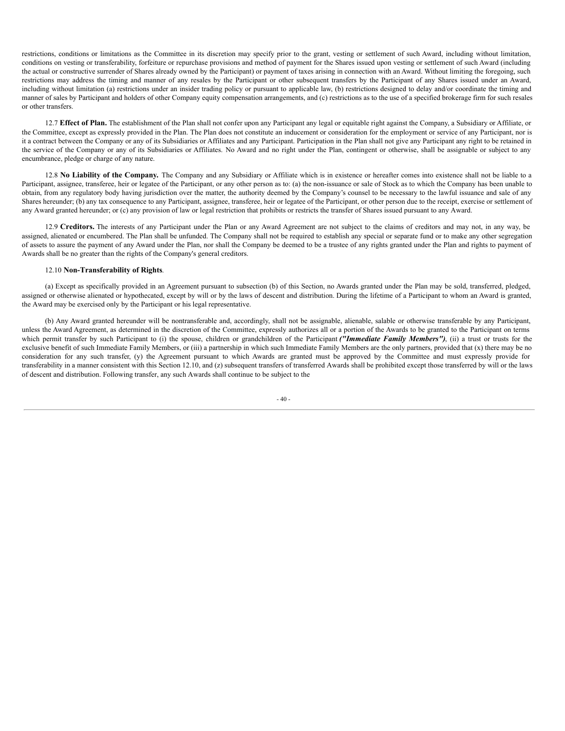restrictions, conditions or limitations as the Committee in its discretion may specify prior to the grant, vesting or settlement of such Award, including without limitation, conditions on vesting or transferability, forfeiture or repurchase provisions and method of payment for the Shares issued upon vesting or settlement of such Award (including the actual or constructive surrender of Shares already owned by the Participant) or payment of taxes arising in connection with an Award. Without limiting the foregoing, such restrictions may address the timing and manner of any resales by the Participant or other subsequent transfers by the Participant of any Shares issued under an Award, including without limitation (a) restrictions under an insider trading policy or pursuant to applicable law, (b) restrictions designed to delay and/or coordinate the timing and manner of sales by Participant and holders of other Company equity compensation arrangements, and (c) restrictions as to the use of a specified brokerage firm for such resales or other transfers.

12.7 **Effect of Plan.** The establishment of the Plan shall not confer upon any Participant any legal or equitable right against the Company, a Subsidiary or Affiliate, or the Committee, except as expressly provided in the Plan. The Plan does not constitute an inducement or consideration for the employment or service of any Participant, nor is it a contract between the Company or any of its Subsidiaries or Affiliates and any Participant. Participation in the Plan shall not give any Participant any right to be retained in the service of the Company or any of its Subsidiaries or Affiliates. No Award and no right under the Plan, contingent or otherwise, shall be assignable or subject to any encumbrance, pledge or charge of any nature.

12.8 **No Liability of the Company.** The Company and any Subsidiary or Affiliate which is in existence or hereafter comes into existence shall not be liable to a Participant, assignee, transferee, heir or legatee of the Participant, or any other person as to: (a) the non-issuance or sale of Stock as to which the Company has been unable to obtain, from any regulatory body having jurisdiction over the matter, the authority deemed by the Company's counsel to be necessary to the lawful issuance and sale of any Shares hereunder; (b) any tax consequence to any Participant, assignee, transferee, heir or legatee of the Participant, or other person due to the receipt, exercise or settlement of any Award granted hereunder; or (c) any provision of law or legal restriction that prohibits or restricts the transfer of Shares issued pursuant to any Award.

12.9 **Creditors.** The interests of any Participant under the Plan or any Award Agreement are not subject to the claims of creditors and may not, in any way, be assigned, alienated or encumbered. The Plan shall be unfunded. The Company shall not be required to establish any special or separate fund or to make any other segregation of assets to assure the payment of any Award under the Plan, nor shall the Company be deemed to be a trustee of any rights granted under the Plan and rights to payment of Awards shall be no greater than the rights of the Company's general creditors.

## 12.10 **Non-Transferability of Rights**.

(a) Except as specifically provided in an Agreement pursuant to subsection (b) of this Section, no Awards granted under the Plan may be sold, transferred, pledged, assigned or otherwise alienated or hypothecated, except by will or by the laws of descent and distribution. During the lifetime of a Participant to whom an Award is granted, the Award may be exercised only by the Participant or his legal representative.

(b) Any Award granted hereunder will be nontransferable and, accordingly, shall not be assignable, alienable, salable or otherwise transferable by any Participant, unless the Award Agreement, as determined in the discretion of the Committee, expressly authorizes all or a portion of the Awards to be granted to the Participant on terms which permit transfer by such Participant to (i) the spouse, children or grandchildren of the Participant *("Immediate Family Members")*, (ii) a trust or trusts for the exclusive benefit of such Immediate Family Members, or (iii) a partnership in which such Immediate Family Members are the only partners, provided that (x) there may be no consideration for any such transfer, (y) the Agreement pursuant to which Awards are granted must be approved by the Committee and must expressly provide for transferability in a manner consistent with this Section 12.10, and (z) subsequent transfers of transferred Awards shall be prohibited except those transferred by will or the laws of descent and distribution. Following transfer, any such Awards shall continue to be subject to the

 $-40-$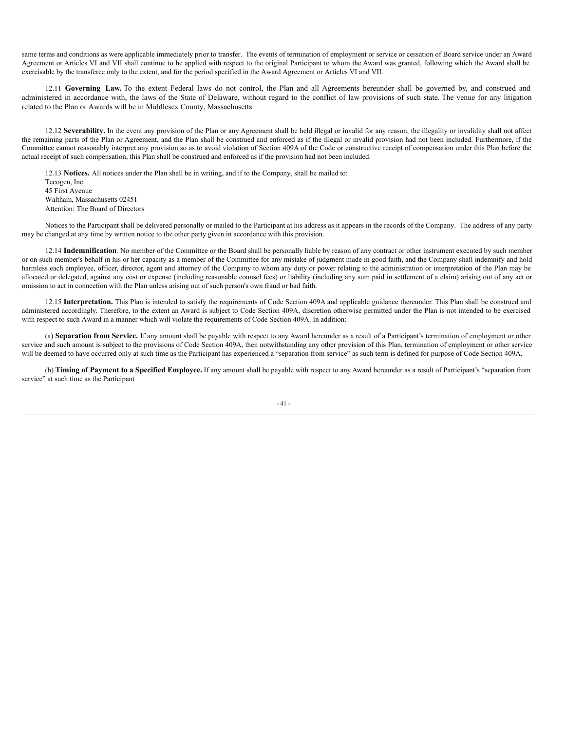same terms and conditions as were applicable immediately prior to transfer. The events of termination of employment or service or cessation of Board service under an Award Agreement or Articles VI and VII shall continue to be applied with respect to the original Participant to whom the Award was granted, following which the Award shall be exercisable by the transferee only to the extent, and for the period specified in the Award Agreement or Articles VI and VII.

12.11 **Governing Law.** To the extent Federal laws do not control, the Plan and all Agreements hereunder shall be governed by, and construed and administered in accordance with, the laws of the State of Delaware, without regard to the conflict of law provisions of such state. The venue for any litigation related to the Plan or Awards will be in Middlesex County, Massachusetts.

12.12 **Severability.** In the event any provision of the Plan or any Agreement shall be held illegal or invalid for any reason, the illegality or invalidity shall not affect the remaining parts of the Plan or Agreement, and the Plan shall be construed and enforced as if the illegal or invalid provision had not been included. Furthermore, if the Committee cannot reasonably interpret any provision so as to avoid violation of Section 409A of the Code or constructive receipt of compensation under this Plan before the actual receipt of such compensation, this Plan shall be construed and enforced as if the provision had not been included.

12.13 **Notices.** All notices under the Plan shall be in writing, and if to the Company, shall be mailed to: Tecogen, Inc. 45 First Avenue Waltham, Massachusetts 02451 Attention: The Board of Directors

Notices to the Participant shall be delivered personally or mailed to the Participant at his address as it appears in the records of the Company. The address of any party may be changed at any time by written notice to the other party given in accordance with this provision.

12.14 **Indemnification**. No member of the Committee or the Board shall be personally liable by reason of any contract or other instrument executed by such member or on such member's behalf in his or her capacity as a member of the Committee for any mistake of judgment made in good faith, and the Company shall indemnify and hold harmless each employee, officer, director, agent and attorney of the Company to whom any duty or power relating to the administration or interpretation of the Plan may be allocated or delegated, against any cost or expense (including reasonable counsel fees) or liability (including any sum paid in settlement of a claim) arising out of any act or omission to act in connection with the Plan unless arising out of such person's own fraud or bad faith.

12.15 Interpretation. This Plan is intended to satisfy the requirements of Code Section 409A and applicable guidance thereunder. This Plan shall be construed and administered accordingly. Therefore, to the extent an Award is subject to Code Section 409A, discretion otherwise permitted under the Plan is not intended to be exercised with respect to such Award in a manner which will violate the requirements of Code Section 409A. In addition:

(a) **Separation from Service.** If any amount shall be payable with respect to any Award hereunder as a result of a Participant's termination of employment or other service and such amount is subject to the provisions of Code Section 409A, then notwithstanding any other provision of this Plan, termination of employment or other service will be deemed to have occurred only at such time as the Participant has experienced a "separation from service" as such term is defined for purpose of Code Section 409A.

(b) **Timing of Payment to a Specified Employee.** If any amount shall be payable with respect to any Award hereunder as a result of Participant's "separation from service" at such time as the Participant

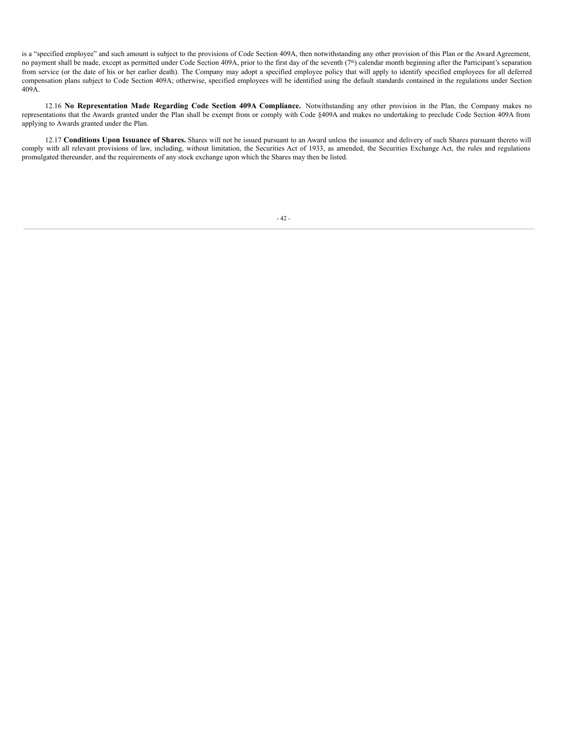is a "specified employee" and such amount is subject to the provisions of Code Section 409A, then notwithstanding any other provision of this Plan or the Award Agreement, no payment shall be made, except as permitted under Code Section 409A, prior to the first day of the seventh (7<sup>th</sup>) calendar month beginning after the Participant's separation from service (or the date of his or her earlier death). The Company may adopt a specified employee policy that will apply to identify specified employees for all deferred compensation plans subject to Code Section 409A; otherwise, specified employees will be identified using the default standards contained in the regulations under Section 409A.

12.16 **No Representation Made Regarding Code Section 409A Compliance.** Notwithstanding any other provision in the Plan, the Company makes no representations that the Awards granted under the Plan shall be exempt from or comply with Code §409A and makes no undertaking to preclude Code Section 409A from applying to Awards granted under the Plan.

12.17 **Conditions Upon Issuance of Shares.** Shares will not be issued pursuant to an Award unless the issuance and delivery of such Shares pursuant thereto will comply with all relevant provisions of law, including, without limitation, the Securities Act of 1933, as amended, the Securities Exchange Act, the rules and regulations promulgated thereunder, and the requirements of any stock exchange upon which the Shares may then be listed.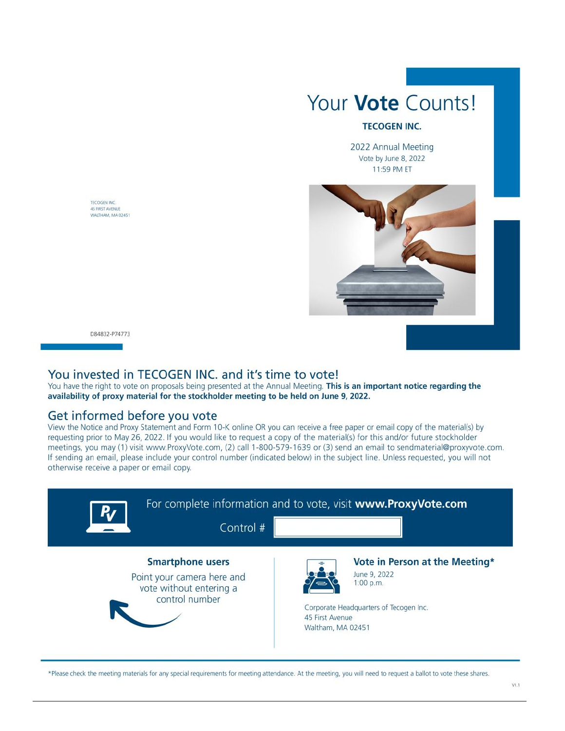

## **TECOGEN INC.**

2022 Annual Meeting Vote by June 8, 2022 11:59 PM ET



D84832-P74773

TECOGEN INC. **45 FIRST AVENUE** WALTHAM, MA 02451

## You invested in TECOGEN INC. and it's time to vote!

You have the right to vote on proposals being presented at the Annual Meeting. This is an important notice regarding the availability of proxy material for the stockholder meeting to be held on June 9, 2022.

## Get informed before you vote

View the Notice and Proxy Statement and Form 10-K online OR you can receive a free paper or email copy of the material(s) by requesting prior to May 26, 2022. If you would like to request a copy of the material(s) for this and/or future stockholder meetings, you may (1) visit www.ProxyVote.com, (2) call 1-800-579-1639 or (3) send an email to sendmaterial@proxyvote.com. If sending an email, please include your control number (indicated below) in the subject line. Unless requested, you will not otherwise receive a paper or email copy.



\*Please check the meeting materials for any special requirements for meeting attendance. At the meeting, you will need to request a ballot to vote these shares.

 $V1.1$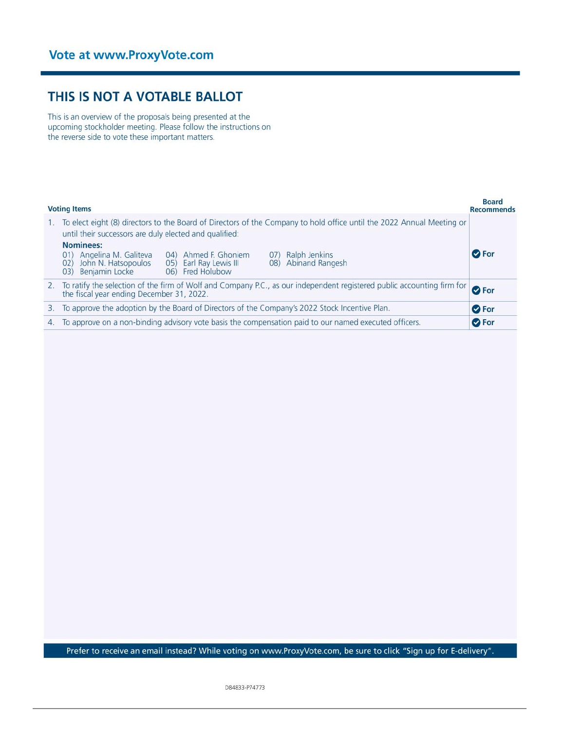# THIS IS NOT A VOTABLE BALLOT

This is an overview of the proposals being presented at the upcoming stockholder meeting. Please follow the instructions on the reverse side to vote these important matters.

|    | <b>Voting Items</b>                                                                                                                                                                                              | <b>Board</b><br><b>Recommends</b> |  |  |  |  |  |  |  |
|----|------------------------------------------------------------------------------------------------------------------------------------------------------------------------------------------------------------------|-----------------------------------|--|--|--|--|--|--|--|
|    | To elect eight (8) directors to the Board of Directors of the Company to hold office until the 2022 Annual Meeting or<br>until their successors are duly elected and qualified:                                  |                                   |  |  |  |  |  |  |  |
|    | Nominees:<br>04) Ahmed F. Ghoniem<br>Ralph Jenkins<br>Angelina M. Galiteva<br>(01)<br>(07)<br>08) Abinand Rangesh<br>02) John N. Hatsopoulos<br>05) Earl Ray Lewis III<br>06) Fred Holubow<br>03) Benjamin Locke | <b>O</b> For                      |  |  |  |  |  |  |  |
| 2. | To ratify the selection of the firm of Wolf and Company P.C., as our independent registered public accounting firm for<br>the fiscal year ending December 31, 2022.                                              |                                   |  |  |  |  |  |  |  |
| 3. | To approve the adoption by the Board of Directors of the Company's 2022 Stock Incentive Plan.                                                                                                                    |                                   |  |  |  |  |  |  |  |
| 4. | <b>O</b> For<br>To approve on a non-binding advisory vote basis the compensation paid to our named executed officers.<br><b>O</b> For                                                                            |                                   |  |  |  |  |  |  |  |

Prefer to receive an email instead? While voting on www.ProxyVote.com, be sure to click "Sign up for E-delivery".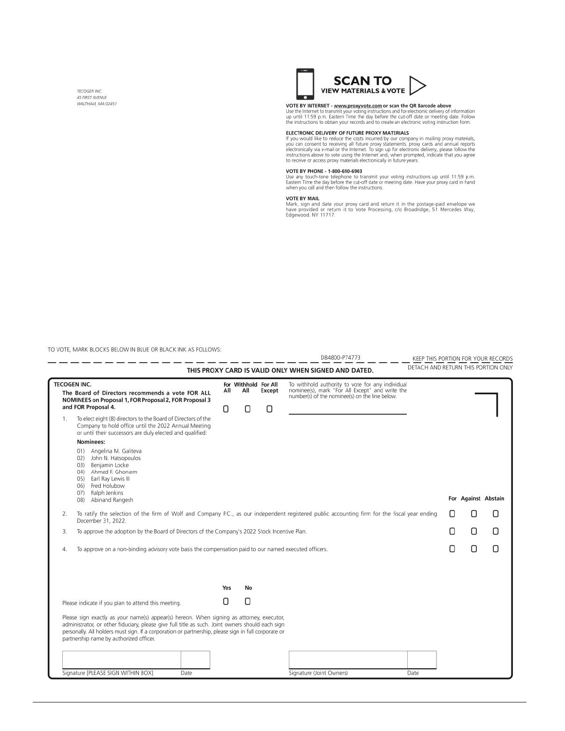TECOGEN INC. 45 FIRST AVENUE WALTHAM, MA 02451



**VOTE BY INTERNET - <u>www.proxyvote.com</u>** or scan the QR Barcode above<br>Use the Internet to transmit your voting instructions and for electronic delivery of information<br>up until 11:59 p.m. Eastern Time the day before the cut

## ELECTRONIC DELIVERY OF FUTURE PROXY MATERIALS

**ELECTRONIC DELIVERY OF FUTURE PROXY MATERIALS**<br>
If you would like to reduce the costs incurred by our company in mailing proxy materials,<br>
you can consent to receiving all future proxy statements, proxy cards and annual r

#### VOTE BY PHONE - 1-800-690-6903

Use any touch-tone telephone to transmit your voting instructions up until 11:59 p.m.<br>Eastern Time the day before the cut-off date or meeting date. Have your proxy card in hand<br>when you call and then follow the instruction

VOTE BY MAIL<br>Mark, sign and date your proxy card and return it in the postage-paid envelope we<br>have provided or return it to Vote Processing, c/o Broadridge, 51 Mercedes Way,<br>Edgewood, NY 11717.

TO VOTE, MARK BLOCKS BELOW IN BLUE OR BLACK INK AS FOLLOWS:

|    |                                                                                                                                                                                                                                                                                                                                                  |          |                                  |             | D84800-P74773                                                                                                                                         |      |   |   | KEEP THIS PORTION FOR YOUR RECORDS  |
|----|--------------------------------------------------------------------------------------------------------------------------------------------------------------------------------------------------------------------------------------------------------------------------------------------------------------------------------------------------|----------|----------------------------------|-------------|-------------------------------------------------------------------------------------------------------------------------------------------------------|------|---|---|-------------------------------------|
|    |                                                                                                                                                                                                                                                                                                                                                  |          |                                  |             | THIS PROXY CARD IS VALID ONLY WHEN SIGNED AND DATED.                                                                                                  |      |   |   | DETACH AND RETURN THIS PORTION ONLY |
|    | <b>TECOGEN INC.</b><br>The Board of Directors recommends a vote FOR ALL<br>NOMINEES on Proposal 1, FOR Proposal 2, FOR Proposal 3<br>and FOR Proposal 4.                                                                                                                                                                                         | All<br>Ω | For Withhold For All<br>All<br>Π | Except<br>П | To withhold authority to vote for any individual<br>nominee(s), mark "For All Except" and write the<br>number(s) of the nominee(s) on the line below. |      |   |   |                                     |
| 1. | To elect eight (8) directors to the Board of Directors of the<br>Company to hold office until the 2022 Annual Meeting<br>or until their successors are duly elected and qualified:                                                                                                                                                               |          |                                  |             |                                                                                                                                                       |      |   |   |                                     |
|    | Nominees:                                                                                                                                                                                                                                                                                                                                        |          |                                  |             |                                                                                                                                                       |      |   |   |                                     |
|    | 01) Angelina M. Galiteva<br>John N. Hatsopoulos<br>02)<br>Benjamin Locke<br>03)<br>Ahmed F. Ghoniem<br>(04)<br>Earl Ray Lewis III<br>05)<br>06) Fred Holubow<br>Ralph Jenkins<br>(07)<br>Abinand Rangesh<br>(08)                                                                                                                                 |          |                                  |             |                                                                                                                                                       |      |   |   | For Against Abstain                 |
|    |                                                                                                                                                                                                                                                                                                                                                  |          |                                  |             |                                                                                                                                                       |      |   |   |                                     |
| 2. | To ratify the selection of the firm of Wolf and Company P.C., as our independent registered public accounting firm for the fiscal year ending<br>December 31, 2022.                                                                                                                                                                              |          |                                  |             |                                                                                                                                                       |      | П | П | Ω                                   |
| 3. | To approve the adoption by the Board of Directors of the Company's 2022 Stock Incentive Plan.                                                                                                                                                                                                                                                    |          |                                  |             |                                                                                                                                                       |      | Π | 0 | Π                                   |
| 4. | To approve on a non-binding advisory vote basis the compensation paid to our named executed officers.                                                                                                                                                                                                                                            |          |                                  |             |                                                                                                                                                       |      | Π | Ω | П                                   |
|    |                                                                                                                                                                                                                                                                                                                                                  | Yes      | No                               |             |                                                                                                                                                       |      |   |   |                                     |
|    |                                                                                                                                                                                                                                                                                                                                                  |          |                                  |             |                                                                                                                                                       |      |   |   |                                     |
|    | Please indicate if you plan to attend this meeting.                                                                                                                                                                                                                                                                                              | Ο        | Ο                                |             |                                                                                                                                                       |      |   |   |                                     |
|    | Please sign exactly as your name(s) appear(s) hereon. When signing as attorney, executor,<br>administrator, or other fiduciary, please give full title as such. Joint owners should each sign<br>personally. All holders must sign. If a corporation or partnership, please sign in full corporate or<br>partnership name by authorized officer. |          |                                  |             |                                                                                                                                                       |      |   |   |                                     |
|    | Signature [PLEASE SIGN WITHIN BOX]<br>Date                                                                                                                                                                                                                                                                                                       |          |                                  |             | Signature (Joint Owners)                                                                                                                              | Date |   |   |                                     |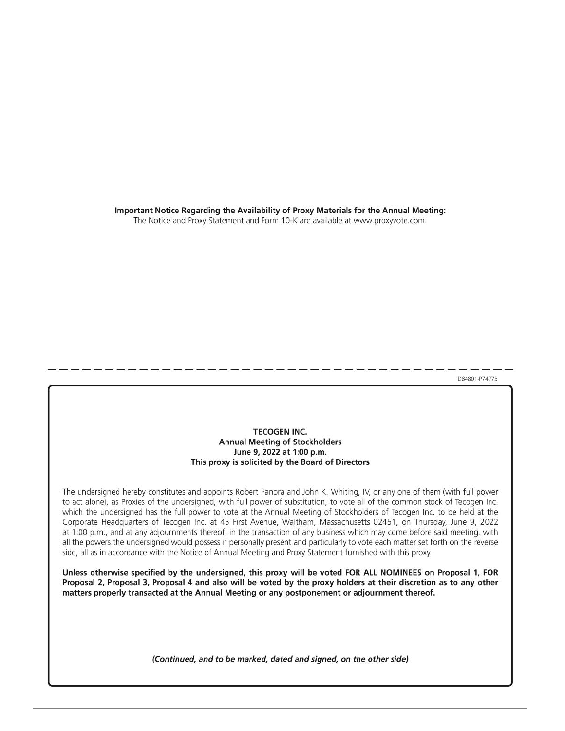Important Notice Regarding the Availability of Proxy Materials for the Annual Meeting:

The Notice and Proxy Statement and Form 10-K are available at www.proxyvote.com.

D84801-P74773

## **TECOGEN INC. Annual Meeting of Stockholders** June 9, 2022 at 1:00 p.m. This proxy is solicited by the Board of Directors

The undersigned hereby constitutes and appoints Robert Panora and John K. Whiting, IV, or any one of them (with full power to act alone), as Proxies of the undersigned, with full power of substitution, to vote all of the common stock of Tecogen Inc. which the undersigned has the full power to vote at the Annual Meeting of Stockholders of Tecogen Inc. to be held at the Corporate Headquarters of Tecogen Inc. at 45 First Avenue, Waltham, Massachusetts 02451, on Thursday, June 9, 2022 at 1:00 p.m., and at any adjournments thereof, in the transaction of any business which may come before said meeting, with all the powers the undersigned would possess if personally present and particularly to vote each matter set forth on the reverse side, all as in accordance with the Notice of Annual Meeting and Proxy Statement furnished with this proxy.

Unless otherwise specified by the undersigned, this proxy will be voted FOR ALL NOMINEES on Proposal 1, FOR Proposal 2, Proposal 3, Proposal 4 and also will be voted by the proxy holders at their discretion as to any other matters properly transacted at the Annual Meeting or any postponement or adjournment thereof.

(Continued, and to be marked, dated and signed, on the other side)